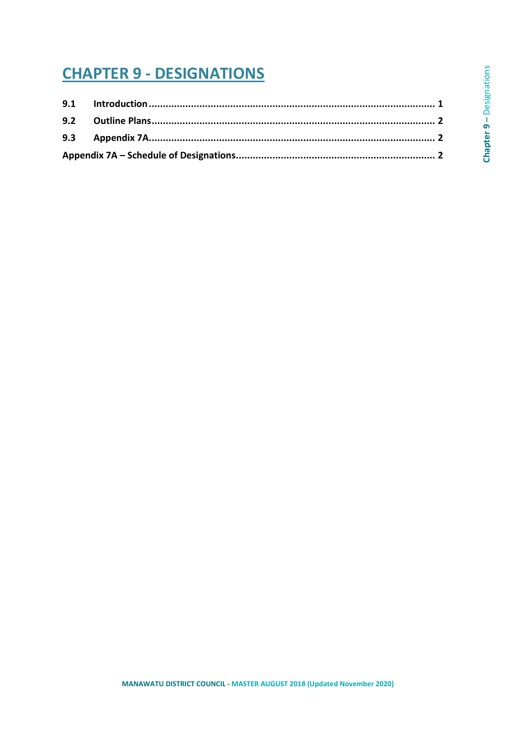# **Chapter 9–** Designations

# **CHAPTER 9 - DESIGNATIONS**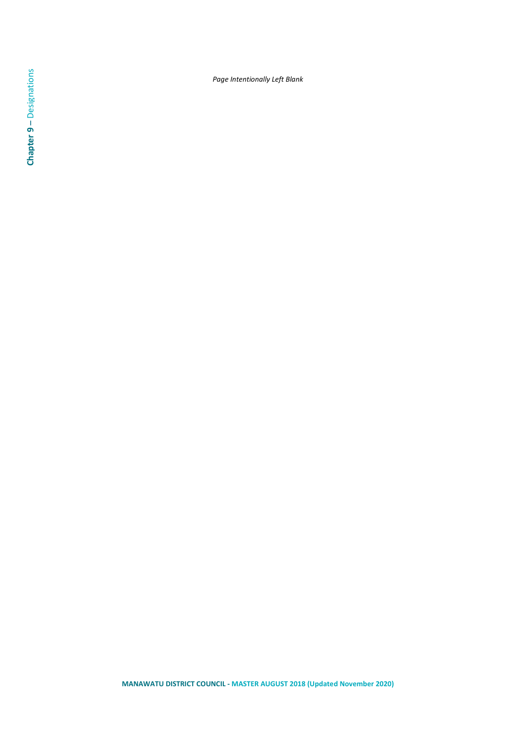*Page Intentionally Left Blank*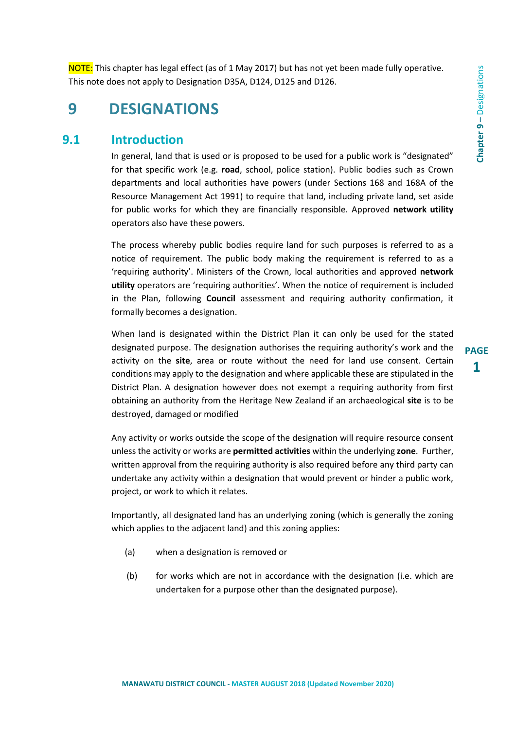NOTE: This chapter has legal effect (as of 1 May 2017) but has not yet been made fully operative. This note does not apply to Designation D35A, D124, D125 and D126.

# **9 DESIGNATIONS**

## <span id="page-2-0"></span>**9.1 Introduction**

In general, land that is used or is proposed to be used for a public work is "designated" for that specific work (e.g. **road**, school, police station). Public bodies such as Crown departments and local authorities have powers (under Sections 168 and 168A of the Resource Management Act 1991) to require that land, including private land, set aside for public works for which they are financially responsible. Approved **network utility** operators also have these powers.

The process whereby public bodies require land for such purposes is referred to as a notice of requirement. The public body making the requirement is referred to as a 'requiring authority'. Ministers of the Crown, local authorities and approved **network utility** operators are 'requiring authorities'. When the notice of requirement is included in the Plan, following **Council** assessment and requiring authority confirmation, it formally becomes a designation.

When land is designated within the District Plan it can only be used for the stated designated purpose. The designation authorises the requiring authority's work and the activity on the **site**, area or route without the need for land use consent. Certain conditions may apply to the designation and where applicable these are stipulated in the District Plan. A designation however does not exempt a requiring authority from first obtaining an authority from the Heritage New Zealand if an archaeological **site** is to be destroyed, damaged or modified

Any activity or works outside the scope of the designation will require resource consent unless the activity or works are **permitted activities** within the underlying **zone**. Further, written approval from the requiring authority is also required before any third party can undertake any activity within a designation that would prevent or hinder a public work, project, or work to which it relates.

Importantly, all designated land has an underlying zoning (which is generally the zoning which applies to the adjacent land) and this zoning applies:

- (a) when a designation is removed or
- (b) for works which are not in accordance with the designation (i.e. which are undertaken for a purpose other than the designated purpose).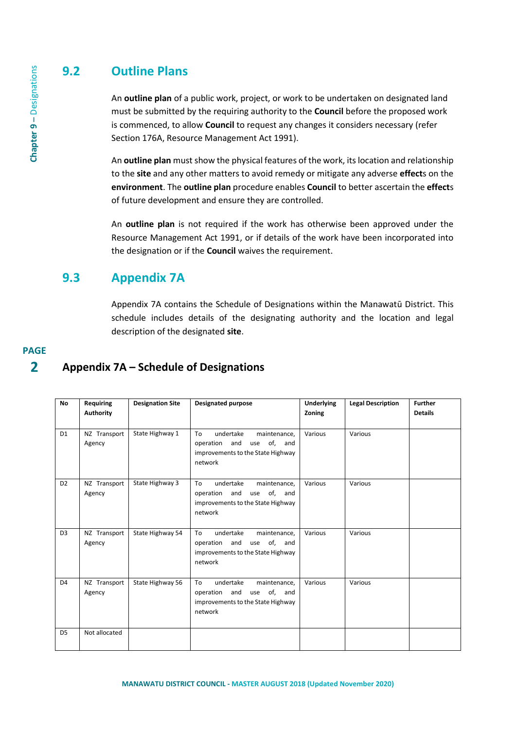## <span id="page-3-0"></span>**9.2 Outline Plans**

An **outline plan** of a public work, project, or work to be undertaken on designated land must be submitted by the requiring authority to the **Council** before the proposed work is commenced, to allow **Council** to request any changes it considers necessary (refer Section 176A, Resource Management Act 1991).

An **outline plan** must show the physical features of the work, its location and relationship to the **site** and any other matters to avoid remedy or mitigate any adverse **effect**s on the **environment**. The **outline plan** procedure enables **Council** to better ascertain the **effect**s of future development and ensure they are controlled.

An **outline plan** is not required if the work has otherwise been approved under the Resource Management Act 1991, or if details of the work have been incorporated into the designation or if the **Council** waives the requirement.

## <span id="page-3-1"></span>**9.3 Appendix 7A**

Appendix 7A contains the Schedule of Designations within the Manawatū District. This schedule includes details of the designating authority and the location and legal description of the designated **site**.

#### <span id="page-3-2"></span>**2 Appendix 7A – Schedule of Designations**

| <b>No</b>      | <b>Requiring</b><br>Authority | <b>Designation Site</b> | <b>Designated purpose</b>                                                                                                | Underlying<br>Zoning | <b>Legal Description</b> | <b>Further</b><br><b>Details</b> |
|----------------|-------------------------------|-------------------------|--------------------------------------------------------------------------------------------------------------------------|----------------------|--------------------------|----------------------------------|
| D <sub>1</sub> | NZ Transport<br>Agency        | State Highway 1         | undertake<br>To<br>maintenance,<br>and<br>use of, and<br>operation<br>improvements to the State Highway<br>network       | Various              | Various                  |                                  |
| D <sub>2</sub> | NZ Transport<br>Agency        | State Highway 3         | undertake<br>maintenance,<br>To<br>of,<br>operation<br>and<br>use<br>and<br>improvements to the State Highway<br>network | Various              | Various                  |                                  |
| D <sub>3</sub> | NZ Transport<br>Agency        | State Highway 54        | undertake<br>To<br>maintenance,<br>and use<br>of,<br>operation<br>and<br>improvements to the State Highway<br>network    | Various              | Various                  |                                  |
| D <sub>4</sub> | NZ Transport<br>Agency        | State Highway 56        | undertake<br>To<br>maintenance,<br>of, and<br>and use<br>operation<br>improvements to the State Highway<br>network       | Various              | Various                  |                                  |
| D <sub>5</sub> | Not allocated                 |                         |                                                                                                                          |                      |                          |                                  |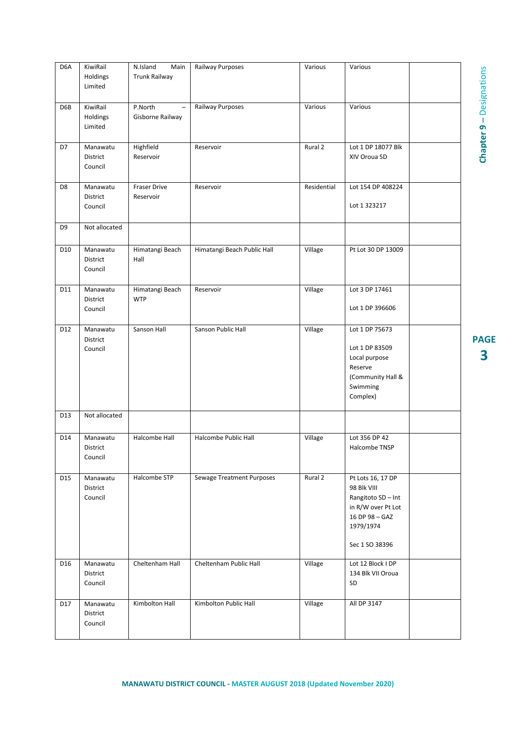| D <sub>6</sub> A | KiwiRail<br>Holdings<br>Limited | N.Island<br>Main<br><b>Trunk Railway</b> | Railway Purposes                 | Various     | Various                                                                                                                       |
|------------------|---------------------------------|------------------------------------------|----------------------------------|-------------|-------------------------------------------------------------------------------------------------------------------------------|
| D6B              | KiwiRail<br>Holdings<br>Limited | P.North<br>Gisborne Railway              | Railway Purposes                 | Various     | Various                                                                                                                       |
| D7               | Manawatu<br>District<br>Council | Highfield<br>Reservoir                   | Reservoir                        | Rural 2     | Lot 1 DP 18077 Blk<br>XIV Oroua SD                                                                                            |
| D8               | Manawatu<br>District<br>Council | <b>Fraser Drive</b><br>Reservoir         | Reservoir                        | Residential | Lot 154 DP 408224<br>Lot 1 323217                                                                                             |
| D <sub>9</sub>   | Not allocated                   |                                          |                                  |             |                                                                                                                               |
| D <sub>10</sub>  | Manawatu<br>District<br>Council | Himatangi Beach<br>Hall                  | Himatangi Beach Public Hall      | Village     | Pt Lot 30 DP 13009                                                                                                            |
| D11              | Manawatu<br>District<br>Council | Himatangi Beach<br><b>WTP</b>            | Reservoir                        | Village     | Lot 3 DP 17461<br>Lot 1 DP 396606                                                                                             |
| D12              | Manawatu<br>District<br>Council | Sanson Hall                              | Sanson Public Hall               | Village     | Lot 1 DP 75673<br>Lot 1 DP 83509<br>Local purpose<br>Reserve<br>(Community Hall &<br>Swimming<br>Complex)                     |
| D13              | Not allocated                   |                                          |                                  |             |                                                                                                                               |
| D14              | Manawatu<br>District<br>Council | Halcombe Hall                            | Halcombe Public Hall             | Village     | Lot 356 DP 42<br>Halcombe TNSP                                                                                                |
| D15              | Manawatu<br>District<br>Council | Halcombe STP                             | <b>Sewage Treatment Purposes</b> | Rural 2     | Pt Lots 16, 17 DP<br>98 Blk VIII<br>Rangitoto SD - Int<br>in R/W over Pt Lot<br>16 DP 98 - GAZ<br>1979/1974<br>Sec 1 SO 38396 |
| D <sub>16</sub>  | Manawatu<br>District<br>Council | Cheltenham Hall                          | Cheltenham Public Hall           | Village     | Lot 12 Block I DP<br>134 Blk VII Oroua<br>SD                                                                                  |
| D17              | Manawatu<br>District<br>Council | Kimbolton Hall                           | Kimbolton Public Hall            | Village     | All DP 3147                                                                                                                   |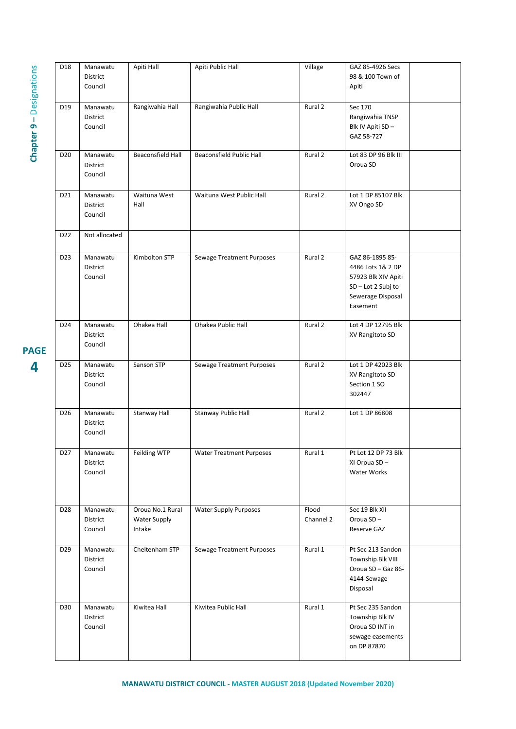|   | D18             | Manawatu<br>District<br>Council | Apiti Hall                                        | Apiti Public Hall                | Village            | GAZ 85-4926 Secs<br>98 & 100 Town of<br>Apiti                                                                    |
|---|-----------------|---------------------------------|---------------------------------------------------|----------------------------------|--------------------|------------------------------------------------------------------------------------------------------------------|
|   | D19             | Manawatu<br>District<br>Council | Rangiwahia Hall                                   | Rangiwahia Public Hall           | Rural 2            | Sec 170<br>Rangiwahia TNSP<br>Blk IV Apiti SD -<br>GAZ 58-727                                                    |
|   | D <sub>20</sub> | Manawatu<br>District<br>Council | <b>Beaconsfield Hall</b>                          | <b>Beaconsfield Public Hall</b>  | Rural 2            | Lot 83 DP 96 Blk III<br>Oroua SD                                                                                 |
|   | D <sub>21</sub> | Manawatu<br>District<br>Council | Waituna West<br>Hall                              | Waituna West Public Hall         | Rural 2            | Lot 1 DP 85107 Blk<br>XV Ongo SD                                                                                 |
|   | D <sub>22</sub> | Not allocated                   |                                                   |                                  |                    |                                                                                                                  |
| E | D <sub>23</sub> | Manawatu<br>District<br>Council | Kimbolton STP                                     | Sewage Treatment Purposes        | Rural 2            | GAZ 86-1895 85-<br>4486 Lots 1& 2 DP<br>57923 Blk XIV Apiti<br>SD-Lot 2 Subj to<br>Sewerage Disposal<br>Easement |
|   | D <sub>24</sub> | Manawatu<br>District<br>Council | Ohakea Hall                                       | Ohakea Public Hall               | Rural 2            | Lot 4 DP 12795 Blk<br>XV Rangitoto SD                                                                            |
|   | D <sub>25</sub> | Manawatu<br>District<br>Council | Sanson STP                                        | <b>Sewage Treatment Purposes</b> | Rural 2            | Lot 1 DP 42023 Blk<br>XV Rangitoto SD<br>Section 1 SO<br>302447                                                  |
|   | D <sub>26</sub> | Manawatu<br>District<br>Council | Stanway Hall                                      | Stanway Public Hall              | Rural 2            | Lot 1 DP 86808                                                                                                   |
|   | D <sub>27</sub> | Manawatu<br>District<br>Council | Feilding WTP                                      | <b>Water Treatment Purposes</b>  | Rural 1            | Pt Lot 12 DP 73 Blk<br>XI Oroua SD-<br>Water Works                                                               |
|   | D <sub>28</sub> | Manawatu<br>District<br>Council | Oroua No.1 Rural<br><b>Water Supply</b><br>Intake | <b>Water Supply Purposes</b>     | Flood<br>Channel 2 | Sec 19 Blk XII<br>Oroua SD-<br>Reserve GAZ                                                                       |
|   | D <sub>29</sub> | Manawatu<br>District<br>Council | Cheltenham STP                                    | <b>Sewage Treatment Purposes</b> | Rural 1            | Pt Sec 213 Sandon<br>Township Blk VIII<br>Oroua SD - Gaz 86-<br>4144-Sewage<br>Disposal                          |
|   | D30             | Manawatu<br>District<br>Council | Kiwitea Hall                                      | Kiwitea Public Hall              | Rural 1            | Pt Sec 235 Sandon<br>Township Blk IV<br>Oroua SD INT in<br>sewage easements<br>on DP 87870                       |

**Chapter 9–** Designations

**PAG 4**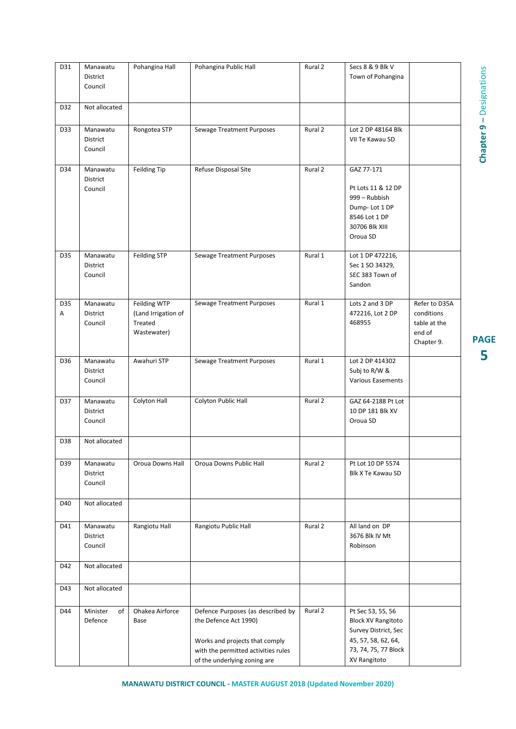| D31 | Manawatu        | Pohangina Hall      | Pohangina Public Hall               | Rural 2 | Secs 8 & 9 Blk V          |               |
|-----|-----------------|---------------------|-------------------------------------|---------|---------------------------|---------------|
|     | District        |                     |                                     |         | Town of Pohangina         |               |
|     | Council         |                     |                                     |         |                           |               |
|     |                 |                     |                                     |         |                           |               |
| D32 | Not allocated   |                     |                                     |         |                           |               |
|     |                 |                     |                                     |         |                           |               |
| D33 | Manawatu        | Rongotea STP        | <b>Sewage Treatment Purposes</b>    | Rural 2 | Lot 2 DP 48164 Blk        |               |
|     | District        |                     |                                     |         | VII Te Kawau SD           |               |
|     |                 |                     |                                     |         |                           |               |
|     | Council         |                     |                                     |         |                           |               |
|     |                 |                     |                                     |         |                           |               |
| D34 | Manawatu        | Feilding Tip        | Refuse Disposal Site                | Rural 2 | GAZ 77-171                |               |
|     | <b>District</b> |                     |                                     |         |                           |               |
|     | Council         |                     |                                     |         | Pt Lots 11 & 12 DP        |               |
|     |                 |                     |                                     |         | 999 - Rubbish             |               |
|     |                 |                     |                                     |         | Dump-Lot 1 DP             |               |
|     |                 |                     |                                     |         | 8546 Lot 1 DP             |               |
|     |                 |                     |                                     |         | 30706 Blk XIII            |               |
|     |                 |                     |                                     |         | Oroua SD                  |               |
|     |                 |                     |                                     |         |                           |               |
| D35 | Manawatu        | Feilding STP        | <b>Sewage Treatment Purposes</b>    | Rural 1 | Lot 1 DP 472216,          |               |
|     | District        |                     |                                     |         | Sec 1 SO 34329,           |               |
|     | Council         |                     |                                     |         | SEC 383 Town of           |               |
|     |                 |                     |                                     |         | Sandon                    |               |
|     |                 |                     |                                     |         |                           |               |
| D35 | Manawatu        | Feilding WTP        | <b>Sewage Treatment Purposes</b>    | Rural 1 | Lots 2 and 3 DP           | Refer to D35A |
| Α   | District        | (Land Irrigation of |                                     |         | 472216, Lot 2 DP          | conditions    |
|     | Council         | Treated             |                                     |         | 468955                    | table at the  |
|     |                 | Wastewater)         |                                     |         |                           | end of        |
|     |                 |                     |                                     |         |                           | Chapter 9.    |
|     |                 |                     |                                     |         |                           |               |
| D36 | Manawatu        | Awahuri STP         | Sewage Treatment Purposes           | Rural 1 | Lot 2 DP 414302           |               |
|     | District        |                     |                                     |         | Subj to R/W &             |               |
|     | Council         |                     |                                     |         | <b>Various Easements</b>  |               |
|     |                 |                     |                                     |         |                           |               |
| D37 | Manawatu        | Colyton Hall        | Colyton Public Hall                 | Rural 2 | GAZ 64-2188 Pt Lot        |               |
|     | District        |                     |                                     |         | 10 DP 181 Blk XV          |               |
|     | Council         |                     |                                     |         | Oroua SD                  |               |
|     |                 |                     |                                     |         |                           |               |
| D38 | Not allocated   |                     |                                     |         |                           |               |
|     |                 |                     |                                     |         |                           |               |
|     |                 |                     |                                     |         |                           |               |
| D39 | Manawatu        | Oroua Downs Hall    | Oroua Downs Public Hall             | Rural 2 | Pt Lot 10 DP 5574         |               |
|     | District        |                     |                                     |         | Blk X Te Kawau SD         |               |
|     | Council         |                     |                                     |         |                           |               |
|     |                 |                     |                                     |         |                           |               |
| D40 | Not allocated   |                     |                                     |         |                           |               |
|     |                 |                     |                                     |         |                           |               |
| D41 | Manawatu        | Rangiotu Hall       | Rangiotu Public Hall                | Rural 2 | All land on DP            |               |
|     | District        |                     |                                     |         | 3676 Blk IV Mt            |               |
|     | Council         |                     |                                     |         | Robinson                  |               |
|     |                 |                     |                                     |         |                           |               |
| D42 | Not allocated   |                     |                                     |         |                           |               |
|     |                 |                     |                                     |         |                           |               |
|     |                 |                     |                                     |         |                           |               |
| D43 | Not allocated   |                     |                                     |         |                           |               |
|     |                 |                     |                                     |         |                           |               |
| D44 | Minister<br>of  | Ohakea Airforce     | Defence Purposes (as described by   | Rural 2 | Pt Sec 53, 55, 56         |               |
|     | Defence         | Base                | the Defence Act 1990)               |         | <b>Block XV Rangitoto</b> |               |
|     |                 |                     |                                     |         | Survey District, Sec      |               |
|     |                 |                     | Works and projects that comply      |         | 45, 57, 58, 62, 64,       |               |
|     |                 |                     | with the permitted activities rules |         | 73, 74, 75, 77 Block      |               |
|     |                 |                     | of the underlying zoning are        |         | XV Rangitoto              |               |
|     |                 |                     |                                     |         |                           |               |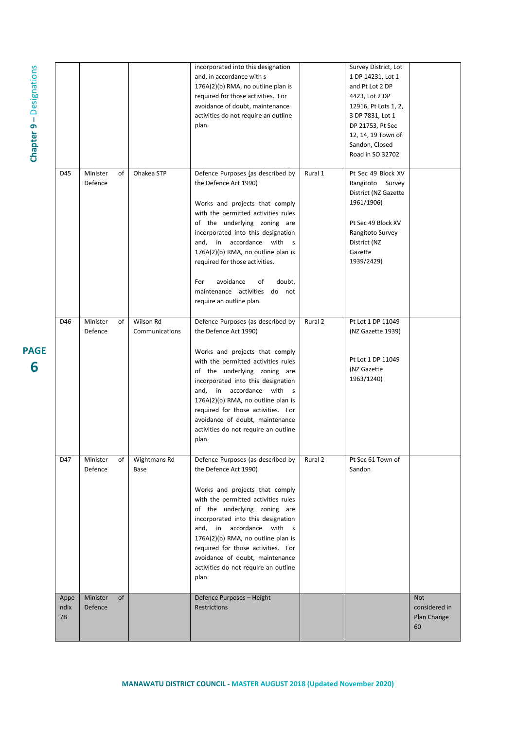|   |                    |                           |                                   | incorporated into this designation<br>and, in accordance with s<br>176A(2)(b) RMA, no outline plan is<br>required for those activities. For<br>avoidance of doubt, maintenance<br>activities do not require an outline<br>plan.                                                                                                                                                                                 |         | Survey District, Lot<br>1 DP 14231, Lot 1<br>and Pt Lot 2 DP<br>4423, Lot 2 DP<br>12916, Pt Lots 1, 2,<br>3 DP 7831, Lot 1<br>DP 21753, Pt Sec<br>12, 14, 19 Town of<br>Sandon, Closed<br>Road in SO 32702 |                                                  |
|---|--------------------|---------------------------|-----------------------------------|-----------------------------------------------------------------------------------------------------------------------------------------------------------------------------------------------------------------------------------------------------------------------------------------------------------------------------------------------------------------------------------------------------------------|---------|------------------------------------------------------------------------------------------------------------------------------------------------------------------------------------------------------------|--------------------------------------------------|
|   | D45                | Minister<br>Defence       | Ohakea STP<br>of                  | Defence Purposes (as described by<br>the Defence Act 1990)<br>Works and projects that comply<br>with the permitted activities rules<br>of the underlying zoning are<br>incorporated into this designation<br>and, in accordance with s<br>176A(2)(b) RMA, no outline plan is<br>required for those activities.<br>avoidance<br>For<br>of<br>doubt,<br>maintenance activities do not<br>require an outline plan. | Rural 1 | Pt Sec 49 Block XV<br>Rangitoto Survey<br>District (NZ Gazette<br>1961/1906)<br>Pt Sec 49 Block XV<br>Rangitoto Survey<br>District (NZ<br>Gazette<br>1939/2429)                                            |                                                  |
| E | D46                | Minister<br>Defence       | Wilson Rd<br>of<br>Communications | Defence Purposes (as described by<br>the Defence Act 1990)<br>Works and projects that comply<br>with the permitted activities rules<br>of the underlying zoning are<br>incorporated into this designation<br>and, in accordance with s<br>176A(2)(b) RMA, no outline plan is<br>required for those activities. For<br>avoidance of doubt, maintenance<br>activities do not require an outline<br>plan.          | Rural 2 | Pt Lot 1 DP 11049<br>(NZ Gazette 1939)<br>Pt Lot 1 DP 11049<br>(NZ Gazette<br>1963/1240)                                                                                                                   |                                                  |
|   | D47                | Minister<br>Defence       | Wightmans Rd<br>of<br>Base        | Defence Purposes (as described by<br>the Defence Act 1990)<br>Works and projects that comply<br>with the permitted activities rules<br>of the underlying zoning are<br>incorporated into this designation<br>and, in accordance with s<br>176A(2)(b) RMA, no outline plan is<br>required for those activities. For<br>avoidance of doubt, maintenance<br>activities do not require an outline<br>plan.          | Rural 2 | Pt Sec 61 Town of<br>Sandon                                                                                                                                                                                |                                                  |
|   | Appe<br>ndix<br>7B | of<br>Minister<br>Defence |                                   | Defence Purposes - Height<br><b>Restrictions</b>                                                                                                                                                                                                                                                                                                                                                                |         |                                                                                                                                                                                                            | <b>Not</b><br>considered in<br>Plan Change<br>60 |

**Chapter 9–** Designations

**PAG 6**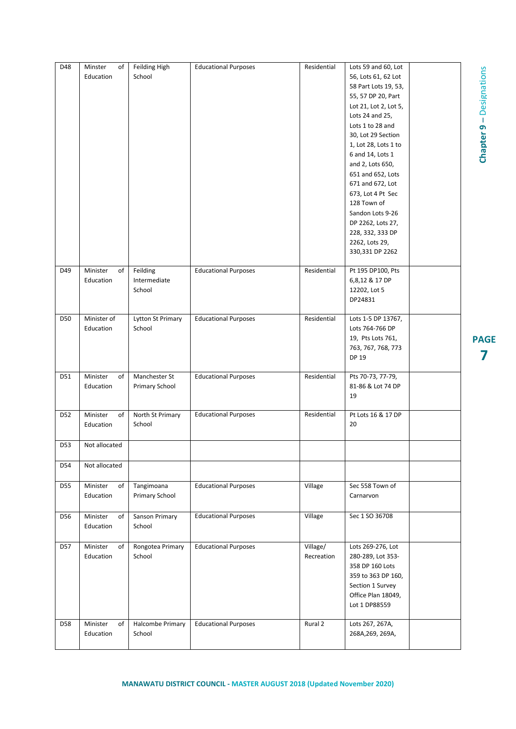| D48        | Minster<br>of  | Feilding High            | <b>Educational Purposes</b> | Residential | Lots 59 and 60, Lot   |   |
|------------|----------------|--------------------------|-----------------------------|-------------|-----------------------|---|
|            | Education      | School                   |                             |             | 56, Lots 61, 62 Lot   |   |
|            |                |                          |                             |             | 58 Part Lots 19, 53,  |   |
|            |                |                          |                             |             | 55, 57 DP 20, Part    |   |
|            |                |                          |                             |             | Lot 21, Lot 2, Lot 5, |   |
|            |                |                          |                             |             | Lots 24 and 25,       |   |
|            |                |                          |                             |             | Lots 1 to 28 and      |   |
|            |                |                          |                             |             | 30, Lot 29 Section    |   |
|            |                |                          |                             |             | 1, Lot 28, Lots 1 to  |   |
|            |                |                          |                             |             | 6 and 14, Lots 1      |   |
|            |                |                          |                             |             | and 2, Lots 650,      |   |
|            |                |                          |                             |             | 651 and 652, Lots     |   |
|            |                |                          |                             |             | 671 and 672, Lot      |   |
|            |                |                          |                             |             | 673, Lot 4 Pt Sec     |   |
|            |                |                          |                             |             | 128 Town of           |   |
|            |                |                          |                             |             | Sandon Lots 9-26      |   |
|            |                |                          |                             |             | DP 2262, Lots 27,     |   |
|            |                |                          |                             |             | 228, 332, 333 DP      |   |
|            |                |                          |                             |             | 2262, Lots 29,        |   |
|            |                |                          |                             |             | 330,331 DP 2262       |   |
|            | Minister<br>of | Feilding                 |                             | Residential | Pt 195 DP100, Pts     |   |
| D49        | Education      | Intermediate             | <b>Educational Purposes</b> |             | 6,8,12 & 17 DP        |   |
|            |                | School                   |                             |             | 12202, Lot 5          |   |
|            |                |                          |                             |             | DP24831               |   |
|            |                |                          |                             |             |                       |   |
| <b>D50</b> | Minister of    | <b>Lytton St Primary</b> | <b>Educational Purposes</b> | Residential | Lots 1-5 DP 13767,    |   |
|            | Education      | School                   |                             |             | Lots 764-766 DP       |   |
|            |                |                          |                             |             | 19, Pts Lots 761,     | P |
|            |                |                          |                             |             | 763, 767, 768, 773    |   |
|            |                |                          |                             |             | DP 19                 |   |
| D51        | Minister<br>of | Manchester St            | <b>Educational Purposes</b> | Residential | Pts 70-73, 77-79,     |   |
|            | Education      | Primary School           |                             |             | 81-86 & Lot 74 DP     |   |
|            |                |                          |                             |             | 19                    |   |
|            |                |                          |                             |             |                       |   |
| D52        | Minister<br>of | North St Primary         | <b>Educational Purposes</b> | Residential | Pt Lots 16 & 17 DP    |   |
|            | Education      | School                   |                             |             | 20                    |   |
|            |                |                          |                             |             |                       |   |
| D53        | Not allocated  |                          |                             |             |                       |   |
| D54        | Not allocated  |                          |                             |             |                       |   |
|            |                |                          |                             |             |                       |   |
| D55        | Minister<br>of | Tangimoana               | <b>Educational Purposes</b> | Village     | Sec 558 Town of       |   |
|            | Education      | Primary School           |                             |             | Carnarvon             |   |
|            |                |                          |                             |             |                       |   |
| D56        | Minister<br>of | Sanson Primary           | <b>Educational Purposes</b> | Village     | Sec 1 SO 36708        |   |
|            | Education      | School                   |                             |             |                       |   |
|            |                |                          |                             |             |                       |   |
| D57        | Minister<br>of | Rongotea Primary         | <b>Educational Purposes</b> | Village/    | Lots 269-276, Lot     |   |
|            | Education      | School                   |                             | Recreation  | 280-289, Lot 353-     |   |
|            |                |                          |                             |             | 358 DP 160 Lots       |   |
|            |                |                          |                             |             | 359 to 363 DP 160,    |   |
|            |                |                          |                             |             | Section 1 Survey      |   |
|            |                |                          |                             |             | Office Plan 18049,    |   |
|            |                |                          |                             |             | Lot 1 DP88559         |   |
| D58        | Minister<br>of | Halcombe Primary         | <b>Educational Purposes</b> | Rural 2     | Lots 267, 267A,       |   |
|            | Education      | School                   |                             |             | 268A, 269, 269A,      |   |
|            |                |                          |                             |             |                       |   |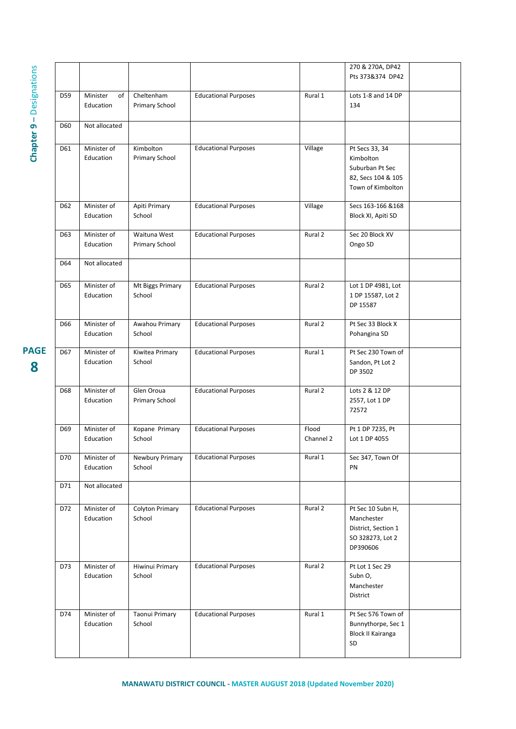|     |                             |                                  |                             |                    | 270 & 270A, DP42<br>Pts 373&374 DP42                                                      |  |
|-----|-----------------------------|----------------------------------|-----------------------------|--------------------|-------------------------------------------------------------------------------------------|--|
| D59 | Minister<br>of<br>Education | Cheltenham<br>Primary School     | <b>Educational Purposes</b> | Rural 1            | Lots 1-8 and 14 DP<br>134                                                                 |  |
| D60 | Not allocated               |                                  |                             |                    |                                                                                           |  |
| D61 | Minister of<br>Education    | Kimbolton<br>Primary School      | <b>Educational Purposes</b> | Village            | Pt Secs 33, 34<br>Kimbolton<br>Suburban Pt Sec<br>82, Secs 104 & 105<br>Town of Kimbolton |  |
| D62 | Minister of<br>Education    | Apiti Primary<br>School          | <b>Educational Purposes</b> | Village            | Secs 163-166 & 168<br>Block XI, Apiti SD                                                  |  |
| D63 | Minister of<br>Education    | Waituna West<br>Primary School   | <b>Educational Purposes</b> | Rural 2            | Sec 20 Block XV<br>Ongo SD                                                                |  |
| D64 | Not allocated               |                                  |                             |                    |                                                                                           |  |
| D65 | Minister of<br>Education    | Mt Biggs Primary<br>School       | <b>Educational Purposes</b> | Rural 2            | Lot 1 DP 4981, Lot<br>1 DP 15587, Lot 2<br>DP 15587                                       |  |
| D66 | Minister of<br>Education    | Awahou Primary<br>School         | <b>Educational Purposes</b> | Rural 2            | Pt Sec 33 Block X<br>Pohangina SD                                                         |  |
| D67 | Minister of<br>Education    | Kiwitea Primary<br>School        | <b>Educational Purposes</b> | Rural 1            | Pt Sec 230 Town of<br>Sandon, Pt Lot 2<br>DP 3502                                         |  |
| D68 | Minister of<br>Education    | Glen Oroua<br>Primary School     | <b>Educational Purposes</b> | Rural 2            | Lots 2 & 12 DP<br>2557, Lot 1 DP<br>72572                                                 |  |
| D69 | Minister of<br>Education    | Kopane Primary<br>School         | <b>Educational Purposes</b> | Flood<br>Channel 2 | Pt 1 DP 7235, Pt<br>Lot 1 DP 4055                                                         |  |
| D70 | Minister of<br>Education    | Newbury Primary<br>School        | <b>Educational Purposes</b> | Rural 1            | Sec 347, Town Of<br>PN                                                                    |  |
| D71 | Not allocated               |                                  |                             |                    |                                                                                           |  |
| D72 | Minister of<br>Education    | <b>Colyton Primary</b><br>School | <b>Educational Purposes</b> | Rural 2            | Pt Sec 10 Subn H,<br>Manchester<br>District, Section 1<br>SO 328273, Lot 2<br>DP390606    |  |
| D73 | Minister of<br>Education    | Hiwinui Primary<br>School        | <b>Educational Purposes</b> | Rural 2            | Pt Lot 1 Sec 29<br>Subn O,<br>Manchester<br>District                                      |  |
| D74 | Minister of<br>Education    | <b>Taonui Primary</b><br>School  | <b>Educational Purposes</b> | Rural 1            | Pt Sec 576 Town of<br>Bunnythorpe, Sec 1<br>Block II Kairanga<br>SD                       |  |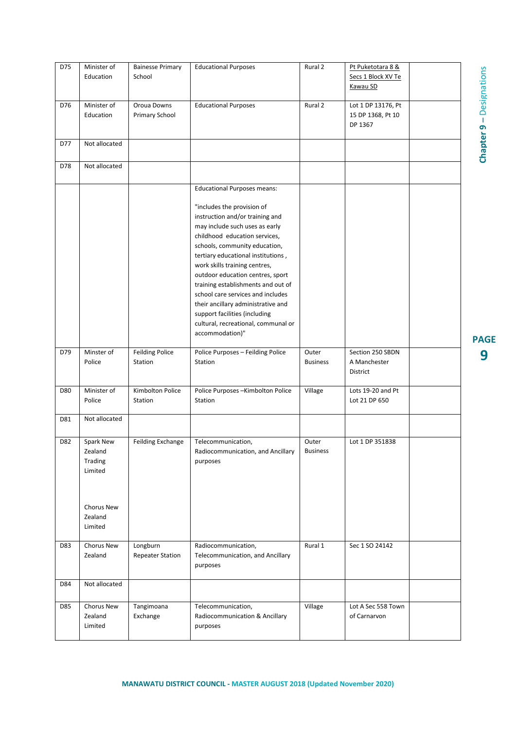| D75 | Minister of<br>Education                   | <b>Bainesse Primary</b><br>School   | <b>Educational Purposes</b>                                                                                                                                                                                                                                                                                                                                                                                                                                                                                                    | Rural 2                  | Pt Puketotara 8 &<br>Secs 1 Block XV Te<br>Kawau SD |  |
|-----|--------------------------------------------|-------------------------------------|--------------------------------------------------------------------------------------------------------------------------------------------------------------------------------------------------------------------------------------------------------------------------------------------------------------------------------------------------------------------------------------------------------------------------------------------------------------------------------------------------------------------------------|--------------------------|-----------------------------------------------------|--|
| D76 | Minister of<br>Education                   | Oroua Downs<br>Primary School       | <b>Educational Purposes</b>                                                                                                                                                                                                                                                                                                                                                                                                                                                                                                    | Rural 2                  | Lot 1 DP 13176, Pt<br>15 DP 1368, Pt 10<br>DP 1367  |  |
| D77 | Not allocated                              |                                     |                                                                                                                                                                                                                                                                                                                                                                                                                                                                                                                                |                          |                                                     |  |
| D78 | Not allocated                              |                                     |                                                                                                                                                                                                                                                                                                                                                                                                                                                                                                                                |                          |                                                     |  |
|     |                                            |                                     | <b>Educational Purposes means:</b><br>"includes the provision of<br>instruction and/or training and<br>may include such uses as early<br>childhood education services,<br>schools, community education,<br>tertiary educational institutions,<br>work skills training centres,<br>outdoor education centres, sport<br>training establishments and out of<br>school care services and includes<br>their ancillary administrative and<br>support facilities (including<br>cultural, recreational, communal or<br>accommodation)" |                          |                                                     |  |
| D79 | Minster of<br>Police                       | <b>Feilding Police</b><br>Station   | Police Purposes - Feilding Police<br>Station                                                                                                                                                                                                                                                                                                                                                                                                                                                                                   | Outer<br><b>Business</b> | Section 250 SBDN<br>A Manchester<br>District        |  |
| D80 | Minister of<br>Police                      | Kimbolton Police<br>Station         | Police Purposes - Kimbolton Police<br>Station                                                                                                                                                                                                                                                                                                                                                                                                                                                                                  | Village                  | Lots 19-20 and Pt<br>Lot 21 DP 650                  |  |
| D81 | Not allocated                              |                                     |                                                                                                                                                                                                                                                                                                                                                                                                                                                                                                                                |                          |                                                     |  |
| D82 | Spark New<br>Zealand<br>Trading<br>Limited | Feilding Exchange                   | Telecommunication,<br>Radiocommunication, and Ancillary<br>purposes                                                                                                                                                                                                                                                                                                                                                                                                                                                            | Outer<br><b>Business</b> | Lot 1 DP 351838                                     |  |
|     | Chorus New<br>Zealand<br>Limited           |                                     |                                                                                                                                                                                                                                                                                                                                                                                                                                                                                                                                |                          |                                                     |  |
| D83 | Chorus New<br>Zealand                      | Longburn<br><b>Repeater Station</b> | Radiocommunication,<br>Telecommunication, and Ancillary<br>purposes                                                                                                                                                                                                                                                                                                                                                                                                                                                            | Rural 1                  | Sec 1 SO 24142                                      |  |
| D84 | Not allocated                              |                                     |                                                                                                                                                                                                                                                                                                                                                                                                                                                                                                                                |                          |                                                     |  |
| D85 | Chorus New<br>Zealand<br>Limited           | Tangimoana<br>Exchange              | Telecommunication,<br>Radiocommunication & Ancillary<br>purposes                                                                                                                                                                                                                                                                                                                                                                                                                                                               | Village                  | Lot A Sec 558 Town<br>of Carnarvon                  |  |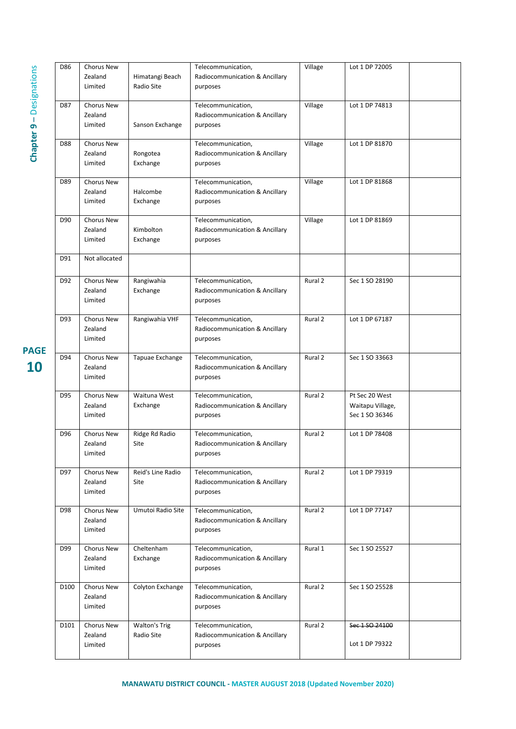| D86  | <b>Chorus New</b><br>Zealand<br>Limited | Himatangi Beach<br>Radio Site      | Telecommunication,<br>Radiocommunication & Ancillary<br>purposes | Village | Lot 1 DP 72005                                       |  |
|------|-----------------------------------------|------------------------------------|------------------------------------------------------------------|---------|------------------------------------------------------|--|
| D87  | <b>Chorus New</b><br>Zealand<br>Limited | Sanson Exchange                    | Telecommunication,<br>Radiocommunication & Ancillary<br>purposes | Village | Lot 1 DP 74813                                       |  |
| D88  | Chorus New<br>Zealand<br>Limited        | Rongotea<br>Exchange               | Telecommunication,<br>Radiocommunication & Ancillary<br>purposes | Village | Lot 1 DP 81870                                       |  |
| D89  | Chorus New<br>Zealand<br>Limited        | Halcombe<br>Exchange               | Telecommunication,<br>Radiocommunication & Ancillary<br>purposes | Village | Lot 1 DP 81868                                       |  |
| D90  | Chorus New<br>Zealand<br>Limited        | Kimbolton<br>Exchange              | Telecommunication,<br>Radiocommunication & Ancillary<br>purposes | Village | Lot 1 DP 81869                                       |  |
| D91  | Not allocated                           |                                    |                                                                  |         |                                                      |  |
| D92  | Chorus New<br>Zealand<br>Limited        | Rangiwahia<br>Exchange             | Telecommunication,<br>Radiocommunication & Ancillary<br>purposes | Rural 2 | Sec 1 SO 28190                                       |  |
| D93  | <b>Chorus New</b><br>Zealand<br>Limited | Rangiwahia VHF                     | Telecommunication,<br>Radiocommunication & Ancillary<br>purposes | Rural 2 | Lot 1 DP 67187                                       |  |
| D94  | <b>Chorus New</b><br>Zealand<br>Limited | Tapuae Exchange                    | Telecommunication,<br>Radiocommunication & Ancillary<br>purposes | Rural 2 | Sec 1 SO 33663                                       |  |
| D95  | <b>Chorus New</b><br>Zealand<br>Limited | Waituna West<br>Exchange           | Telecommunication,<br>Radiocommunication & Ancillary<br>purposes | Rural 2 | Pt Sec 20 West<br>Waitapu Village,<br>Sec 1 SO 36346 |  |
| D96  | Chorus New<br>Zealand<br>Limited        | Ridge Rd Radio<br>Site             | Telecommunication,<br>Radiocommunication & Ancillary<br>purposes | Rural 2 | Lot 1 DP 78408                                       |  |
| D97  | Chorus New<br>Zealand<br>Limited        | Reid's Line Radio<br>Site          | Telecommunication,<br>Radiocommunication & Ancillary<br>purposes | Rural 2 | Lot 1 DP 79319                                       |  |
| D98  | Chorus New<br>Zealand<br>Limited        | Umutoi Radio Site                  | Telecommunication,<br>Radiocommunication & Ancillary<br>purposes | Rural 2 | Lot 1 DP 77147                                       |  |
| D99  | <b>Chorus New</b><br>Zealand<br>Limited | Cheltenham<br>Exchange             | Telecommunication,<br>Radiocommunication & Ancillary<br>purposes | Rural 1 | Sec 1 SO 25527                                       |  |
| D100 | Chorus New<br>Zealand<br>Limited        | Colyton Exchange                   | Telecommunication,<br>Radiocommunication & Ancillary<br>purposes | Rural 2 | Sec 1 SO 25528                                       |  |
| D101 | Chorus New<br>Zealand<br>Limited        | <b>Walton's Trig</b><br>Radio Site | Telecommunication,<br>Radiocommunication & Ancillary<br>purposes | Rural 2 | Sec 1 SO 24100<br>Lot 1 DP 79322                     |  |

**Chapter 9–** Designations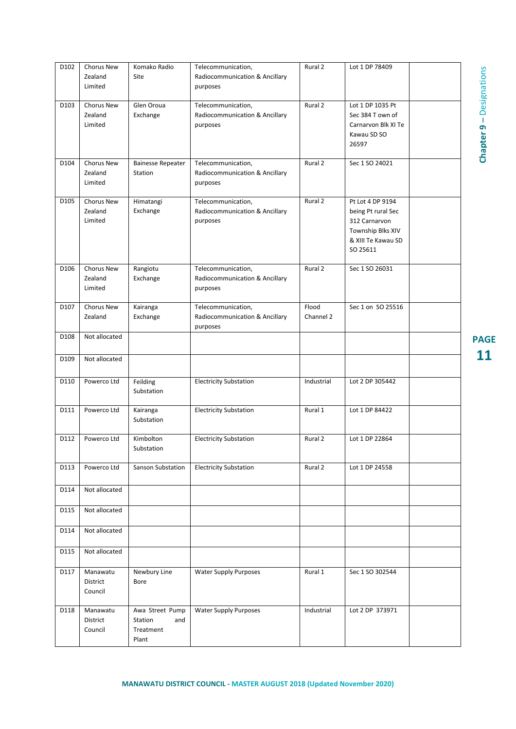| D102 | Chorus New<br>Zealand<br>Limited | Komako Radio<br><b>Site</b>                             | Telecommunication,<br>Radiocommunication & Ancillary<br>purposes | Rural 2            | Lot 1 DP 78409                                                                                                 |
|------|----------------------------------|---------------------------------------------------------|------------------------------------------------------------------|--------------------|----------------------------------------------------------------------------------------------------------------|
| D103 | Chorus New<br>Zealand<br>Limited | Glen Oroua<br>Exchange                                  | Telecommunication,<br>Radiocommunication & Ancillary<br>purposes | Rural 2            | Lot 1 DP 1035 Pt<br>Sec 384 T own of<br>Carnarvon Blk XI Te<br>Kawau SD SO<br>26597                            |
| D104 | Chorus New<br>Zealand<br>Limited | <b>Bainesse Repeater</b><br>Station                     | Telecommunication,<br>Radiocommunication & Ancillary<br>purposes | Rural 2            | Sec 1 SO 24021                                                                                                 |
| D105 | Chorus New<br>Zealand<br>Limited | Himatangi<br>Exchange                                   | Telecommunication,<br>Radiocommunication & Ancillary<br>purposes | Rural 2            | Pt Lot 4 DP 9194<br>being Pt rural Sec<br>312 Carnarvon<br>Township Blks XIV<br>& XIII Te Kawau SD<br>SO 25611 |
| D106 | Chorus New<br>Zealand<br>Limited | Rangiotu<br>Exchange                                    | Telecommunication,<br>Radiocommunication & Ancillary<br>purposes | Rural 2            | Sec 1 SO 26031                                                                                                 |
| D107 | Chorus New<br>Zealand            | Kairanga<br>Exchange                                    | Telecommunication,<br>Radiocommunication & Ancillary<br>purposes | Flood<br>Channel 2 | Sec 1 on SO 25516                                                                                              |
| D108 | Not allocated                    |                                                         |                                                                  |                    |                                                                                                                |
| D109 | Not allocated                    |                                                         |                                                                  |                    |                                                                                                                |
| D110 | Powerco Ltd                      | Feilding<br>Substation                                  | <b>Electricity Substation</b>                                    | Industrial         | Lot 2 DP 305442                                                                                                |
| D111 | Powerco Ltd                      | Kairanga<br>Substation                                  | <b>Electricity Substation</b>                                    | Rural 1            | Lot 1 DP 84422                                                                                                 |
| D112 | Powerco Ltd                      | Kimbolton<br>Substation                                 | <b>Electricity Substation</b>                                    | Rural 2            | Lot 1 DP 22864                                                                                                 |
| D113 | Powerco Ltd                      | Sanson Substation                                       | <b>Electricity Substation</b>                                    | Rural 2            | Lot 1 DP 24558                                                                                                 |
| D114 | Not allocated                    |                                                         |                                                                  |                    |                                                                                                                |
| D115 | Not allocated                    |                                                         |                                                                  |                    |                                                                                                                |
| D114 | Not allocated                    |                                                         |                                                                  |                    |                                                                                                                |
| D115 | Not allocated                    |                                                         |                                                                  |                    |                                                                                                                |
| D117 | Manawatu<br>District<br>Council  | Newbury Line<br>Bore                                    | <b>Water Supply Purposes</b>                                     | Rural 1            | Sec 1 SO 302544                                                                                                |
| D118 | Manawatu<br>District<br>Council  | Awa Street Pump<br>Station<br>and<br>Treatment<br>Plant | <b>Water Supply Purposes</b>                                     | Industrial         | Lot 2 DP 373971                                                                                                |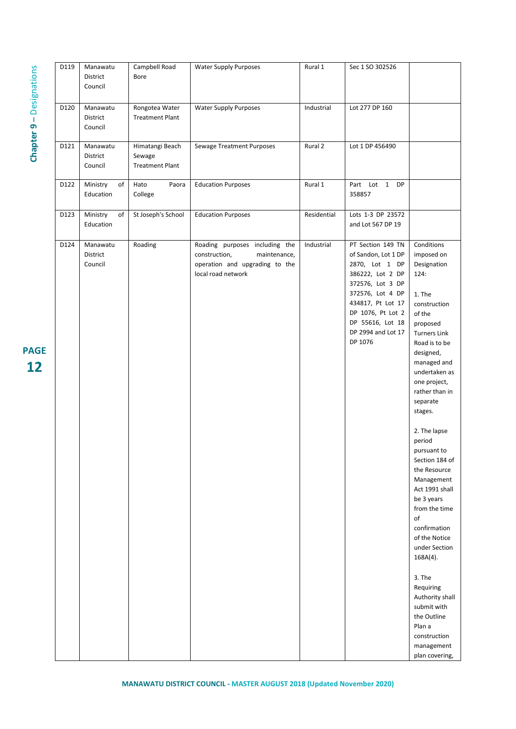| D119 | Manawatu<br><b>District</b><br>Council | Campbell Road<br>Bore                               | <b>Water Supply Purposes</b>                                                                                            | Rural 1     | Sec 1 SO 302526                                                                                                                                                                                                       |                                                                                                                                                                                                                                                                                                                                                                                                                                                                                                                                                                                               |
|------|----------------------------------------|-----------------------------------------------------|-------------------------------------------------------------------------------------------------------------------------|-------------|-----------------------------------------------------------------------------------------------------------------------------------------------------------------------------------------------------------------------|-----------------------------------------------------------------------------------------------------------------------------------------------------------------------------------------------------------------------------------------------------------------------------------------------------------------------------------------------------------------------------------------------------------------------------------------------------------------------------------------------------------------------------------------------------------------------------------------------|
| D120 | Manawatu<br>District<br>Council        | Rongotea Water<br><b>Treatment Plant</b>            | <b>Water Supply Purposes</b>                                                                                            | Industrial  | Lot 277 DP 160                                                                                                                                                                                                        |                                                                                                                                                                                                                                                                                                                                                                                                                                                                                                                                                                                               |
| D121 | Manawatu<br>District<br>Council        | Himatangi Beach<br>Sewage<br><b>Treatment Plant</b> | Sewage Treatment Purposes                                                                                               | Rural 2     | Lot 1 DP 456490                                                                                                                                                                                                       |                                                                                                                                                                                                                                                                                                                                                                                                                                                                                                                                                                                               |
| D122 | Ministry<br>of<br>Education            | Hato<br>Paora<br>College                            | <b>Education Purposes</b>                                                                                               | Rural 1     | Part Lot 1 DP<br>358857                                                                                                                                                                                               |                                                                                                                                                                                                                                                                                                                                                                                                                                                                                                                                                                                               |
| D123 | Ministry<br>of<br>Education            | St Joseph's School                                  | <b>Education Purposes</b>                                                                                               | Residential | Lots 1-3 DP 23572<br>and Lot 567 DP 19                                                                                                                                                                                |                                                                                                                                                                                                                                                                                                                                                                                                                                                                                                                                                                                               |
| D124 | Manawatu<br>District<br>Council        | Roading                                             | Roading purposes including the<br>construction,<br>maintenance,<br>operation and upgrading to the<br>local road network | Industrial  | PT Section 149 TN<br>of Sandon, Lot 1 DP<br>2870, Lot 1 DP<br>386222, Lot 2 DP<br>372576, Lot 3 DP<br>372576, Lot 4 DP<br>434817, Pt Lot 17<br>DP 1076, Pt Lot 2<br>DP 55616, Lot 18<br>DP 2994 and Lot 17<br>DP 1076 | Conditions<br>imposed on<br>Designation<br>124:<br>1. The<br>construction<br>of the<br>proposed<br><b>Turners Link</b><br>Road is to be<br>designed,<br>managed and<br>undertaken as<br>one project,<br>rather than in<br>separate<br>stages.<br>2. The lapse<br>period<br>pursuant to<br>Section 184 of<br>the Resource<br>Management<br>Act 1991 shall<br>be 3 years<br>from the time<br>of<br>confirmation<br>of the Notice<br>under Section<br>168A(4).<br>3. The<br>Requiring<br>Authority shall<br>submit with<br>the Outline<br>Plan a<br>construction<br>management<br>plan covering, |

**Chapter 9–** Designations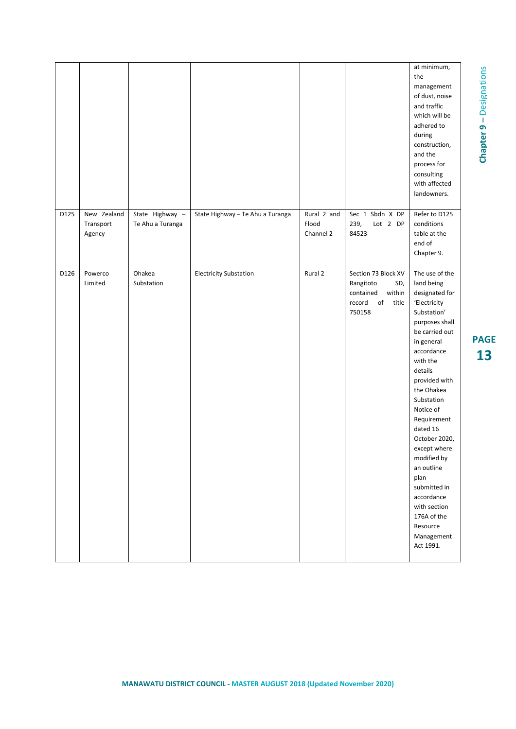|      |                                    |                                     |                                  |                                   |                                                                                                   | at minimum,<br>the<br>management<br>of dust, noise<br>and traffic<br>which will be<br>adhered to<br>during<br>construction,<br>and the<br>process for                                                                                                                                                                                                                                                                               |
|------|------------------------------------|-------------------------------------|----------------------------------|-----------------------------------|---------------------------------------------------------------------------------------------------|-------------------------------------------------------------------------------------------------------------------------------------------------------------------------------------------------------------------------------------------------------------------------------------------------------------------------------------------------------------------------------------------------------------------------------------|
|      |                                    |                                     |                                  |                                   |                                                                                                   | consulting<br>with affected<br>landowners.                                                                                                                                                                                                                                                                                                                                                                                          |
| D125 | New Zealand<br>Transport<br>Agency | State Highway -<br>Te Ahu a Turanga | State Highway - Te Ahu a Turanga | Rural 2 and<br>Flood<br>Channel 2 | Sec 1 Sbdn X DP<br>239,<br>Lot 2 DP<br>84523                                                      | Refer to D125<br>conditions<br>table at the<br>end of<br>Chapter 9.                                                                                                                                                                                                                                                                                                                                                                 |
| D126 | Powerco<br>Limited                 | Ohakea<br>Substation                | <b>Electricity Substation</b>    | Rural 2                           | Section 73 Block XV<br>Rangitoto<br>SD,<br>contained<br>within<br>of<br>title<br>record<br>750158 | The use of the<br>land being<br>designated for<br>'Electricity<br>Substation'<br>purposes shall<br>be carried out<br>in general<br>accordance<br>with the<br>details<br>provided with<br>the Ohakea<br>Substation<br>Notice of<br>Requirement<br>dated 16<br>October 2020,<br>except where<br>modified by<br>an outline<br>plan<br>submitted in<br>accordance<br>with section<br>176A of the<br>Resource<br>Management<br>Act 1991. |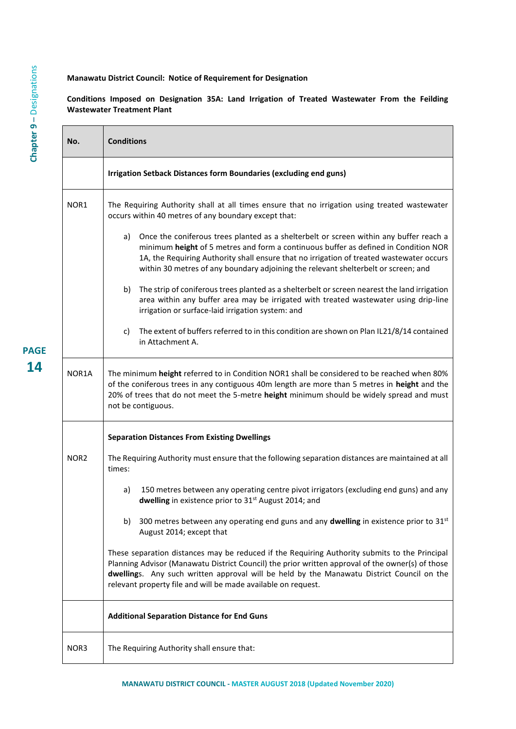#### **Manawatu District Council: Notice of Requirement for Designation**

**Conditions Imposed on Designation 35A: Land Irrigation of Treated Wastewater From the Feilding Wastewater Treatment Plant**

| No.                | <b>Conditions</b>                                                                                                                                                                                                                                                                                                                                                     |  |  |
|--------------------|-----------------------------------------------------------------------------------------------------------------------------------------------------------------------------------------------------------------------------------------------------------------------------------------------------------------------------------------------------------------------|--|--|
|                    | Irrigation Setback Distances form Boundaries (excluding end guns)                                                                                                                                                                                                                                                                                                     |  |  |
| NOR1               | The Requiring Authority shall at all times ensure that no irrigation using treated wastewater<br>occurs within 40 metres of any boundary except that:                                                                                                                                                                                                                 |  |  |
|                    | Once the coniferous trees planted as a shelterbelt or screen within any buffer reach a<br>a)<br>minimum height of 5 metres and form a continuous buffer as defined in Condition NOR<br>1A, the Requiring Authority shall ensure that no irrigation of treated wastewater occurs<br>within 30 metres of any boundary adjoining the relevant shelterbelt or screen; and |  |  |
|                    | b)<br>The strip of coniferous trees planted as a shelterbelt or screen nearest the land irrigation<br>area within any buffer area may be irrigated with treated wastewater using drip-line<br>irrigation or surface-laid irrigation system: and                                                                                                                       |  |  |
|                    | c)<br>The extent of buffers referred to in this condition are shown on Plan IL21/8/14 contained<br>in Attachment A.                                                                                                                                                                                                                                                   |  |  |
| NOR <sub>1</sub> A | The minimum height referred to in Condition NOR1 shall be considered to be reached when 80%<br>of the coniferous trees in any contiguous 40m length are more than 5 metres in height and the<br>20% of trees that do not meet the 5-metre height minimum should be widely spread and must<br>not be contiguous.                                                       |  |  |
|                    | <b>Separation Distances From Existing Dwellings</b>                                                                                                                                                                                                                                                                                                                   |  |  |
| NOR <sub>2</sub>   | The Requiring Authority must ensure that the following separation distances are maintained at all<br>times:                                                                                                                                                                                                                                                           |  |  |
|                    | 150 metres between any operating centre pivot irrigators (excluding end guns) and any<br>a)<br>dwelling in existence prior to 31 <sup>st</sup> August 2014; and                                                                                                                                                                                                       |  |  |
|                    | 300 metres between any operating end guns and any dwelling in existence prior to 31st<br>b)<br>August 2014; except that                                                                                                                                                                                                                                               |  |  |
|                    | These separation distances may be reduced if the Requiring Authority submits to the Principal<br>Planning Advisor (Manawatu District Council) the prior written approval of the owner(s) of those<br>dwellings. Any such written approval will be held by the Manawatu District Council on the<br>relevant property file and will be made available on request.       |  |  |
|                    | <b>Additional Separation Distance for End Guns</b>                                                                                                                                                                                                                                                                                                                    |  |  |
| NOR3               | The Requiring Authority shall ensure that:                                                                                                                                                                                                                                                                                                                            |  |  |

**Chapter 9–** Designations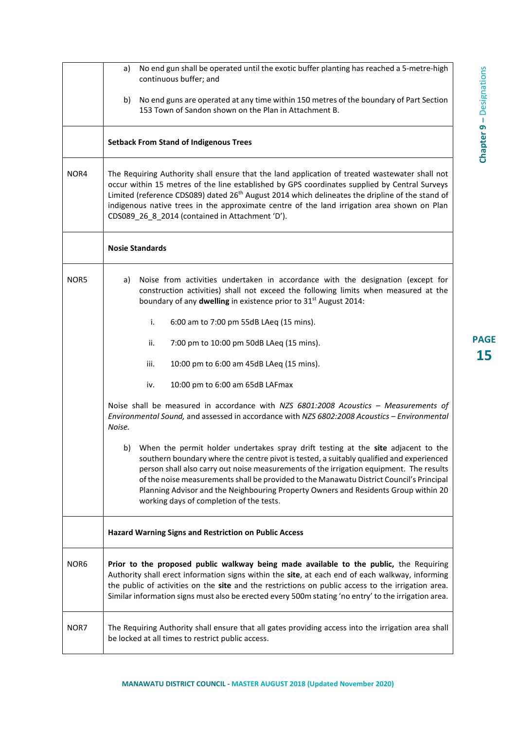|      | No end gun shall be operated until the exotic buffer planting has reached a 5-metre-high<br>a)<br>continuous buffer; and                                                                                                                                                                                                                                                                                                                                                                                      |
|------|---------------------------------------------------------------------------------------------------------------------------------------------------------------------------------------------------------------------------------------------------------------------------------------------------------------------------------------------------------------------------------------------------------------------------------------------------------------------------------------------------------------|
|      | No end guns are operated at any time within 150 metres of the boundary of Part Section<br>b)<br>153 Town of Sandon shown on the Plan in Attachment B.                                                                                                                                                                                                                                                                                                                                                         |
|      | <b>Setback From Stand of Indigenous Trees</b>                                                                                                                                                                                                                                                                                                                                                                                                                                                                 |
| NOR4 | The Requiring Authority shall ensure that the land application of treated wastewater shall not<br>occur within 15 metres of the line established by GPS coordinates supplied by Central Surveys<br>Limited (reference CDS089) dated 26 <sup>th</sup> August 2014 which delineates the dripline of the stand of<br>indigenous native trees in the approximate centre of the land irrigation area shown on Plan<br>CDS089_26_8_2014 (contained in Attachment 'D').                                              |
|      | <b>Nosie Standards</b>                                                                                                                                                                                                                                                                                                                                                                                                                                                                                        |
| NOR5 | Noise from activities undertaken in accordance with the designation (except for<br>a)<br>construction activities) shall not exceed the following limits when measured at the<br>boundary of any dwelling in existence prior to 31 <sup>st</sup> August 2014:                                                                                                                                                                                                                                                  |
|      | i.<br>6:00 am to 7:00 pm 55dB LAeq (15 mins).                                                                                                                                                                                                                                                                                                                                                                                                                                                                 |
|      | 7:00 pm to 10:00 pm 50dB LAeq (15 mins).<br>ii.                                                                                                                                                                                                                                                                                                                                                                                                                                                               |
|      | 10:00 pm to 6:00 am 45dB LAeq (15 mins).<br>iii.                                                                                                                                                                                                                                                                                                                                                                                                                                                              |
|      | 10:00 pm to 6:00 am 65dB LAFmax<br>iv.                                                                                                                                                                                                                                                                                                                                                                                                                                                                        |
|      | Noise shall be measured in accordance with NZS 6801:2008 Acoustics - Measurements of<br>Environmental Sound, and assessed in accordance with NZS 6802:2008 Acoustics - Environmental<br>Noise.                                                                                                                                                                                                                                                                                                                |
|      | When the permit holder undertakes spray drift testing at the site adjacent to the<br>b)<br>southern boundary where the centre pivot is tested, a suitably qualified and experienced<br>person shall also carry out noise measurements of the irrigation equipment. The results<br>of the noise measurements shall be provided to the Manawatu District Council's Principal<br>Planning Advisor and the Neighbouring Property Owners and Residents Group within 20<br>working days of completion of the tests. |
|      | <b>Hazard Warning Signs and Restriction on Public Access</b>                                                                                                                                                                                                                                                                                                                                                                                                                                                  |
| NOR6 | Prior to the proposed public walkway being made available to the public, the Requiring<br>Authority shall erect information signs within the site, at each end of each walkway, informing<br>the public of activities on the site and the restrictions on public access to the irrigation area.<br>Similar information signs must also be erected every 500m stating 'no entry' to the irrigation area.                                                                                                       |
| NOR7 | The Requiring Authority shall ensure that all gates providing access into the irrigation area shall<br>be locked at all times to restrict public access.                                                                                                                                                                                                                                                                                                                                                      |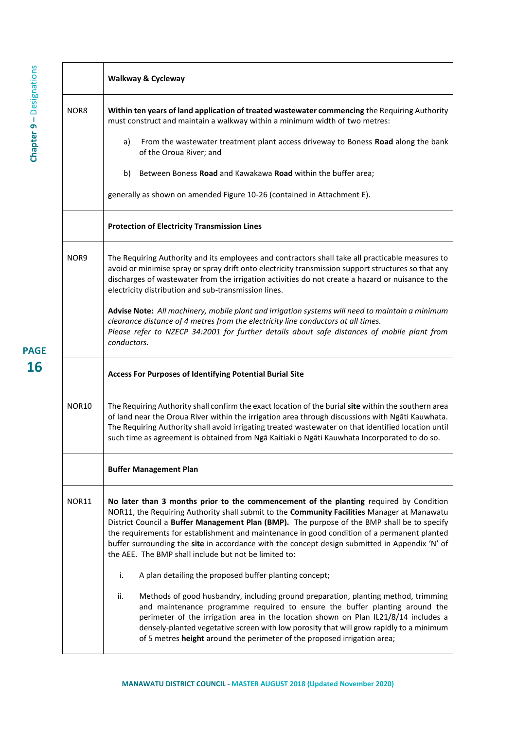|              | <b>Walkway &amp; Cycleway</b>                                                                                                                                                                                                                                                                                                                                                                                                                                                                                                                  |
|--------------|------------------------------------------------------------------------------------------------------------------------------------------------------------------------------------------------------------------------------------------------------------------------------------------------------------------------------------------------------------------------------------------------------------------------------------------------------------------------------------------------------------------------------------------------|
| NOR8         | Within ten years of land application of treated wastewater commencing the Requiring Authority<br>must construct and maintain a walkway within a minimum width of two metres:                                                                                                                                                                                                                                                                                                                                                                   |
|              | From the wastewater treatment plant access driveway to Boness Road along the bank<br>a)<br>of the Oroua River; and                                                                                                                                                                                                                                                                                                                                                                                                                             |
|              | b)<br>Between Boness Road and Kawakawa Road within the buffer area;                                                                                                                                                                                                                                                                                                                                                                                                                                                                            |
|              | generally as shown on amended Figure 10-26 (contained in Attachment E).                                                                                                                                                                                                                                                                                                                                                                                                                                                                        |
|              | <b>Protection of Electricity Transmission Lines</b>                                                                                                                                                                                                                                                                                                                                                                                                                                                                                            |
| NOR9         | The Requiring Authority and its employees and contractors shall take all practicable measures to<br>avoid or minimise spray or spray drift onto electricity transmission support structures so that any<br>discharges of wastewater from the irrigation activities do not create a hazard or nuisance to the<br>electricity distribution and sub-transmission lines.                                                                                                                                                                           |
|              | Advise Note: All machinery, mobile plant and irrigation systems will need to maintain a minimum<br>clearance distance of 4 metres from the electricity line conductors at all times.<br>Please refer to NZECP 34:2001 for further details about safe distances of mobile plant from<br>conductors.                                                                                                                                                                                                                                             |
|              | <b>Access For Purposes of Identifying Potential Burial Site</b>                                                                                                                                                                                                                                                                                                                                                                                                                                                                                |
| <b>NOR10</b> | The Requiring Authority shall confirm the exact location of the burial site within the southern area<br>of land near the Oroua River within the irrigation area through discussions with Ngāti Kauwhata.<br>The Requiring Authority shall avoid irrigating treated wastewater on that identified location until<br>such time as agreement is obtained from Nga Kaitiaki o Ngati Kauwhata Incorporated to do so.                                                                                                                                |
|              | <b>Buffer Management Plan</b>                                                                                                                                                                                                                                                                                                                                                                                                                                                                                                                  |
| <b>NOR11</b> | No later than 3 months prior to the commencement of the planting required by Condition<br>NOR11, the Requiring Authority shall submit to the Community Facilities Manager at Manawatu<br>District Council a Buffer Management Plan (BMP). The purpose of the BMP shall be to specify<br>the requirements for establishment and maintenance in good condition of a permanent planted<br>buffer surrounding the site in accordance with the concept design submitted in Appendix 'N' of<br>the AEE. The BMP shall include but not be limited to: |
|              | i.<br>A plan detailing the proposed buffer planting concept;                                                                                                                                                                                                                                                                                                                                                                                                                                                                                   |
|              | Methods of good husbandry, including ground preparation, planting method, trimming<br>ii.<br>and maintenance programme required to ensure the buffer planting around the<br>perimeter of the irrigation area in the location shown on Plan IL21/8/14 includes a<br>densely-planted vegetative screen with low porosity that will grow rapidly to a minimum<br>of 5 metres height around the perimeter of the proposed irrigation area;                                                                                                         |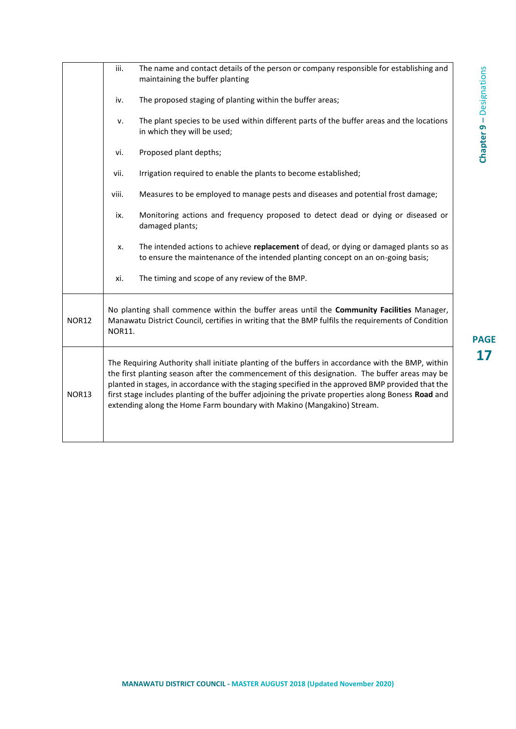|              | iii.          | The name and contact details of the person or company responsible for establishing and<br>maintaining the buffer planting                                                                                                                                                                                                                                                                                                                                                               |
|--------------|---------------|-----------------------------------------------------------------------------------------------------------------------------------------------------------------------------------------------------------------------------------------------------------------------------------------------------------------------------------------------------------------------------------------------------------------------------------------------------------------------------------------|
|              | iv.           | The proposed staging of planting within the buffer areas;                                                                                                                                                                                                                                                                                                                                                                                                                               |
|              | v.            | The plant species to be used within different parts of the buffer areas and the locations<br>in which they will be used;                                                                                                                                                                                                                                                                                                                                                                |
|              | vi.           | Proposed plant depths;                                                                                                                                                                                                                                                                                                                                                                                                                                                                  |
|              | vii.          | Irrigation required to enable the plants to become established;                                                                                                                                                                                                                                                                                                                                                                                                                         |
|              | viii.         | Measures to be employed to manage pests and diseases and potential frost damage;                                                                                                                                                                                                                                                                                                                                                                                                        |
|              | ix.           | Monitoring actions and frequency proposed to detect dead or dying or diseased or<br>damaged plants;                                                                                                                                                                                                                                                                                                                                                                                     |
|              | х.            | The intended actions to achieve replacement of dead, or dying or damaged plants so as<br>to ensure the maintenance of the intended planting concept on an on-going basis;                                                                                                                                                                                                                                                                                                               |
|              | xi.           | The timing and scope of any review of the BMP.                                                                                                                                                                                                                                                                                                                                                                                                                                          |
| <b>NOR12</b> | <b>NOR11.</b> | No planting shall commence within the buffer areas until the Community Facilities Manager,<br>Manawatu District Council, certifies in writing that the BMP fulfils the requirements of Condition                                                                                                                                                                                                                                                                                        |
| NOR13        |               | The Requiring Authority shall initiate planting of the buffers in accordance with the BMP, within<br>the first planting season after the commencement of this designation. The buffer areas may be<br>planted in stages, in accordance with the staging specified in the approved BMP provided that the<br>first stage includes planting of the buffer adjoining the private properties along Boness Road and<br>extending along the Home Farm boundary with Makino (Mangakino) Stream. |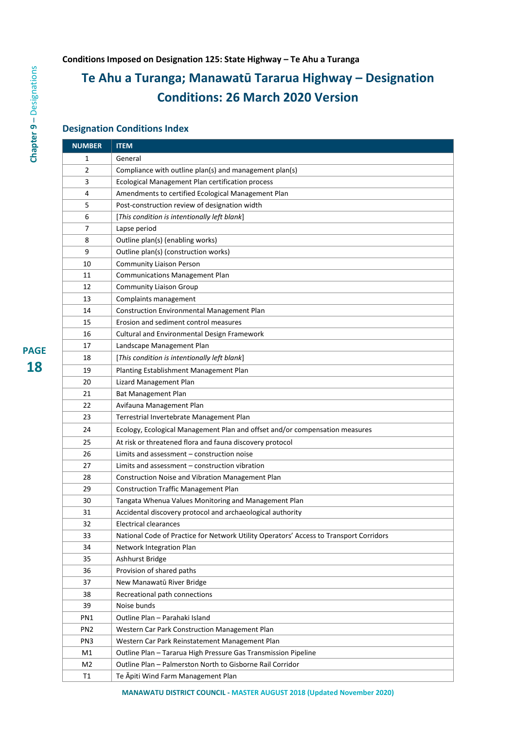# **Te Ahu a Turanga; Manawatū Tararua Highway – Designation Conditions: 26 March 2020 Version**

## **Designation Conditions Index**

| <b>NUMBER</b>   | <b>ITEM</b>                                                                            |
|-----------------|----------------------------------------------------------------------------------------|
| 1               | General                                                                                |
| 2               | Compliance with outline plan(s) and management plan(s)                                 |
| 3               | Ecological Management Plan certification process                                       |
| 4               | Amendments to certified Ecological Management Plan                                     |
| 5               | Post-construction review of designation width                                          |
| 6               | [This condition is intentionally left blank]                                           |
| 7               | Lapse period                                                                           |
| 8               | Outline plan(s) (enabling works)                                                       |
| 9               | Outline plan(s) (construction works)                                                   |
| 10              | <b>Community Liaison Person</b>                                                        |
| 11              | <b>Communications Management Plan</b>                                                  |
| 12              | <b>Community Liaison Group</b>                                                         |
| 13              | Complaints management                                                                  |
| 14              | Construction Environmental Management Plan                                             |
| 15              | Erosion and sediment control measures                                                  |
| 16              | Cultural and Environmental Design Framework                                            |
| 17              | Landscape Management Plan                                                              |
| 18              | [This condition is intentionally left blank]                                           |
| 19              | Planting Establishment Management Plan                                                 |
| 20              | <b>Lizard Management Plan</b>                                                          |
| 21              | <b>Bat Management Plan</b>                                                             |
| 22              | Avifauna Management Plan                                                               |
| 23              | Terrestrial Invertebrate Management Plan                                               |
| 24              | Ecology, Ecological Management Plan and offset and/or compensation measures            |
| 25              | At risk or threatened flora and fauna discovery protocol                               |
| 26              | Limits and assessment - construction noise                                             |
| 27              | Limits and assessment - construction vibration                                         |
| 28              | Construction Noise and Vibration Management Plan                                       |
| 29              | <b>Construction Traffic Management Plan</b>                                            |
| 30              | Tangata Whenua Values Monitoring and Management Plan                                   |
| 31              | Accidental discovery protocol and archaeological authority                             |
| 32              | Electrical clearances                                                                  |
| 33              | National Code of Practice for Network Utility Operators' Access to Transport Corridors |
| 34              | Network Integration Plan                                                               |
| 35              | Ashhurst Bridge                                                                        |
| 36              | Provision of shared paths                                                              |
| 37              | New Manawatū River Bridge                                                              |
| 38              | Recreational path connections                                                          |
| 39              | Noise bunds                                                                            |
| PN1             | Outline Plan - Parahaki Island                                                         |
| PN <sub>2</sub> | Western Car Park Construction Management Plan                                          |
| PN3             | Western Car Park Reinstatement Management Plan                                         |
| M1              | Outline Plan - Tararua High Pressure Gas Transmission Pipeline                         |
| M <sub>2</sub>  | Outline Plan - Palmerston North to Gisborne Rail Corridor                              |
| T <sub>1</sub>  | Te Apiti Wind Farm Management Plan                                                     |

**MANAWATU DISTRICT COUNCIL - MASTER AUGUST 2018 (Updated November 2020)**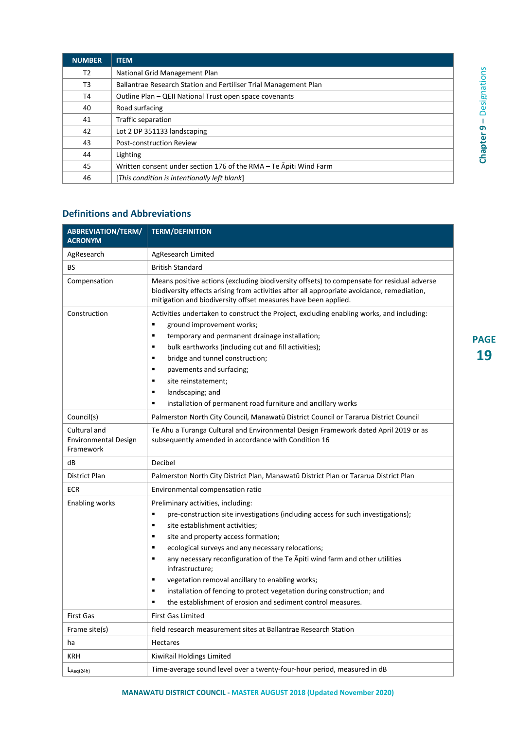| <b>NUMBER</b>  | <b>ITEM</b>                                                       |
|----------------|-------------------------------------------------------------------|
| T <sub>2</sub> | National Grid Management Plan                                     |
| T3             | Ballantrae Research Station and Fertiliser Trial Management Plan  |
| T4             | Outline Plan - QEII National Trust open space covenants           |
| 40             | Road surfacing                                                    |
| 41             | Traffic separation                                                |
| 42             | Lot 2 DP 351133 landscaping                                       |
| 43             | Post-construction Review                                          |
| 44             | Lighting                                                          |
| 45             | Written consent under section 176 of the RMA – Te Apiti Wind Farm |
| 46             | [This condition is intentionally left blank]                      |

### **Definitions and Abbreviations**

| <b>ABBREVIATION/TERM/</b><br><b>ACRONYM</b>              | <b>TERM/DEFINITION</b>                                                                                                                                                                                                                                                                                                                                                                                                                                                                                                                                                                |
|----------------------------------------------------------|---------------------------------------------------------------------------------------------------------------------------------------------------------------------------------------------------------------------------------------------------------------------------------------------------------------------------------------------------------------------------------------------------------------------------------------------------------------------------------------------------------------------------------------------------------------------------------------|
| AgResearch                                               | AgResearch Limited                                                                                                                                                                                                                                                                                                                                                                                                                                                                                                                                                                    |
| <b>BS</b>                                                | <b>British Standard</b>                                                                                                                                                                                                                                                                                                                                                                                                                                                                                                                                                               |
| Compensation                                             | Means positive actions (excluding biodiversity offsets) to compensate for residual adverse<br>biodiversity effects arising from activities after all appropriate avoidance, remediation,<br>mitigation and biodiversity offset measures have been applied.                                                                                                                                                                                                                                                                                                                            |
| Construction                                             | Activities undertaken to construct the Project, excluding enabling works, and including:<br>ground improvement works;<br>٠<br>temporary and permanent drainage installation;<br>٠<br>bulk earthworks (including cut and fill activities);<br>٠<br>bridge and tunnel construction;<br>٠<br>pavements and surfacing;<br>٠<br>site reinstatement;<br>٠<br>landscaping; and<br>٠<br>installation of permanent road furniture and ancillary works<br>٠                                                                                                                                     |
| Council(s)                                               | Palmerston North City Council, Manawatū District Council or Tararua District Council                                                                                                                                                                                                                                                                                                                                                                                                                                                                                                  |
| Cultural and<br><b>Environmental Design</b><br>Framework | Te Ahu a Turanga Cultural and Environmental Design Framework dated April 2019 or as<br>subsequently amended in accordance with Condition 16                                                                                                                                                                                                                                                                                                                                                                                                                                           |
| dB                                                       | Decibel                                                                                                                                                                                                                                                                                                                                                                                                                                                                                                                                                                               |
| <b>District Plan</b>                                     | Palmerston North City District Plan, Manawatū District Plan or Tararua District Plan                                                                                                                                                                                                                                                                                                                                                                                                                                                                                                  |
| <b>ECR</b>                                               | Environmental compensation ratio                                                                                                                                                                                                                                                                                                                                                                                                                                                                                                                                                      |
| <b>Enabling works</b>                                    | Preliminary activities, including:<br>pre-construction site investigations (including access for such investigations);<br>Е<br>site establishment activities;<br>٠<br>site and property access formation;<br>٠<br>ecological surveys and any necessary relocations;<br>٠<br>any necessary reconfiguration of the Te Apiti wind farm and other utilities<br>٠<br>infrastructure;<br>vegetation removal ancillary to enabling works;<br>٠<br>installation of fencing to protect vegetation during construction; and<br>٠<br>the establishment of erosion and sediment control measures. |
| <b>First Gas</b>                                         | First Gas Limited                                                                                                                                                                                                                                                                                                                                                                                                                                                                                                                                                                     |
| Frame site(s)                                            | field research measurement sites at Ballantrae Research Station                                                                                                                                                                                                                                                                                                                                                                                                                                                                                                                       |
| ha                                                       | <b>Hectares</b>                                                                                                                                                                                                                                                                                                                                                                                                                                                                                                                                                                       |
| <b>KRH</b>                                               | KiwiRail Holdings Limited                                                                                                                                                                                                                                                                                                                                                                                                                                                                                                                                                             |
| $L_{Aeq(24h)}$                                           | Time-average sound level over a twenty-four-hour period, measured in dB                                                                                                                                                                                                                                                                                                                                                                                                                                                                                                               |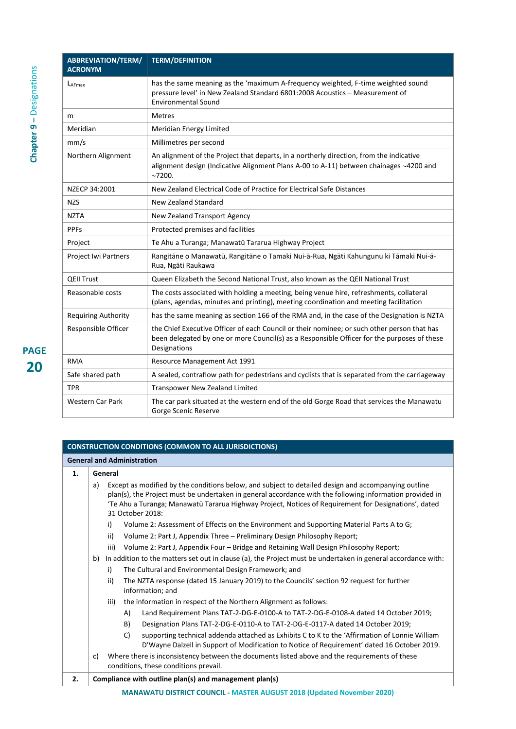| <b>ABBREVIATION/TERM/</b><br><b>ACRONYM</b> | <b>TERM/DEFINITION</b>                                                                                                                                                                                     |
|---------------------------------------------|------------------------------------------------------------------------------------------------------------------------------------------------------------------------------------------------------------|
| LAFmax                                      | has the same meaning as the 'maximum A-frequency weighted, F-time weighted sound<br>pressure level' in New Zealand Standard 6801:2008 Acoustics - Measurement of<br><b>Environmental Sound</b>             |
| m                                           | <b>Metres</b>                                                                                                                                                                                              |
| Meridian                                    | Meridian Energy Limited                                                                                                                                                                                    |
| mm/s                                        | Millimetres per second                                                                                                                                                                                     |
| Northern Alignment                          | An alignment of the Project that departs, in a northerly direction, from the indicative<br>alignment design (Indicative Alignment Plans A-00 to A-11) between chainages ~4200 and<br>~1200.                |
| NZECP 34:2001                               | New Zealand Electrical Code of Practice for Electrical Safe Distances                                                                                                                                      |
| <b>NZS</b>                                  | <b>New Zealand Standard</b>                                                                                                                                                                                |
| <b>NZTA</b>                                 | New Zealand Transport Agency                                                                                                                                                                               |
| <b>PPFs</b>                                 | Protected premises and facilities                                                                                                                                                                          |
| Project                                     | Te Ahu a Turanga; Manawatū Tararua Highway Project                                                                                                                                                         |
| Project Iwi Partners                        | Rangitāne o Manawatū, Rangitāne o Tamaki Nui-ā-Rua, Ngāti Kahungunu ki Tāmaki Nui-ā-<br>Rua, Ngāti Raukawa                                                                                                 |
| <b>QEII Trust</b>                           | Queen Elizabeth the Second National Trust, also known as the QEII National Trust                                                                                                                           |
| Reasonable costs                            | The costs associated with holding a meeting, being venue hire, refreshments, collateral<br>(plans, agendas, minutes and printing), meeting coordination and meeting facilitation                           |
| Requiring Authority                         | has the same meaning as section 166 of the RMA and, in the case of the Designation is NZTA                                                                                                                 |
| Responsible Officer                         | the Chief Executive Officer of each Council or their nominee; or such other person that has<br>been delegated by one or more Council(s) as a Responsible Officer for the purposes of these<br>Designations |
| <b>RMA</b>                                  | Resource Management Act 1991                                                                                                                                                                               |
| Safe shared path                            | A sealed, contraflow path for pedestrians and cyclists that is separated from the carriageway                                                                                                              |
| TPR                                         | Transpower New Zealand Limited                                                                                                                                                                             |
| <b>Western Car Park</b>                     | The car park situated at the western end of the old Gorge Road that services the Manawatu<br>Gorge Scenic Reserve                                                                                          |

#### **CONSTRUCTION CONDITIONS (COMMON TO ALL JURISDICTIONS)**

#### **General and Administration**

#### **1. General**

- a) Except as modified by the conditions below, and subject to detailed design and accompanying outline plan(s), the Project must be undertaken in general accordance with the following information provided in 'Te Ahu a Turanga; Manawatū Tararua Highway Project, Notices of Requirement for Designations', dated 31 October 2018:
	- i) Volume 2: Assessment of Effects on the Environment and Supporting Material Parts A to G;
	- ii) Volume 2: Part J, Appendix Three Preliminary Design Philosophy Report;
	- iii) Volume 2: Part J, Appendix Four Bridge and Retaining Wall Design Philosophy Report;
	- b) In addition to the matters set out in clause (a), the Project must be undertaken in general accordance with:
		- i) The Cultural and Environmental Design Framework; and
		- ii) The NZTA response (dated 15 January 2019) to the Councils' section 92 request for further information; and
		- iii) the information in respect of the Northern Alignment as follows:
			- A) Land Requirement Plans TAT-2-DG-E-0100-A to TAT-2-DG-E-0108-A dated 14 October 2019;
			- B) Designation Plans TAT-2-DG-E-0110-A to TAT-2-DG-E-0117-A dated 14 October 2019;
			- C) supporting technical addenda attached as Exhibits C to K to the 'Affirmation of Lonnie William D'Wayne Dalzell in Support of Modification to Notice of Requirement' dated 16 October 2019.
- c) Where there is inconsistency between the documents listed above and the requirements of these conditions, these conditions prevail.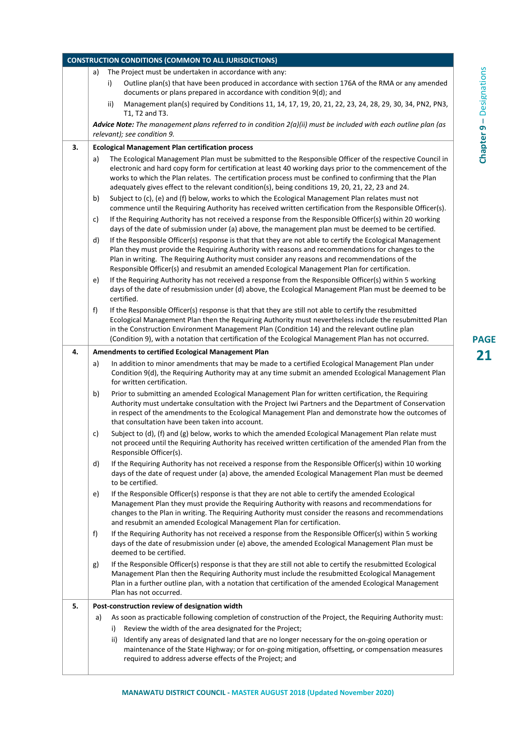|    |                                                                                                                                                | <b>CONSTRUCTION CONDITIONS (COMMON TO ALL JURISDICTIONS)</b>                                                                                                                                                                                                                                                                                                                                                                          |  |
|----|------------------------------------------------------------------------------------------------------------------------------------------------|---------------------------------------------------------------------------------------------------------------------------------------------------------------------------------------------------------------------------------------------------------------------------------------------------------------------------------------------------------------------------------------------------------------------------------------|--|
|    | a)                                                                                                                                             | The Project must be undertaken in accordance with any:                                                                                                                                                                                                                                                                                                                                                                                |  |
|    |                                                                                                                                                | Outline plan(s) that have been produced in accordance with section 176A of the RMA or any amended<br>i)<br>documents or plans prepared in accordance with condition 9(d); and                                                                                                                                                                                                                                                         |  |
|    |                                                                                                                                                | Management plan(s) required by Conditions 11, 14, 17, 19, 20, 21, 22, 23, 24, 28, 29, 30, 34, PN2, PN3,<br>ii)<br>T1, T2 and T3.                                                                                                                                                                                                                                                                                                      |  |
|    | Advice Note: The management plans referred to in condition 2(a)(ii) must be included with each outline plan (as<br>relevant); see condition 9. |                                                                                                                                                                                                                                                                                                                                                                                                                                       |  |
| 3. |                                                                                                                                                | <b>Ecological Management Plan certification process</b>                                                                                                                                                                                                                                                                                                                                                                               |  |
|    | a)                                                                                                                                             | The Ecological Management Plan must be submitted to the Responsible Officer of the respective Council in<br>electronic and hard copy form for certification at least 40 working days prior to the commencement of the<br>works to which the Plan relates. The certification process must be confined to confirming that the Plan<br>adequately gives effect to the relevant condition(s), being conditions 19, 20, 21, 22, 23 and 24. |  |
|    | b)                                                                                                                                             | Subject to (c), (e) and (f) below, works to which the Ecological Management Plan relates must not<br>commence until the Requiring Authority has received written certification from the Responsible Officer(s).                                                                                                                                                                                                                       |  |
|    | c)                                                                                                                                             | If the Requiring Authority has not received a response from the Responsible Officer(s) within 20 working<br>days of the date of submission under (a) above, the management plan must be deemed to be certified.                                                                                                                                                                                                                       |  |
|    | d)                                                                                                                                             | If the Responsible Officer(s) response is that that they are not able to certify the Ecological Management<br>Plan they must provide the Requiring Authority with reasons and recommendations for changes to the<br>Plan in writing. The Requiring Authority must consider any reasons and recommendations of the<br>Responsible Officer(s) and resubmit an amended Ecological Management Plan for certification.                     |  |
|    | e)                                                                                                                                             | If the Requiring Authority has not received a response from the Responsible Officer(s) within 5 working<br>days of the date of resubmission under (d) above, the Ecological Management Plan must be deemed to be<br>certified.                                                                                                                                                                                                        |  |
|    | f)                                                                                                                                             | If the Responsible Officer(s) response is that that they are still not able to certify the resubmitted<br>Ecological Management Plan then the Requiring Authority must nevertheless include the resubmitted Plan<br>in the Construction Environment Management Plan (Condition 14) and the relevant outline plan<br>(Condition 9), with a notation that certification of the Ecological Management Plan has not occurred.             |  |
| 4. |                                                                                                                                                | Amendments to certified Ecological Management Plan                                                                                                                                                                                                                                                                                                                                                                                    |  |
|    | a)                                                                                                                                             | In addition to minor amendments that may be made to a certified Ecological Management Plan under<br>Condition 9(d), the Requiring Authority may at any time submit an amended Ecological Management Plan<br>for written certification.                                                                                                                                                                                                |  |
|    | b)                                                                                                                                             | Prior to submitting an amended Ecological Management Plan for written certification, the Requiring<br>Authority must undertake consultation with the Project Iwi Partners and the Department of Conservation<br>in respect of the amendments to the Ecological Management Plan and demonstrate how the outcomes of<br>that consultation have been taken into account.                                                                 |  |
|    | c)                                                                                                                                             | Subject to (d), (f) and (g) below, works to which the amended Ecological Management Plan relate must<br>not proceed until the Requiring Authority has received written certification of the amended Plan from the<br>Responsible Officer(s).                                                                                                                                                                                          |  |
|    | d)                                                                                                                                             | If the Requiring Authority has not received a response from the Responsible Officer(s) within 10 working<br>days of the date of request under (a) above, the amended Ecological Management Plan must be deemed<br>to be certified.                                                                                                                                                                                                    |  |
|    | e)                                                                                                                                             | If the Responsible Officer(s) response is that they are not able to certify the amended Ecological<br>Management Plan they must provide the Requiring Authority with reasons and recommendations for<br>changes to the Plan in writing. The Requiring Authority must consider the reasons and recommendations<br>and resubmit an amended Ecological Management Plan for certification.                                                |  |
|    | f)                                                                                                                                             | If the Requiring Authority has not received a response from the Responsible Officer(s) within 5 working<br>days of the date of resubmission under (e) above, the amended Ecological Management Plan must be<br>deemed to be certified.                                                                                                                                                                                                |  |
|    | g)                                                                                                                                             | If the Responsible Officer(s) response is that they are still not able to certify the resubmitted Ecological<br>Management Plan then the Requiring Authority must include the resubmitted Ecological Management<br>Plan in a further outline plan, with a notation that certification of the amended Ecological Management<br>Plan has not occurred.                                                                                  |  |
| 5. |                                                                                                                                                | Post-construction review of designation width                                                                                                                                                                                                                                                                                                                                                                                         |  |
|    | a)                                                                                                                                             | As soon as practicable following completion of construction of the Project, the Requiring Authority must:                                                                                                                                                                                                                                                                                                                             |  |
|    |                                                                                                                                                | Review the width of the area designated for the Project;<br>i)                                                                                                                                                                                                                                                                                                                                                                        |  |
|    |                                                                                                                                                | Identify any areas of designated land that are no longer necessary for the on-going operation or<br>ii)<br>maintenance of the State Highway; or for on-going mitigation, offsetting, or compensation measures<br>required to address adverse effects of the Project; and                                                                                                                                                              |  |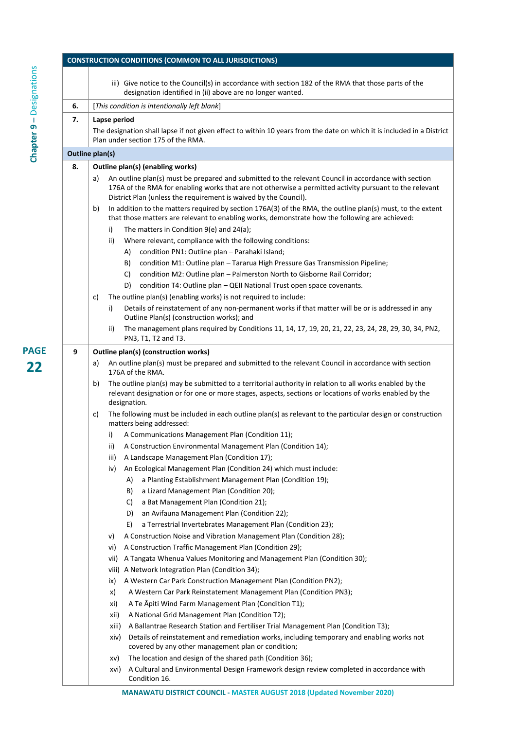|                        |                                              | <b>CONSTRUCTION CONDITIONS (COMMON TO ALL JURISDICTIONS)</b>                                                                                                                                                                                                                        |  |  |  |
|------------------------|----------------------------------------------|-------------------------------------------------------------------------------------------------------------------------------------------------------------------------------------------------------------------------------------------------------------------------------------|--|--|--|
|                        |                                              | iii) Give notice to the Council(s) in accordance with section 182 of the RMA that those parts of the<br>designation identified in (ii) above are no longer wanted.                                                                                                                  |  |  |  |
| 6.                     | [This condition is intentionally left blank] |                                                                                                                                                                                                                                                                                     |  |  |  |
| 7.                     |                                              | Lapse period                                                                                                                                                                                                                                                                        |  |  |  |
|                        |                                              | The designation shall lapse if not given effect to within 10 years from the date on which it is included in a District<br>Plan under section 175 of the RMA.                                                                                                                        |  |  |  |
| <b>Outline plan(s)</b> |                                              |                                                                                                                                                                                                                                                                                     |  |  |  |
| 8.                     |                                              | Outline plan(s) (enabling works)                                                                                                                                                                                                                                                    |  |  |  |
|                        | a)                                           | An outline plan(s) must be prepared and submitted to the relevant Council in accordance with section<br>176A of the RMA for enabling works that are not otherwise a permitted activity pursuant to the relevant<br>District Plan (unless the requirement is waived by the Council). |  |  |  |
|                        | b)                                           | In addition to the matters required by section 176A(3) of the RMA, the outline plan(s) must, to the extent<br>that those matters are relevant to enabling works, demonstrate how the following are achieved:<br>The matters in Condition 9(e) and 24(a);<br>i)                      |  |  |  |
|                        |                                              | Where relevant, compliance with the following conditions:<br>ii)                                                                                                                                                                                                                    |  |  |  |
|                        |                                              | condition PN1: Outline plan - Parahaki Island;<br>A)                                                                                                                                                                                                                                |  |  |  |
|                        |                                              | B)<br>condition M1: Outline plan - Tararua High Pressure Gas Transmission Pipeline;                                                                                                                                                                                                 |  |  |  |
|                        |                                              | condition M2: Outline plan - Palmerston North to Gisborne Rail Corridor;<br>C)                                                                                                                                                                                                      |  |  |  |
|                        |                                              | condition T4: Outline plan - QEII National Trust open space covenants.<br>D)                                                                                                                                                                                                        |  |  |  |
|                        | C)                                           | The outline plan(s) (enabling works) is not required to include:                                                                                                                                                                                                                    |  |  |  |
|                        |                                              | Details of reinstatement of any non-permanent works if that matter will be or is addressed in any<br>i)<br>Outline Plan(s) (construction works); and                                                                                                                                |  |  |  |
|                        |                                              | The management plans required by Conditions 11, 14, 17, 19, 20, 21, 22, 23, 24, 28, 29, 30, 34, PN2,<br>ii)<br>PN3, T1, T2 and T3.                                                                                                                                                  |  |  |  |
| 9                      | Outline plan(s) (construction works)         |                                                                                                                                                                                                                                                                                     |  |  |  |
|                        | a)                                           | An outline plan(s) must be prepared and submitted to the relevant Council in accordance with section<br>176A of the RMA.                                                                                                                                                            |  |  |  |
|                        | b)                                           | The outline plan(s) may be submitted to a territorial authority in relation to all works enabled by the<br>relevant designation or for one or more stages, aspects, sections or locations of works enabled by the<br>designation.                                                   |  |  |  |
|                        | C)                                           | The following must be included in each outline plan(s) as relevant to the particular design or construction<br>matters being addressed:                                                                                                                                             |  |  |  |
|                        |                                              | A Communications Management Plan (Condition 11);<br>i)                                                                                                                                                                                                                              |  |  |  |
|                        |                                              | A Construction Environmental Management Plan (Condition 14);<br>$\mathsf{II}$                                                                                                                                                                                                       |  |  |  |
|                        |                                              | A Landscape Management Plan (Condition 17);<br>iii)                                                                                                                                                                                                                                 |  |  |  |
|                        |                                              | An Ecological Management Plan (Condition 24) which must include:<br>iv)                                                                                                                                                                                                             |  |  |  |
|                        |                                              | a Planting Establishment Management Plan (Condition 19);<br>A)                                                                                                                                                                                                                      |  |  |  |
|                        |                                              | B)<br>a Lizard Management Plan (Condition 20);                                                                                                                                                                                                                                      |  |  |  |
|                        |                                              | a Bat Management Plan (Condition 21);<br>C)                                                                                                                                                                                                                                         |  |  |  |
|                        |                                              | an Avifauna Management Plan (Condition 22);<br>D)                                                                                                                                                                                                                                   |  |  |  |
|                        |                                              | a Terrestrial Invertebrates Management Plan (Condition 23);<br>E)                                                                                                                                                                                                                   |  |  |  |
|                        |                                              | A Construction Noise and Vibration Management Plan (Condition 28);<br>v)                                                                                                                                                                                                            |  |  |  |
|                        |                                              | A Construction Traffic Management Plan (Condition 29);<br>vi)                                                                                                                                                                                                                       |  |  |  |
|                        |                                              | vii)<br>A Tangata Whenua Values Monitoring and Management Plan (Condition 30);                                                                                                                                                                                                      |  |  |  |
|                        |                                              | viii) A Network Integration Plan (Condition 34);                                                                                                                                                                                                                                    |  |  |  |
|                        |                                              | A Western Car Park Construction Management Plan (Condition PN2);<br>ix)                                                                                                                                                                                                             |  |  |  |
|                        |                                              | A Western Car Park Reinstatement Management Plan (Condition PN3);<br>x)                                                                                                                                                                                                             |  |  |  |
|                        |                                              | A Te Āpiti Wind Farm Management Plan (Condition T1);<br>xi)                                                                                                                                                                                                                         |  |  |  |
|                        |                                              | A National Grid Management Plan (Condition T2);<br>xii)                                                                                                                                                                                                                             |  |  |  |
|                        |                                              | A Ballantrae Research Station and Fertiliser Trial Management Plan (Condition T3);<br>xiii)                                                                                                                                                                                         |  |  |  |
|                        |                                              | Details of reinstatement and remediation works, including temporary and enabling works not<br>xiv)<br>covered by any other management plan or condition;                                                                                                                            |  |  |  |
|                        |                                              | The location and design of the shared path (Condition 36);<br>XV)                                                                                                                                                                                                                   |  |  |  |
|                        |                                              | A Cultural and Environmental Design Framework design review completed in accordance with<br>xvi)<br>Condition 16.                                                                                                                                                                   |  |  |  |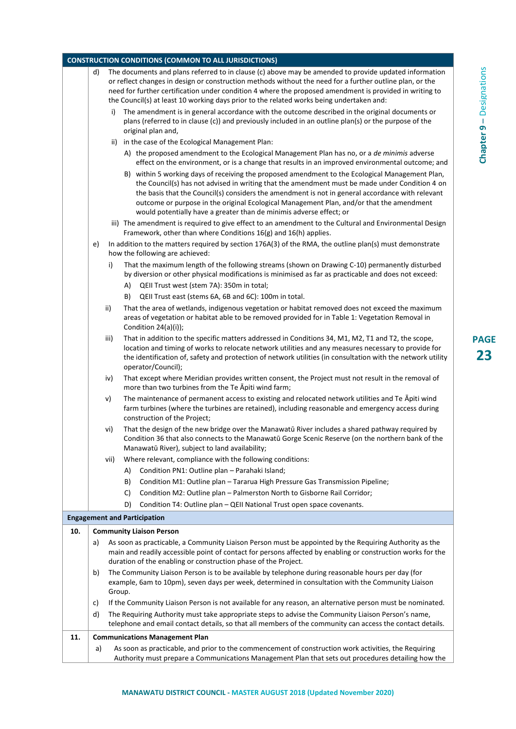|     |    |        | <b>CONSTRUCTION CONDITIONS (COMMON TO ALL JURISDICTIONS)</b>                                                                                                                                                                                                                                                                                                                                                                                                                                                                                                                                                                                              |
|-----|----|--------|-----------------------------------------------------------------------------------------------------------------------------------------------------------------------------------------------------------------------------------------------------------------------------------------------------------------------------------------------------------------------------------------------------------------------------------------------------------------------------------------------------------------------------------------------------------------------------------------------------------------------------------------------------------|
|     | d) | i)     | The documents and plans referred to in clause (c) above may be amended to provide updated information<br>or reflect changes in design or construction methods without the need for a further outline plan, or the<br>need for further certification under condition 4 where the proposed amendment is provided in writing to<br>the Council(s) at least 10 working days prior to the related works being undertaken and:<br>The amendment is in general accordance with the outcome described in the original documents or<br>plans (referred to in clause (c)) and previously included in an outline plan(s) or the purpose of the<br>original plan and, |
|     |    |        | ii) in the case of the Ecological Management Plan:                                                                                                                                                                                                                                                                                                                                                                                                                                                                                                                                                                                                        |
|     |    |        | A) the proposed amendment to the Ecological Management Plan has no, or a de minimis adverse<br>effect on the environment, or is a change that results in an improved environmental outcome; and                                                                                                                                                                                                                                                                                                                                                                                                                                                           |
|     |    |        | B) within 5 working days of receiving the proposed amendment to the Ecological Management Plan,<br>the Council(s) has not advised in writing that the amendment must be made under Condition 4 on<br>the basis that the Council(s) considers the amendment is not in general accordance with relevant<br>outcome or purpose in the original Ecological Management Plan, and/or that the amendment<br>would potentially have a greater than de minimis adverse effect; or                                                                                                                                                                                  |
|     |    |        | iii) The amendment is required to give effect to an amendment to the Cultural and Environmental Design<br>Framework, other than where Conditions 16(g) and 16(h) applies.                                                                                                                                                                                                                                                                                                                                                                                                                                                                                 |
|     | e) |        | In addition to the matters required by section 176A(3) of the RMA, the outline plan(s) must demonstrate<br>how the following are achieved:                                                                                                                                                                                                                                                                                                                                                                                                                                                                                                                |
|     |    | i)     | That the maximum length of the following streams (shown on Drawing C-10) permanently disturbed<br>by diversion or other physical modifications is minimised as far as practicable and does not exceed:                                                                                                                                                                                                                                                                                                                                                                                                                                                    |
|     |    |        | A)<br>QEII Trust west (stem 7A): 350m in total;                                                                                                                                                                                                                                                                                                                                                                                                                                                                                                                                                                                                           |
|     |    |        | B)<br>QEII Trust east (stems 6A, 6B and 6C): 100m in total.                                                                                                                                                                                                                                                                                                                                                                                                                                                                                                                                                                                               |
|     |    | ii)    | That the area of wetlands, indigenous vegetation or habitat removed does not exceed the maximum<br>areas of vegetation or habitat able to be removed provided for in Table 1: Vegetation Removal in<br>Condition $24(a)(i)$ ;                                                                                                                                                                                                                                                                                                                                                                                                                             |
|     |    | iii)   | That in addition to the specific matters addressed in Conditions 34, M1, M2, T1 and T2, the scope,<br>location and timing of works to relocate network utilities and any measures necessary to provide for<br>the identification of, safety and protection of network utilities (in consultation with the network utility<br>operator/Council);                                                                                                                                                                                                                                                                                                           |
|     |    | iv)    | That except where Meridian provides written consent, the Project must not result in the removal of<br>more than two turbines from the Te Apiti wind farm;                                                                                                                                                                                                                                                                                                                                                                                                                                                                                                 |
|     |    | v)     | The maintenance of permanent access to existing and relocated network utilities and Te Apiti wind<br>farm turbines (where the turbines are retained), including reasonable and emergency access during<br>construction of the Project;                                                                                                                                                                                                                                                                                                                                                                                                                    |
|     |    | vi)    | That the design of the new bridge over the Manawatū River includes a shared pathway required by<br>Condition 36 that also connects to the Manawatū Gorge Scenic Reserve (on the northern bank of the<br>Manawatū River), subject to land availability;                                                                                                                                                                                                                                                                                                                                                                                                    |
|     |    | vii)   | Where relevant, compliance with the following conditions:                                                                                                                                                                                                                                                                                                                                                                                                                                                                                                                                                                                                 |
|     |    |        | Condition PN1: Outline plan - Parahaki Island;<br>A)                                                                                                                                                                                                                                                                                                                                                                                                                                                                                                                                                                                                      |
|     |    |        | B)<br>Condition M1: Outline plan - Tararua High Pressure Gas Transmission Pipeline;                                                                                                                                                                                                                                                                                                                                                                                                                                                                                                                                                                       |
|     |    |        | Condition M2: Outline plan - Palmerston North to Gisborne Rail Corridor;<br>C)                                                                                                                                                                                                                                                                                                                                                                                                                                                                                                                                                                            |
|     |    |        | D)<br>Condition T4: Outline plan - QEII National Trust open space covenants.                                                                                                                                                                                                                                                                                                                                                                                                                                                                                                                                                                              |
|     |    |        | <b>Engagement and Participation</b>                                                                                                                                                                                                                                                                                                                                                                                                                                                                                                                                                                                                                       |
| 10. |    |        | <b>Community Liaison Person</b>                                                                                                                                                                                                                                                                                                                                                                                                                                                                                                                                                                                                                           |
|     | a) |        | As soon as practicable, a Community Liaison Person must be appointed by the Requiring Authority as the<br>main and readily accessible point of contact for persons affected by enabling or construction works for the<br>duration of the enabling or construction phase of the Project.                                                                                                                                                                                                                                                                                                                                                                   |
|     | b) |        | The Community Liaison Person is to be available by telephone during reasonable hours per day (for<br>example, 6am to 10pm), seven days per week, determined in consultation with the Community Liaison                                                                                                                                                                                                                                                                                                                                                                                                                                                    |
|     |    | Group. |                                                                                                                                                                                                                                                                                                                                                                                                                                                                                                                                                                                                                                                           |
|     | C) |        | If the Community Liaison Person is not available for any reason, an alternative person must be nominated.                                                                                                                                                                                                                                                                                                                                                                                                                                                                                                                                                 |
|     | d) |        | The Requiring Authority must take appropriate steps to advise the Community Liaison Person's name,<br>telephone and email contact details, so that all members of the community can access the contact details.                                                                                                                                                                                                                                                                                                                                                                                                                                           |
| 11. |    |        | <b>Communications Management Plan</b>                                                                                                                                                                                                                                                                                                                                                                                                                                                                                                                                                                                                                     |
|     |    |        | As soon as practicable, and prior to the commensement of construction work activities, the Pequiring                                                                                                                                                                                                                                                                                                                                                                                                                                                                                                                                                      |

a) As soon as practicable, and prior to the commencement of construction work activities, the Requiring Authority must prepare a Communications Management Plan that sets out procedures detailing how the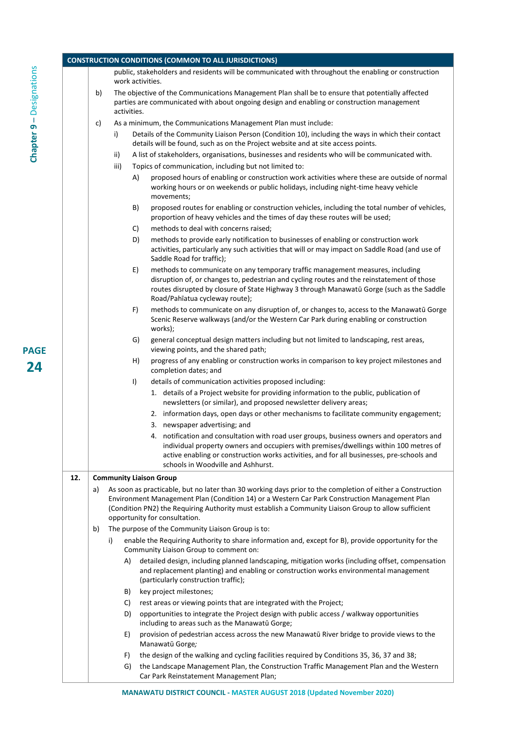|     |                                                                                                                                                                                                                                                                                                                                                            |             | <b>CONSTRUCTION CONDITIONS (COMMON TO ALL JURISDICTIONS)</b>                                                                                                                                                                                                                                                          |  |  |  |  |  |
|-----|------------------------------------------------------------------------------------------------------------------------------------------------------------------------------------------------------------------------------------------------------------------------------------------------------------------------------------------------------------|-------------|-----------------------------------------------------------------------------------------------------------------------------------------------------------------------------------------------------------------------------------------------------------------------------------------------------------------------|--|--|--|--|--|
|     | public, stakeholders and residents will be communicated with throughout the enabling or construction<br>work activities.                                                                                                                                                                                                                                   |             |                                                                                                                                                                                                                                                                                                                       |  |  |  |  |  |
|     | b)                                                                                                                                                                                                                                                                                                                                                         | activities. | The objective of the Communications Management Plan shall be to ensure that potentially affected<br>parties are communicated with about ongoing design and enabling or construction management                                                                                                                        |  |  |  |  |  |
|     | c)                                                                                                                                                                                                                                                                                                                                                         |             | As a minimum, the Communications Management Plan must include:                                                                                                                                                                                                                                                        |  |  |  |  |  |
|     |                                                                                                                                                                                                                                                                                                                                                            | i)          | Details of the Community Liaison Person (Condition 10), including the ways in which their contact<br>details will be found, such as on the Project website and at site access points.                                                                                                                                 |  |  |  |  |  |
|     |                                                                                                                                                                                                                                                                                                                                                            | ii)         | A list of stakeholders, organisations, businesses and residents who will be communicated with.                                                                                                                                                                                                                        |  |  |  |  |  |
|     |                                                                                                                                                                                                                                                                                                                                                            | iii)        | Topics of communication, including but not limited to:                                                                                                                                                                                                                                                                |  |  |  |  |  |
|     |                                                                                                                                                                                                                                                                                                                                                            | A)          | proposed hours of enabling or construction work activities where these are outside of normal<br>working hours or on weekends or public holidays, including night-time heavy vehicle<br>movements;                                                                                                                     |  |  |  |  |  |
|     |                                                                                                                                                                                                                                                                                                                                                            | B)          | proposed routes for enabling or construction vehicles, including the total number of vehicles,<br>proportion of heavy vehicles and the times of day these routes will be used;                                                                                                                                        |  |  |  |  |  |
|     |                                                                                                                                                                                                                                                                                                                                                            | C)          | methods to deal with concerns raised;                                                                                                                                                                                                                                                                                 |  |  |  |  |  |
|     |                                                                                                                                                                                                                                                                                                                                                            |             | D)<br>methods to provide early notification to businesses of enabling or construction work<br>activities, particularly any such activities that will or may impact on Saddle Road (and use of<br>Saddle Road for traffic);                                                                                            |  |  |  |  |  |
|     |                                                                                                                                                                                                                                                                                                                                                            | E)          | methods to communicate on any temporary traffic management measures, including<br>disruption of, or changes to, pedestrian and cycling routes and the reinstatement of those<br>routes disrupted by closure of State Highway 3 through Manawatū Gorge (such as the Saddle<br>Road/Pahīatua cycleway route);           |  |  |  |  |  |
|     |                                                                                                                                                                                                                                                                                                                                                            | F)          | methods to communicate on any disruption of, or changes to, access to the Manawatū Gorge<br>Scenic Reserve walkways (and/or the Western Car Park during enabling or construction<br>works);                                                                                                                           |  |  |  |  |  |
|     |                                                                                                                                                                                                                                                                                                                                                            |             | G)<br>general conceptual design matters including but not limited to landscaping, rest areas,<br>viewing points, and the shared path;                                                                                                                                                                                 |  |  |  |  |  |
|     |                                                                                                                                                                                                                                                                                                                                                            |             | H)<br>progress of any enabling or construction works in comparison to key project milestones and<br>completion dates; and                                                                                                                                                                                             |  |  |  |  |  |
|     |                                                                                                                                                                                                                                                                                                                                                            | I)          | details of communication activities proposed including:                                                                                                                                                                                                                                                               |  |  |  |  |  |
|     |                                                                                                                                                                                                                                                                                                                                                            |             | 1. details of a Project website for providing information to the public, publication of<br>newsletters (or similar), and proposed newsletter delivery areas;                                                                                                                                                          |  |  |  |  |  |
|     |                                                                                                                                                                                                                                                                                                                                                            |             | 2. information days, open days or other mechanisms to facilitate community engagement;                                                                                                                                                                                                                                |  |  |  |  |  |
|     |                                                                                                                                                                                                                                                                                                                                                            |             | 3. newspaper advertising; and                                                                                                                                                                                                                                                                                         |  |  |  |  |  |
|     |                                                                                                                                                                                                                                                                                                                                                            |             | 4. notification and consultation with road user groups, business owners and operators and<br>individual property owners and occupiers with premises/dwellings within 100 metres of<br>active enabling or construction works activities, and for all businesses, pre-schools and<br>schools in Woodville and Ashhurst. |  |  |  |  |  |
| 12. |                                                                                                                                                                                                                                                                                                                                                            |             | <b>Community Liaison Group</b>                                                                                                                                                                                                                                                                                        |  |  |  |  |  |
|     | As soon as practicable, but no later than 30 working days prior to the completion of either a Construction<br>a)<br>Environment Management Plan (Condition 14) or a Western Car Park Construction Management Plan<br>(Condition PN2) the Requiring Authority must establish a Community Liaison Group to allow sufficient<br>opportunity for consultation. |             |                                                                                                                                                                                                                                                                                                                       |  |  |  |  |  |
|     | b)                                                                                                                                                                                                                                                                                                                                                         |             | The purpose of the Community Liaison Group is to:                                                                                                                                                                                                                                                                     |  |  |  |  |  |
|     |                                                                                                                                                                                                                                                                                                                                                            | i)          | enable the Requiring Authority to share information and, except for B), provide opportunity for the<br>Community Liaison Group to comment on:                                                                                                                                                                         |  |  |  |  |  |
|     |                                                                                                                                                                                                                                                                                                                                                            | A)          | detailed design, including planned landscaping, mitigation works (including offset, compensation<br>and replacement planting) and enabling or construction works environmental management<br>(particularly construction traffic);                                                                                     |  |  |  |  |  |
|     |                                                                                                                                                                                                                                                                                                                                                            | B)          | key project milestones;                                                                                                                                                                                                                                                                                               |  |  |  |  |  |
|     |                                                                                                                                                                                                                                                                                                                                                            | C)          | rest areas or viewing points that are integrated with the Project;                                                                                                                                                                                                                                                    |  |  |  |  |  |
|     |                                                                                                                                                                                                                                                                                                                                                            | D)          | opportunities to integrate the Project design with public access / walkway opportunities<br>including to areas such as the Manawatū Gorge;                                                                                                                                                                            |  |  |  |  |  |
|     |                                                                                                                                                                                                                                                                                                                                                            | E)          | provision of pedestrian access across the new Manawatū River bridge to provide views to the<br>Manawatū Gorge;                                                                                                                                                                                                        |  |  |  |  |  |
|     |                                                                                                                                                                                                                                                                                                                                                            | F)          | the design of the walking and cycling facilities required by Conditions 35, 36, 37 and 38;                                                                                                                                                                                                                            |  |  |  |  |  |
|     |                                                                                                                                                                                                                                                                                                                                                            | G)          | the Landscape Management Plan, the Construction Traffic Management Plan and the Western<br>Car Park Reinstatement Management Plan;                                                                                                                                                                                    |  |  |  |  |  |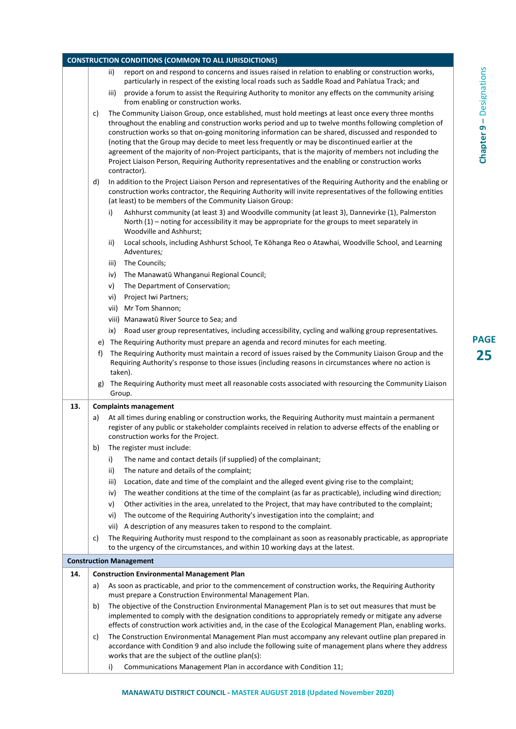|     |                                                                                                                                                                                                                                  | report on and respond to concerns and issues raised in relation to enabling or construction works,<br>ii)<br>particularly in respect of the existing local roads such as Saddle Road and Pahīatua Track; and                                                                                                                                                                                                                                                                                                                                                                                                                             |
|-----|----------------------------------------------------------------------------------------------------------------------------------------------------------------------------------------------------------------------------------|------------------------------------------------------------------------------------------------------------------------------------------------------------------------------------------------------------------------------------------------------------------------------------------------------------------------------------------------------------------------------------------------------------------------------------------------------------------------------------------------------------------------------------------------------------------------------------------------------------------------------------------|
|     |                                                                                                                                                                                                                                  | provide a forum to assist the Requiring Authority to monitor any effects on the community arising<br>iii)                                                                                                                                                                                                                                                                                                                                                                                                                                                                                                                                |
|     |                                                                                                                                                                                                                                  | from enabling or construction works.                                                                                                                                                                                                                                                                                                                                                                                                                                                                                                                                                                                                     |
|     | C)                                                                                                                                                                                                                               | The Community Liaison Group, once established, must hold meetings at least once every three months<br>throughout the enabling and construction works period and up to twelve months following completion of<br>construction works so that on-going monitoring information can be shared, discussed and responded to<br>(noting that the Group may decide to meet less frequently or may be discontinued earlier at the<br>agreement of the majority of non-Project participants, that is the majority of members not including the<br>Project Liaison Person, Requiring Authority representatives and the enabling or construction works |
|     |                                                                                                                                                                                                                                  | contractor).                                                                                                                                                                                                                                                                                                                                                                                                                                                                                                                                                                                                                             |
|     | d)                                                                                                                                                                                                                               | In addition to the Project Liaison Person and representatives of the Requiring Authority and the enabling or<br>construction works contractor, the Requiring Authority will invite representatives of the following entities<br>(at least) to be members of the Community Liaison Group:                                                                                                                                                                                                                                                                                                                                                 |
|     |                                                                                                                                                                                                                                  | i)<br>Ashhurst community (at least 3) and Woodville community (at least 3), Dannevirke (1), Palmerston<br>North $(1)$ – noting for accessibility it may be appropriate for the groups to meet separately in<br>Woodville and Ashhurst;                                                                                                                                                                                                                                                                                                                                                                                                   |
|     |                                                                                                                                                                                                                                  | Local schools, including Ashhurst School, Te Kōhanga Reo o Atawhai, Woodville School, and Learning<br>ii)<br>Adventures;                                                                                                                                                                                                                                                                                                                                                                                                                                                                                                                 |
|     |                                                                                                                                                                                                                                  | The Councils;<br>iii)                                                                                                                                                                                                                                                                                                                                                                                                                                                                                                                                                                                                                    |
|     |                                                                                                                                                                                                                                  | The Manawatū Whanganui Regional Council;<br>iv)                                                                                                                                                                                                                                                                                                                                                                                                                                                                                                                                                                                          |
|     |                                                                                                                                                                                                                                  | The Department of Conservation;<br>v)                                                                                                                                                                                                                                                                                                                                                                                                                                                                                                                                                                                                    |
|     |                                                                                                                                                                                                                                  | Project Iwi Partners;<br>vi)                                                                                                                                                                                                                                                                                                                                                                                                                                                                                                                                                                                                             |
|     |                                                                                                                                                                                                                                  | Mr Tom Shannon;<br>vii)                                                                                                                                                                                                                                                                                                                                                                                                                                                                                                                                                                                                                  |
|     |                                                                                                                                                                                                                                  | viii) Manawatū River Source to Sea; and                                                                                                                                                                                                                                                                                                                                                                                                                                                                                                                                                                                                  |
|     |                                                                                                                                                                                                                                  | Road user group representatives, including accessibility, cycling and walking group representatives.<br>ix)                                                                                                                                                                                                                                                                                                                                                                                                                                                                                                                              |
|     | e)                                                                                                                                                                                                                               | The Requiring Authority must prepare an agenda and record minutes for each meeting.                                                                                                                                                                                                                                                                                                                                                                                                                                                                                                                                                      |
|     | The Requiring Authority must maintain a record of issues raised by the Community Liaison Group and the<br>f)<br>Requiring Authority's response to those issues (including reasons in circumstances where no action is<br>taken). |                                                                                                                                                                                                                                                                                                                                                                                                                                                                                                                                                                                                                                          |
|     | g)                                                                                                                                                                                                                               | The Requiring Authority must meet all reasonable costs associated with resourcing the Community Liaison<br>Group.                                                                                                                                                                                                                                                                                                                                                                                                                                                                                                                        |
| 13. |                                                                                                                                                                                                                                  | <b>Complaints management</b>                                                                                                                                                                                                                                                                                                                                                                                                                                                                                                                                                                                                             |
|     | a)                                                                                                                                                                                                                               | At all times during enabling or construction works, the Requiring Authority must maintain a permanent<br>register of any public or stakeholder complaints received in relation to adverse effects of the enabling or<br>construction works for the Project.                                                                                                                                                                                                                                                                                                                                                                              |
|     | b)                                                                                                                                                                                                                               | The register must include:                                                                                                                                                                                                                                                                                                                                                                                                                                                                                                                                                                                                               |
|     |                                                                                                                                                                                                                                  | The name and contact details (if supplied) of the complainant;<br>i)                                                                                                                                                                                                                                                                                                                                                                                                                                                                                                                                                                     |
|     |                                                                                                                                                                                                                                  | The nature and details of the complaint;<br>ii)                                                                                                                                                                                                                                                                                                                                                                                                                                                                                                                                                                                          |
|     |                                                                                                                                                                                                                                  | Location, date and time of the complaint and the alleged event giving rise to the complaint;<br>iii)                                                                                                                                                                                                                                                                                                                                                                                                                                                                                                                                     |
|     |                                                                                                                                                                                                                                  | The weather conditions at the time of the complaint (as far as practicable), including wind direction;<br>iv)                                                                                                                                                                                                                                                                                                                                                                                                                                                                                                                            |
|     |                                                                                                                                                                                                                                  | Other activities in the area, unrelated to the Project, that may have contributed to the complaint;<br>v)                                                                                                                                                                                                                                                                                                                                                                                                                                                                                                                                |
|     |                                                                                                                                                                                                                                  | The outcome of the Requiring Authority's investigation into the complaint; and<br>vi)                                                                                                                                                                                                                                                                                                                                                                                                                                                                                                                                                    |
|     |                                                                                                                                                                                                                                  | vii) A description of any measures taken to respond to the complaint.                                                                                                                                                                                                                                                                                                                                                                                                                                                                                                                                                                    |
|     | C)                                                                                                                                                                                                                               | The Requiring Authority must respond to the complainant as soon as reasonably practicable, as appropriate<br>to the urgency of the circumstances, and within 10 working days at the latest.                                                                                                                                                                                                                                                                                                                                                                                                                                              |
|     |                                                                                                                                                                                                                                  | <b>Construction Management</b>                                                                                                                                                                                                                                                                                                                                                                                                                                                                                                                                                                                                           |
| 14. |                                                                                                                                                                                                                                  | <b>Construction Environmental Management Plan</b>                                                                                                                                                                                                                                                                                                                                                                                                                                                                                                                                                                                        |
|     | a)                                                                                                                                                                                                                               | As soon as practicable, and prior to the commencement of construction works, the Requiring Authority<br>must prepare a Construction Environmental Management Plan.                                                                                                                                                                                                                                                                                                                                                                                                                                                                       |
|     | b)                                                                                                                                                                                                                               | The objective of the Construction Environmental Management Plan is to set out measures that must be<br>implemented to comply with the designation conditions to appropriately remedy or mitigate any adverse<br>effects of construction work activities and, in the case of the Ecological Management Plan, enabling works.                                                                                                                                                                                                                                                                                                              |
|     |                                                                                                                                                                                                                                  |                                                                                                                                                                                                                                                                                                                                                                                                                                                                                                                                                                                                                                          |
|     | C)                                                                                                                                                                                                                               | The Construction Environmental Management Plan must accompany any relevant outline plan prepared in<br>accordance with Condition 9 and also include the following suite of management plans where they address<br>works that are the subject of the outline plan(s):                                                                                                                                                                                                                                                                                                                                                                     |

**CONSTRUCTION CONDITIONS (COMMON TO ALL JURISDICTIONS)**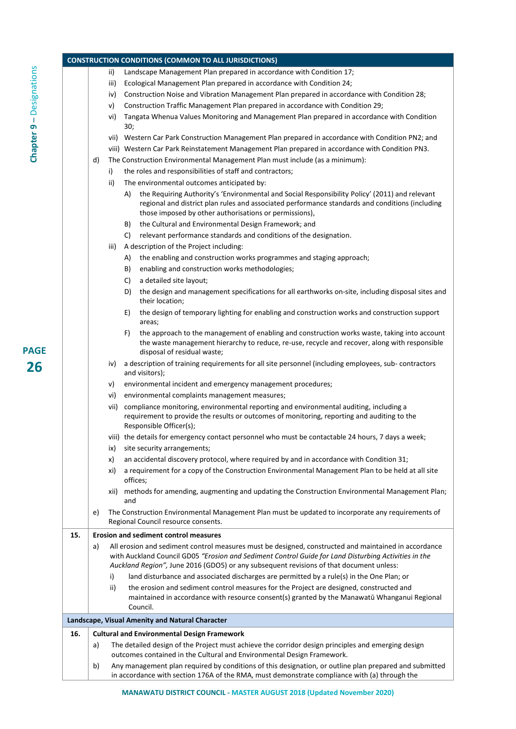| Landscape Management Plan prepared in accordance with Condition 17;<br>ii)<br>Ecological Management Plan prepared in accordance with Condition 24;<br>iii)<br>Construction Noise and Vibration Management Plan prepared in accordance with Condition 28;<br>iv)<br>Construction Traffic Management Plan prepared in accordance with Condition 29;<br>v)<br>Tangata Whenua Values Monitoring and Management Plan prepared in accordance with Condition<br>vi)<br>30;<br>vii) Western Car Park Construction Management Plan prepared in accordance with Condition PN2; and<br>viii) Western Car Park Reinstatement Management Plan prepared in accordance with Condition PN3.<br>The Construction Environmental Management Plan must include (as a minimum):<br>d)<br>the roles and responsibilities of staff and contractors;<br>i)<br>The environmental outcomes anticipated by:<br>ii)<br>the Requiring Authority's 'Environmental and Social Responsibility Policy' (2011) and relevant<br>A)<br>regional and district plan rules and associated performance standards and conditions (including<br>those imposed by other authorisations or permissions),<br>the Cultural and Environmental Design Framework; and<br>B)<br>relevant performance standards and conditions of the designation.<br>C)<br>A description of the Project including:<br>iii)<br>the enabling and construction works programmes and staging approach;<br>A)<br>enabling and construction works methodologies;<br>B)<br>C)<br>a detailed site layout;<br>the design and management specifications for all earthworks on-site, including disposal sites and<br>D)<br>their location;<br>the design of temporary lighting for enabling and construction works and construction support<br>E)<br>areas;<br>the approach to the management of enabling and construction works waste, taking into account<br>F)<br>the waste management hierarchy to reduce, re-use, recycle and recover, along with responsible<br>disposal of residual waste;<br>a description of training requirements for all site personnel (including employees, sub- contractors<br>iv)<br>and visitors);<br>environmental incident and emergency management procedures;<br>v)<br>environmental complaints management measures;<br>vi)<br>compliance monitoring, environmental reporting and environmental auditing, including a<br>vii)<br>requirement to provide the results or outcomes of monitoring, reporting and auditing to the<br>Responsible Officer(s);<br>viii) the details for emergency contact personnel who must be contactable 24 hours, 7 days a week;<br>site security arrangements;<br>ix)<br>an accidental discovery protocol, where required by and in accordance with Condition 31;<br>X)<br>a requirement for a copy of the Construction Environmental Management Plan to be held at all site<br>xi)<br>offices;<br>xii) methods for amending, augmenting and updating the Construction Environmental Management Plan; |  |  |  |  |  |  |  |  |
|--------------------------------------------------------------------------------------------------------------------------------------------------------------------------------------------------------------------------------------------------------------------------------------------------------------------------------------------------------------------------------------------------------------------------------------------------------------------------------------------------------------------------------------------------------------------------------------------------------------------------------------------------------------------------------------------------------------------------------------------------------------------------------------------------------------------------------------------------------------------------------------------------------------------------------------------------------------------------------------------------------------------------------------------------------------------------------------------------------------------------------------------------------------------------------------------------------------------------------------------------------------------------------------------------------------------------------------------------------------------------------------------------------------------------------------------------------------------------------------------------------------------------------------------------------------------------------------------------------------------------------------------------------------------------------------------------------------------------------------------------------------------------------------------------------------------------------------------------------------------------------------------------------------------------------------------------------------------------------------------------------------------------------------------------------------------------------------------------------------------------------------------------------------------------------------------------------------------------------------------------------------------------------------------------------------------------------------------------------------------------------------------------------------------------------------------------------------------------------------------------------------------------------------------------------------------------------------------------------------------------------------------------------------------------------------------------------------------------------------------------------------------------------------------------------------------------------------------------------------------------------------------------------------------------------------------------------------------------------------------|--|--|--|--|--|--|--|--|
|                                                                                                                                                                                                                                                                                                                                                                                                                                                                                                                                                                                                                                                                                                                                                                                                                                                                                                                                                                                                                                                                                                                                                                                                                                                                                                                                                                                                                                                                                                                                                                                                                                                                                                                                                                                                                                                                                                                                                                                                                                                                                                                                                                                                                                                                                                                                                                                                                                                                                                                                                                                                                                                                                                                                                                                                                                                                                                                                                                                            |  |  |  |  |  |  |  |  |
|                                                                                                                                                                                                                                                                                                                                                                                                                                                                                                                                                                                                                                                                                                                                                                                                                                                                                                                                                                                                                                                                                                                                                                                                                                                                                                                                                                                                                                                                                                                                                                                                                                                                                                                                                                                                                                                                                                                                                                                                                                                                                                                                                                                                                                                                                                                                                                                                                                                                                                                                                                                                                                                                                                                                                                                                                                                                                                                                                                                            |  |  |  |  |  |  |  |  |
|                                                                                                                                                                                                                                                                                                                                                                                                                                                                                                                                                                                                                                                                                                                                                                                                                                                                                                                                                                                                                                                                                                                                                                                                                                                                                                                                                                                                                                                                                                                                                                                                                                                                                                                                                                                                                                                                                                                                                                                                                                                                                                                                                                                                                                                                                                                                                                                                                                                                                                                                                                                                                                                                                                                                                                                                                                                                                                                                                                                            |  |  |  |  |  |  |  |  |
|                                                                                                                                                                                                                                                                                                                                                                                                                                                                                                                                                                                                                                                                                                                                                                                                                                                                                                                                                                                                                                                                                                                                                                                                                                                                                                                                                                                                                                                                                                                                                                                                                                                                                                                                                                                                                                                                                                                                                                                                                                                                                                                                                                                                                                                                                                                                                                                                                                                                                                                                                                                                                                                                                                                                                                                                                                                                                                                                                                                            |  |  |  |  |  |  |  |  |
|                                                                                                                                                                                                                                                                                                                                                                                                                                                                                                                                                                                                                                                                                                                                                                                                                                                                                                                                                                                                                                                                                                                                                                                                                                                                                                                                                                                                                                                                                                                                                                                                                                                                                                                                                                                                                                                                                                                                                                                                                                                                                                                                                                                                                                                                                                                                                                                                                                                                                                                                                                                                                                                                                                                                                                                                                                                                                                                                                                                            |  |  |  |  |  |  |  |  |
|                                                                                                                                                                                                                                                                                                                                                                                                                                                                                                                                                                                                                                                                                                                                                                                                                                                                                                                                                                                                                                                                                                                                                                                                                                                                                                                                                                                                                                                                                                                                                                                                                                                                                                                                                                                                                                                                                                                                                                                                                                                                                                                                                                                                                                                                                                                                                                                                                                                                                                                                                                                                                                                                                                                                                                                                                                                                                                                                                                                            |  |  |  |  |  |  |  |  |
|                                                                                                                                                                                                                                                                                                                                                                                                                                                                                                                                                                                                                                                                                                                                                                                                                                                                                                                                                                                                                                                                                                                                                                                                                                                                                                                                                                                                                                                                                                                                                                                                                                                                                                                                                                                                                                                                                                                                                                                                                                                                                                                                                                                                                                                                                                                                                                                                                                                                                                                                                                                                                                                                                                                                                                                                                                                                                                                                                                                            |  |  |  |  |  |  |  |  |
|                                                                                                                                                                                                                                                                                                                                                                                                                                                                                                                                                                                                                                                                                                                                                                                                                                                                                                                                                                                                                                                                                                                                                                                                                                                                                                                                                                                                                                                                                                                                                                                                                                                                                                                                                                                                                                                                                                                                                                                                                                                                                                                                                                                                                                                                                                                                                                                                                                                                                                                                                                                                                                                                                                                                                                                                                                                                                                                                                                                            |  |  |  |  |  |  |  |  |
|                                                                                                                                                                                                                                                                                                                                                                                                                                                                                                                                                                                                                                                                                                                                                                                                                                                                                                                                                                                                                                                                                                                                                                                                                                                                                                                                                                                                                                                                                                                                                                                                                                                                                                                                                                                                                                                                                                                                                                                                                                                                                                                                                                                                                                                                                                                                                                                                                                                                                                                                                                                                                                                                                                                                                                                                                                                                                                                                                                                            |  |  |  |  |  |  |  |  |
|                                                                                                                                                                                                                                                                                                                                                                                                                                                                                                                                                                                                                                                                                                                                                                                                                                                                                                                                                                                                                                                                                                                                                                                                                                                                                                                                                                                                                                                                                                                                                                                                                                                                                                                                                                                                                                                                                                                                                                                                                                                                                                                                                                                                                                                                                                                                                                                                                                                                                                                                                                                                                                                                                                                                                                                                                                                                                                                                                                                            |  |  |  |  |  |  |  |  |
|                                                                                                                                                                                                                                                                                                                                                                                                                                                                                                                                                                                                                                                                                                                                                                                                                                                                                                                                                                                                                                                                                                                                                                                                                                                                                                                                                                                                                                                                                                                                                                                                                                                                                                                                                                                                                                                                                                                                                                                                                                                                                                                                                                                                                                                                                                                                                                                                                                                                                                                                                                                                                                                                                                                                                                                                                                                                                                                                                                                            |  |  |  |  |  |  |  |  |
|                                                                                                                                                                                                                                                                                                                                                                                                                                                                                                                                                                                                                                                                                                                                                                                                                                                                                                                                                                                                                                                                                                                                                                                                                                                                                                                                                                                                                                                                                                                                                                                                                                                                                                                                                                                                                                                                                                                                                                                                                                                                                                                                                                                                                                                                                                                                                                                                                                                                                                                                                                                                                                                                                                                                                                                                                                                                                                                                                                                            |  |  |  |  |  |  |  |  |
|                                                                                                                                                                                                                                                                                                                                                                                                                                                                                                                                                                                                                                                                                                                                                                                                                                                                                                                                                                                                                                                                                                                                                                                                                                                                                                                                                                                                                                                                                                                                                                                                                                                                                                                                                                                                                                                                                                                                                                                                                                                                                                                                                                                                                                                                                                                                                                                                                                                                                                                                                                                                                                                                                                                                                                                                                                                                                                                                                                                            |  |  |  |  |  |  |  |  |
|                                                                                                                                                                                                                                                                                                                                                                                                                                                                                                                                                                                                                                                                                                                                                                                                                                                                                                                                                                                                                                                                                                                                                                                                                                                                                                                                                                                                                                                                                                                                                                                                                                                                                                                                                                                                                                                                                                                                                                                                                                                                                                                                                                                                                                                                                                                                                                                                                                                                                                                                                                                                                                                                                                                                                                                                                                                                                                                                                                                            |  |  |  |  |  |  |  |  |
|                                                                                                                                                                                                                                                                                                                                                                                                                                                                                                                                                                                                                                                                                                                                                                                                                                                                                                                                                                                                                                                                                                                                                                                                                                                                                                                                                                                                                                                                                                                                                                                                                                                                                                                                                                                                                                                                                                                                                                                                                                                                                                                                                                                                                                                                                                                                                                                                                                                                                                                                                                                                                                                                                                                                                                                                                                                                                                                                                                                            |  |  |  |  |  |  |  |  |
|                                                                                                                                                                                                                                                                                                                                                                                                                                                                                                                                                                                                                                                                                                                                                                                                                                                                                                                                                                                                                                                                                                                                                                                                                                                                                                                                                                                                                                                                                                                                                                                                                                                                                                                                                                                                                                                                                                                                                                                                                                                                                                                                                                                                                                                                                                                                                                                                                                                                                                                                                                                                                                                                                                                                                                                                                                                                                                                                                                                            |  |  |  |  |  |  |  |  |
|                                                                                                                                                                                                                                                                                                                                                                                                                                                                                                                                                                                                                                                                                                                                                                                                                                                                                                                                                                                                                                                                                                                                                                                                                                                                                                                                                                                                                                                                                                                                                                                                                                                                                                                                                                                                                                                                                                                                                                                                                                                                                                                                                                                                                                                                                                                                                                                                                                                                                                                                                                                                                                                                                                                                                                                                                                                                                                                                                                                            |  |  |  |  |  |  |  |  |
|                                                                                                                                                                                                                                                                                                                                                                                                                                                                                                                                                                                                                                                                                                                                                                                                                                                                                                                                                                                                                                                                                                                                                                                                                                                                                                                                                                                                                                                                                                                                                                                                                                                                                                                                                                                                                                                                                                                                                                                                                                                                                                                                                                                                                                                                                                                                                                                                                                                                                                                                                                                                                                                                                                                                                                                                                                                                                                                                                                                            |  |  |  |  |  |  |  |  |
|                                                                                                                                                                                                                                                                                                                                                                                                                                                                                                                                                                                                                                                                                                                                                                                                                                                                                                                                                                                                                                                                                                                                                                                                                                                                                                                                                                                                                                                                                                                                                                                                                                                                                                                                                                                                                                                                                                                                                                                                                                                                                                                                                                                                                                                                                                                                                                                                                                                                                                                                                                                                                                                                                                                                                                                                                                                                                                                                                                                            |  |  |  |  |  |  |  |  |
|                                                                                                                                                                                                                                                                                                                                                                                                                                                                                                                                                                                                                                                                                                                                                                                                                                                                                                                                                                                                                                                                                                                                                                                                                                                                                                                                                                                                                                                                                                                                                                                                                                                                                                                                                                                                                                                                                                                                                                                                                                                                                                                                                                                                                                                                                                                                                                                                                                                                                                                                                                                                                                                                                                                                                                                                                                                                                                                                                                                            |  |  |  |  |  |  |  |  |
|                                                                                                                                                                                                                                                                                                                                                                                                                                                                                                                                                                                                                                                                                                                                                                                                                                                                                                                                                                                                                                                                                                                                                                                                                                                                                                                                                                                                                                                                                                                                                                                                                                                                                                                                                                                                                                                                                                                                                                                                                                                                                                                                                                                                                                                                                                                                                                                                                                                                                                                                                                                                                                                                                                                                                                                                                                                                                                                                                                                            |  |  |  |  |  |  |  |  |
|                                                                                                                                                                                                                                                                                                                                                                                                                                                                                                                                                                                                                                                                                                                                                                                                                                                                                                                                                                                                                                                                                                                                                                                                                                                                                                                                                                                                                                                                                                                                                                                                                                                                                                                                                                                                                                                                                                                                                                                                                                                                                                                                                                                                                                                                                                                                                                                                                                                                                                                                                                                                                                                                                                                                                                                                                                                                                                                                                                                            |  |  |  |  |  |  |  |  |
|                                                                                                                                                                                                                                                                                                                                                                                                                                                                                                                                                                                                                                                                                                                                                                                                                                                                                                                                                                                                                                                                                                                                                                                                                                                                                                                                                                                                                                                                                                                                                                                                                                                                                                                                                                                                                                                                                                                                                                                                                                                                                                                                                                                                                                                                                                                                                                                                                                                                                                                                                                                                                                                                                                                                                                                                                                                                                                                                                                                            |  |  |  |  |  |  |  |  |
|                                                                                                                                                                                                                                                                                                                                                                                                                                                                                                                                                                                                                                                                                                                                                                                                                                                                                                                                                                                                                                                                                                                                                                                                                                                                                                                                                                                                                                                                                                                                                                                                                                                                                                                                                                                                                                                                                                                                                                                                                                                                                                                                                                                                                                                                                                                                                                                                                                                                                                                                                                                                                                                                                                                                                                                                                                                                                                                                                                                            |  |  |  |  |  |  |  |  |
|                                                                                                                                                                                                                                                                                                                                                                                                                                                                                                                                                                                                                                                                                                                                                                                                                                                                                                                                                                                                                                                                                                                                                                                                                                                                                                                                                                                                                                                                                                                                                                                                                                                                                                                                                                                                                                                                                                                                                                                                                                                                                                                                                                                                                                                                                                                                                                                                                                                                                                                                                                                                                                                                                                                                                                                                                                                                                                                                                                                            |  |  |  |  |  |  |  |  |
|                                                                                                                                                                                                                                                                                                                                                                                                                                                                                                                                                                                                                                                                                                                                                                                                                                                                                                                                                                                                                                                                                                                                                                                                                                                                                                                                                                                                                                                                                                                                                                                                                                                                                                                                                                                                                                                                                                                                                                                                                                                                                                                                                                                                                                                                                                                                                                                                                                                                                                                                                                                                                                                                                                                                                                                                                                                                                                                                                                                            |  |  |  |  |  |  |  |  |
|                                                                                                                                                                                                                                                                                                                                                                                                                                                                                                                                                                                                                                                                                                                                                                                                                                                                                                                                                                                                                                                                                                                                                                                                                                                                                                                                                                                                                                                                                                                                                                                                                                                                                                                                                                                                                                                                                                                                                                                                                                                                                                                                                                                                                                                                                                                                                                                                                                                                                                                                                                                                                                                                                                                                                                                                                                                                                                                                                                                            |  |  |  |  |  |  |  |  |
| and                                                                                                                                                                                                                                                                                                                                                                                                                                                                                                                                                                                                                                                                                                                                                                                                                                                                                                                                                                                                                                                                                                                                                                                                                                                                                                                                                                                                                                                                                                                                                                                                                                                                                                                                                                                                                                                                                                                                                                                                                                                                                                                                                                                                                                                                                                                                                                                                                                                                                                                                                                                                                                                                                                                                                                                                                                                                                                                                                                                        |  |  |  |  |  |  |  |  |
| The Construction Environmental Management Plan must be updated to incorporate any requirements of<br>e)<br>Regional Council resource consents.                                                                                                                                                                                                                                                                                                                                                                                                                                                                                                                                                                                                                                                                                                                                                                                                                                                                                                                                                                                                                                                                                                                                                                                                                                                                                                                                                                                                                                                                                                                                                                                                                                                                                                                                                                                                                                                                                                                                                                                                                                                                                                                                                                                                                                                                                                                                                                                                                                                                                                                                                                                                                                                                                                                                                                                                                                             |  |  |  |  |  |  |  |  |
| 15.<br><b>Erosion and sediment control measures</b>                                                                                                                                                                                                                                                                                                                                                                                                                                                                                                                                                                                                                                                                                                                                                                                                                                                                                                                                                                                                                                                                                                                                                                                                                                                                                                                                                                                                                                                                                                                                                                                                                                                                                                                                                                                                                                                                                                                                                                                                                                                                                                                                                                                                                                                                                                                                                                                                                                                                                                                                                                                                                                                                                                                                                                                                                                                                                                                                        |  |  |  |  |  |  |  |  |
| All erosion and sediment control measures must be designed, constructed and maintained in accordance<br>a)<br>with Auckland Council GD05 "Erosion and Sediment Control Guide for Land Disturbing Activities in the<br>Auckland Region", June 2016 (GDO5) or any subsequent revisions of that document unless:                                                                                                                                                                                                                                                                                                                                                                                                                                                                                                                                                                                                                                                                                                                                                                                                                                                                                                                                                                                                                                                                                                                                                                                                                                                                                                                                                                                                                                                                                                                                                                                                                                                                                                                                                                                                                                                                                                                                                                                                                                                                                                                                                                                                                                                                                                                                                                                                                                                                                                                                                                                                                                                                              |  |  |  |  |  |  |  |  |
| land disturbance and associated discharges are permitted by a rule(s) in the One Plan; or<br>i)                                                                                                                                                                                                                                                                                                                                                                                                                                                                                                                                                                                                                                                                                                                                                                                                                                                                                                                                                                                                                                                                                                                                                                                                                                                                                                                                                                                                                                                                                                                                                                                                                                                                                                                                                                                                                                                                                                                                                                                                                                                                                                                                                                                                                                                                                                                                                                                                                                                                                                                                                                                                                                                                                                                                                                                                                                                                                            |  |  |  |  |  |  |  |  |
| the erosion and sediment control measures for the Project are designed, constructed and<br>ii)<br>maintained in accordance with resource consent(s) granted by the Manawatū Whanganui Regional<br>Council.                                                                                                                                                                                                                                                                                                                                                                                                                                                                                                                                                                                                                                                                                                                                                                                                                                                                                                                                                                                                                                                                                                                                                                                                                                                                                                                                                                                                                                                                                                                                                                                                                                                                                                                                                                                                                                                                                                                                                                                                                                                                                                                                                                                                                                                                                                                                                                                                                                                                                                                                                                                                                                                                                                                                                                                 |  |  |  |  |  |  |  |  |
| Landscape, Visual Amenity and Natural Character                                                                                                                                                                                                                                                                                                                                                                                                                                                                                                                                                                                                                                                                                                                                                                                                                                                                                                                                                                                                                                                                                                                                                                                                                                                                                                                                                                                                                                                                                                                                                                                                                                                                                                                                                                                                                                                                                                                                                                                                                                                                                                                                                                                                                                                                                                                                                                                                                                                                                                                                                                                                                                                                                                                                                                                                                                                                                                                                            |  |  |  |  |  |  |  |  |
| 16.                                                                                                                                                                                                                                                                                                                                                                                                                                                                                                                                                                                                                                                                                                                                                                                                                                                                                                                                                                                                                                                                                                                                                                                                                                                                                                                                                                                                                                                                                                                                                                                                                                                                                                                                                                                                                                                                                                                                                                                                                                                                                                                                                                                                                                                                                                                                                                                                                                                                                                                                                                                                                                                                                                                                                                                                                                                                                                                                                                                        |  |  |  |  |  |  |  |  |
| <b>Cultural and Environmental Design Framework</b><br>The detailed design of the Project must achieve the corridor design principles and emerging design<br>a)                                                                                                                                                                                                                                                                                                                                                                                                                                                                                                                                                                                                                                                                                                                                                                                                                                                                                                                                                                                                                                                                                                                                                                                                                                                                                                                                                                                                                                                                                                                                                                                                                                                                                                                                                                                                                                                                                                                                                                                                                                                                                                                                                                                                                                                                                                                                                                                                                                                                                                                                                                                                                                                                                                                                                                                                                             |  |  |  |  |  |  |  |  |
| outcomes contained in the Cultural and Environmental Design Framework.<br>Any management plan required by conditions of this designation, or outline plan prepared and submitted<br>b)<br>in accordance with section 176A of the RMA, must demonstrate compliance with (a) through the                                                                                                                                                                                                                                                                                                                                                                                                                                                                                                                                                                                                                                                                                                                                                                                                                                                                                                                                                                                                                                                                                                                                                                                                                                                                                                                                                                                                                                                                                                                                                                                                                                                                                                                                                                                                                                                                                                                                                                                                                                                                                                                                                                                                                                                                                                                                                                                                                                                                                                                                                                                                                                                                                                     |  |  |  |  |  |  |  |  |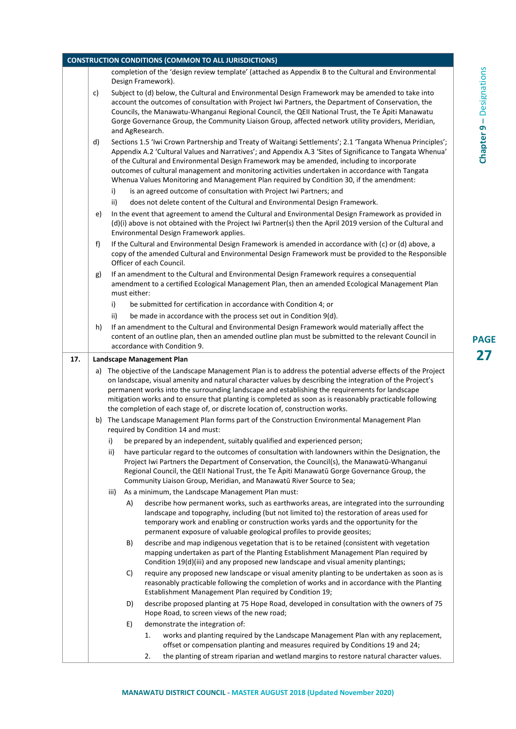|     |    |                           | completion of the 'design review template' (attached as Appendix B to the Cultural and Environmental<br>Design Framework).                                                                                                                                                                                                                                                                                                                                                                                                                                                                                                                                                 |  |  |  |  |  |  |
|-----|----|---------------------------|----------------------------------------------------------------------------------------------------------------------------------------------------------------------------------------------------------------------------------------------------------------------------------------------------------------------------------------------------------------------------------------------------------------------------------------------------------------------------------------------------------------------------------------------------------------------------------------------------------------------------------------------------------------------------|--|--|--|--|--|--|
|     | c) | and AgResearch.           | Subject to (d) below, the Cultural and Environmental Design Framework may be amended to take into<br>account the outcomes of consultation with Project Iwi Partners, the Department of Conservation, the<br>Councils, the Manawatu-Whanganui Regional Council, the QEII National Trust, the Te Apiti Manawatu<br>Gorge Governance Group, the Community Liaison Group, affected network utility providers, Meridian,                                                                                                                                                                                                                                                        |  |  |  |  |  |  |
|     | d) | i)<br>ii)                 | Sections 1.5 'Iwi Crown Partnership and Treaty of Waitangi Settlements'; 2.1 'Tangata Whenua Principles';<br>Appendix A.2 'Cultural Values and Narratives'; and Appendix A.3 'Sites of Significance to Tangata Whenua'<br>of the Cultural and Environmental Design Framework may be amended, including to incorporate<br>outcomes of cultural management and monitoring activities undertaken in accordance with Tangata<br>Whenua Values Monitoring and Management Plan required by Condition 30, if the amendment:<br>is an agreed outcome of consultation with Project Iwi Partners; and<br>does not delete content of the Cultural and Environmental Design Framework. |  |  |  |  |  |  |
|     | e) |                           | In the event that agreement to amend the Cultural and Environmental Design Framework as provided in<br>(d)(i) above is not obtained with the Project Iwi Partner(s) then the April 2019 version of the Cultural and<br>Environmental Design Framework applies.                                                                                                                                                                                                                                                                                                                                                                                                             |  |  |  |  |  |  |
|     | f) |                           | If the Cultural and Environmental Design Framework is amended in accordance with (c) or (d) above, a<br>copy of the amended Cultural and Environmental Design Framework must be provided to the Responsible<br>Officer of each Council.                                                                                                                                                                                                                                                                                                                                                                                                                                    |  |  |  |  |  |  |
|     | g) | must either:              | If an amendment to the Cultural and Environmental Design Framework requires a consequential<br>amendment to a certified Ecological Management Plan, then an amended Ecological Management Plan                                                                                                                                                                                                                                                                                                                                                                                                                                                                             |  |  |  |  |  |  |
|     |    | i)<br>ii)                 | be submitted for certification in accordance with Condition 4; or<br>be made in accordance with the process set out in Condition 9(d).                                                                                                                                                                                                                                                                                                                                                                                                                                                                                                                                     |  |  |  |  |  |  |
|     | h) |                           | If an amendment to the Cultural and Environmental Design Framework would materially affect the<br>content of an outline plan, then an amended outline plan must be submitted to the relevant Council in<br>accordance with Condition 9.                                                                                                                                                                                                                                                                                                                                                                                                                                    |  |  |  |  |  |  |
| 17. |    | Landscape Management Plan |                                                                                                                                                                                                                                                                                                                                                                                                                                                                                                                                                                                                                                                                            |  |  |  |  |  |  |
|     |    |                           | a) The objective of the Landscape Management Plan is to address the potential adverse effects of the Project<br>on landscape, visual amenity and natural character values by describing the integration of the Project's<br>permanent works into the surrounding landscape and establishing the requirements for landscape<br>mitigation works and to ensure that planting is completed as soon as is reasonably practicable following<br>the completion of each stage of, or discrete location of, construction works.                                                                                                                                                    |  |  |  |  |  |  |
|     | b) |                           | The Landscape Management Plan forms part of the Construction Environmental Management Plan<br>required by Condition 14 and must:                                                                                                                                                                                                                                                                                                                                                                                                                                                                                                                                           |  |  |  |  |  |  |
|     |    | i)                        | be prepared by an independent, suitably qualified and experienced person;                                                                                                                                                                                                                                                                                                                                                                                                                                                                                                                                                                                                  |  |  |  |  |  |  |
|     |    |                           | ii) have particular regard to the outcomes of consultation with landowners within the Designation, the<br>Project Iwi Partners the Department of Conservation, the Council(s), the Manawatū-Whanganui<br>Regional Council, the QEII National Trust, the Te Apiti Manawatū Gorge Governance Group, the<br>Community Liaison Group, Meridian, and Manawatū River Source to Sea;                                                                                                                                                                                                                                                                                              |  |  |  |  |  |  |
|     |    | iii)                      | As a minimum, the Landscape Management Plan must:                                                                                                                                                                                                                                                                                                                                                                                                                                                                                                                                                                                                                          |  |  |  |  |  |  |
|     |    | A)                        | describe how permanent works, such as earthworks areas, are integrated into the surrounding<br>landscape and topography, including (but not limited to) the restoration of areas used for<br>temporary work and enabling or construction works yards and the opportunity for the<br>permanent exposure of valuable geological profiles to provide geosites;                                                                                                                                                                                                                                                                                                                |  |  |  |  |  |  |
|     |    | B)                        | describe and map indigenous vegetation that is to be retained (consistent with vegetation<br>mapping undertaken as part of the Planting Establishment Management Plan required by<br>Condition 19(d)(iii) and any proposed new landscape and visual amenity plantings;                                                                                                                                                                                                                                                                                                                                                                                                     |  |  |  |  |  |  |
|     |    | C)                        | require any proposed new landscape or visual amenity planting to be undertaken as soon as is<br>reasonably practicable following the completion of works and in accordance with the Planting<br>Establishment Management Plan required by Condition 19;                                                                                                                                                                                                                                                                                                                                                                                                                    |  |  |  |  |  |  |
|     |    | D)                        | describe proposed planting at 75 Hope Road, developed in consultation with the owners of 75<br>Hope Road, to screen views of the new road;                                                                                                                                                                                                                                                                                                                                                                                                                                                                                                                                 |  |  |  |  |  |  |
|     |    | E)                        | demonstrate the integration of:                                                                                                                                                                                                                                                                                                                                                                                                                                                                                                                                                                                                                                            |  |  |  |  |  |  |
|     |    |                           | works and planting required by the Landscape Management Plan with any replacement,<br>1.<br>offset or compensation planting and measures required by Conditions 19 and 24;                                                                                                                                                                                                                                                                                                                                                                                                                                                                                                 |  |  |  |  |  |  |

**CONSTRUCTION CONDITIONS (COMMON TO ALL JURISDICTIONS)** 

2. the planting of stream riparian and wetland margins to restore natural character values.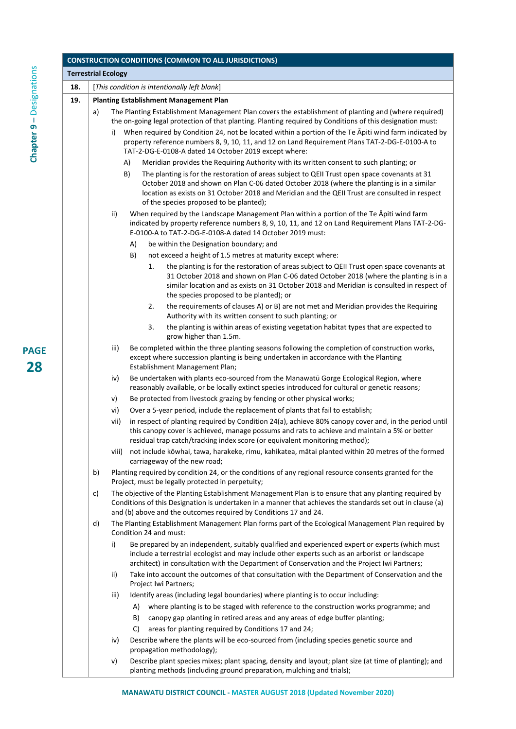|     |                            |                                              | <b>CONSTRUCTION CONDITIONS (COMMON TO ALL JURISDICTIONS)</b>                                                                                                                                                                                                                                                                             |  |  |  |  |  |
|-----|----------------------------|----------------------------------------------|------------------------------------------------------------------------------------------------------------------------------------------------------------------------------------------------------------------------------------------------------------------------------------------------------------------------------------------|--|--|--|--|--|
|     | <b>Terrestrial Ecology</b> |                                              |                                                                                                                                                                                                                                                                                                                                          |  |  |  |  |  |
| 18. |                            | [This condition is intentionally left blank] |                                                                                                                                                                                                                                                                                                                                          |  |  |  |  |  |
| 19. | a)                         |                                              | <b>Planting Establishment Management Plan</b><br>The Planting Establishment Management Plan covers the establishment of planting and (where required)<br>the on-going legal protection of that planting. Planting required by Conditions of this designation must:                                                                       |  |  |  |  |  |
|     |                            | i)                                           | When required by Condition 24, not be located within a portion of the Te Apiti wind farm indicated by<br>property reference numbers 8, 9, 10, 11, and 12 on Land Requirement Plans TAT-2-DG-E-0100-A to<br>TAT-2-DG-E-0108-A dated 14 October 2019 except where:                                                                         |  |  |  |  |  |
|     |                            | A)                                           | Meridian provides the Requiring Authority with its written consent to such planting; or                                                                                                                                                                                                                                                  |  |  |  |  |  |
|     |                            | B)                                           | The planting is for the restoration of areas subject to QEII Trust open space covenants at 31<br>October 2018 and shown on Plan C-06 dated October 2018 (where the planting is in a similar<br>location as exists on 31 October 2018 and Meridian and the QEII Trust are consulted in respect<br>of the species proposed to be planted); |  |  |  |  |  |
|     |                            | ii)                                          | When required by the Landscape Management Plan within a portion of the Te Apiti wind farm<br>indicated by property reference numbers 8, 9, 10, 11, and 12 on Land Requirement Plans TAT-2-DG-<br>E-0100-A to TAT-2-DG-E-0108-A dated 14 October 2019 must:                                                                               |  |  |  |  |  |
|     |                            |                                              | A)<br>be within the Designation boundary; and                                                                                                                                                                                                                                                                                            |  |  |  |  |  |
|     |                            |                                              | B)<br>not exceed a height of 1.5 metres at maturity except where:                                                                                                                                                                                                                                                                        |  |  |  |  |  |
|     |                            |                                              | the planting is for the restoration of areas subject to QEII Trust open space covenants at<br>1.<br>31 October 2018 and shown on Plan C-06 dated October 2018 (where the planting is in a<br>similar location and as exists on 31 October 2018 and Meridian is consulted in respect of<br>the species proposed to be planted); or        |  |  |  |  |  |
|     |                            |                                              | the requirements of clauses A) or B) are not met and Meridian provides the Requiring<br>2.<br>Authority with its written consent to such planting; or                                                                                                                                                                                    |  |  |  |  |  |
|     |                            |                                              | the planting is within areas of existing vegetation habitat types that are expected to<br>3.<br>grow higher than 1.5m.                                                                                                                                                                                                                   |  |  |  |  |  |
|     |                            | iii)                                         | Be completed within the three planting seasons following the completion of construction works,<br>except where succession planting is being undertaken in accordance with the Planting<br>Establishment Management Plan;                                                                                                                 |  |  |  |  |  |
|     |                            | iv)                                          | Be undertaken with plants eco-sourced from the Manawatū Gorge Ecological Region, where<br>reasonably available, or be locally extinct species introduced for cultural or genetic reasons;                                                                                                                                                |  |  |  |  |  |
|     |                            | v)                                           | Be protected from livestock grazing by fencing or other physical works;                                                                                                                                                                                                                                                                  |  |  |  |  |  |
|     |                            | vi)                                          | Over a 5-year period, include the replacement of plants that fail to establish;                                                                                                                                                                                                                                                          |  |  |  |  |  |
|     |                            | vii)                                         | in respect of planting required by Condition 24(a), achieve 80% canopy cover and, in the period until<br>this canopy cover is achieved, manage possums and rats to achieve and maintain a 5% or better<br>residual trap catch/tracking index score (or equivalent monitoring method);                                                    |  |  |  |  |  |
|     |                            |                                              | viii) not include kōwhai, tawa, harakeke, rimu, kahikatea, mātai planted within 20 metres of the formed<br>carriageway of the new road;                                                                                                                                                                                                  |  |  |  |  |  |
|     | b)                         |                                              | Planting required by condition 24, or the conditions of any regional resource consents granted for the<br>Project, must be legally protected in perpetuity;                                                                                                                                                                              |  |  |  |  |  |
|     | c)                         |                                              | The objective of the Planting Establishment Management Plan is to ensure that any planting required by<br>Conditions of this Designation is undertaken in a manner that achieves the standards set out in clause (a)<br>and (b) above and the outcomes required by Conditions 17 and 24.                                                 |  |  |  |  |  |
|     | d)                         |                                              | The Planting Establishment Management Plan forms part of the Ecological Management Plan required by<br>Condition 24 and must:                                                                                                                                                                                                            |  |  |  |  |  |
|     |                            | i)                                           | Be prepared by an independent, suitably qualified and experienced expert or experts (which must<br>include a terrestrial ecologist and may include other experts such as an arborist or landscape<br>architect) in consultation with the Department of Conservation and the Project Iwi Partners;                                        |  |  |  |  |  |
|     |                            | ii)                                          | Take into account the outcomes of that consultation with the Department of Conservation and the<br>Project Iwi Partners;                                                                                                                                                                                                                 |  |  |  |  |  |
|     |                            | iii)                                         | Identify areas (including legal boundaries) where planting is to occur including:                                                                                                                                                                                                                                                        |  |  |  |  |  |
|     |                            |                                              | where planting is to be staged with reference to the construction works programme; and<br>A)                                                                                                                                                                                                                                             |  |  |  |  |  |
|     |                            |                                              | canopy gap planting in retired areas and any areas of edge buffer planting;<br>B)                                                                                                                                                                                                                                                        |  |  |  |  |  |
|     |                            |                                              | areas for planting required by Conditions 17 and 24;<br>C)                                                                                                                                                                                                                                                                               |  |  |  |  |  |
|     |                            | iv)                                          | Describe where the plants will be eco-sourced from (including species genetic source and<br>propagation methodology);                                                                                                                                                                                                                    |  |  |  |  |  |
|     |                            | v)                                           | Describe plant species mixes; plant spacing, density and layout; plant size (at time of planting); and<br>planting methods (including ground preparation, mulching and trials);                                                                                                                                                          |  |  |  |  |  |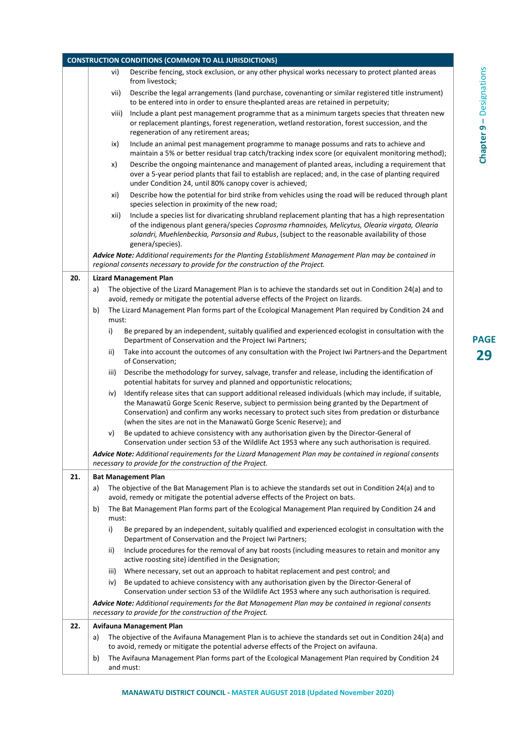|     |                 | <b>CONSTRUCTION CONDITIONS (COMMON TO ALL JURISDICTIONS)</b>                                                                                                                                                                                                                                                                                                                       |
|-----|-----------------|------------------------------------------------------------------------------------------------------------------------------------------------------------------------------------------------------------------------------------------------------------------------------------------------------------------------------------------------------------------------------------|
|     | vi)             | Describe fencing, stock exclusion, or any other physical works necessary to protect planted areas<br>from livestock;                                                                                                                                                                                                                                                               |
|     | vii)            | Describe the legal arrangements (land purchase, covenanting or similar registered title instrument)<br>to be entered into in order to ensure the-planted areas are retained in perpetuity;                                                                                                                                                                                         |
|     | viii)           | Include a plant pest management programme that as a minimum targets species that threaten new<br>or replacement plantings, forest regeneration, wetland restoration, forest succession, and the<br>regeneration of any retirement areas;                                                                                                                                           |
|     | ix)             | Include an animal pest management programme to manage possums and rats to achieve and<br>maintain a 5% or better residual trap catch/tracking index score (or equivalent monitoring method);                                                                                                                                                                                       |
|     | x)              | Describe the ongoing maintenance and management of planted areas, including a requirement that<br>over a 5-year period plants that fail to establish are replaced; and, in the case of planting required<br>under Condition 24, until 80% canopy cover is achieved;                                                                                                                |
|     | xi)             | Describe how the potential for bird strike from vehicles using the road will be reduced through plant<br>species selection in proximity of the new road;                                                                                                                                                                                                                           |
|     | xii)            | Include a species list for divaricating shrubland replacement planting that has a high representation<br>of the indigenous plant genera/species Coprosma rhamnoides, Melicytus, Olearia virgata, Olearia<br>solandri, Muehlenbeckia, Parsonsia and Rubus, (subject to the reasonable availability of those<br>genera/species).                                                     |
|     |                 | Advice Note: Additional requirements for the Planting Establishment Management Plan may be contained in<br>regional consents necessary to provide for the construction of the Project.                                                                                                                                                                                             |
| 20. |                 | <b>Lizard Management Plan</b>                                                                                                                                                                                                                                                                                                                                                      |
|     | a)              | The objective of the Lizard Management Plan is to achieve the standards set out in Condition 24(a) and to<br>avoid, remedy or mitigate the potential adverse effects of the Project on lizards.                                                                                                                                                                                    |
|     | b)<br>must:     | The Lizard Management Plan forms part of the Ecological Management Plan required by Condition 24 and                                                                                                                                                                                                                                                                               |
|     | i)              | Be prepared by an independent, suitably qualified and experienced ecologist in consultation with the<br>Department of Conservation and the Project Iwi Partners;                                                                                                                                                                                                                   |
|     | ii)             | Take into account the outcomes of any consultation with the Project Iwi Partners-and the Department<br>of Conservation;                                                                                                                                                                                                                                                            |
|     | iii)            | Describe the methodology for survey, salvage, transfer and release, including the identification of<br>potential habitats for survey and planned and opportunistic relocations;                                                                                                                                                                                                    |
|     | iv)             | Identify release sites that can support additional released individuals (which may include, if suitable,<br>the Manawatū Gorge Scenic Reserve, subject to permission being granted by the Department of<br>Conservation) and confirm any works necessary to protect such sites from predation or disturbance<br>(when the sites are not in the Manawatū Gorge Scenic Reserve); and |
|     | V)              | Be updated to achieve consistency with any authorisation given by the Director-General of<br>Conservation under section 53 of the Wildlife Act 1953 where any such authorisation is required.                                                                                                                                                                                      |
|     |                 | Advice Note: Additional requirements for the Lizard Management Plan may be contained in regional consents<br>necessary to provide for the construction of the Project.                                                                                                                                                                                                             |
| 21. |                 | <b>Bat Management Plan</b>                                                                                                                                                                                                                                                                                                                                                         |
|     | a)              | The objective of the Bat Management Plan is to achieve the standards set out in Condition 24(a) and to<br>avoid, remedy or mitigate the potential adverse effects of the Project on bats.                                                                                                                                                                                          |
|     | b)<br>must:     | The Bat Management Plan forms part of the Ecological Management Plan required by Condition 24 and                                                                                                                                                                                                                                                                                  |
|     | i)              | Be prepared by an independent, suitably qualified and experienced ecologist in consultation with the<br>Department of Conservation and the Project Iwi Partners;                                                                                                                                                                                                                   |
|     | ii)             | Include procedures for the removal of any bat roosts (including measures to retain and monitor any<br>active roosting site) identified in the Designation;                                                                                                                                                                                                                         |
|     | iii)            | Where necessary, set out an approach to habitat replacement and pest control; and                                                                                                                                                                                                                                                                                                  |
|     | iv)             | Be updated to achieve consistency with any authorisation given by the Director-General of<br>Conservation under section 53 of the Wildlife Act 1953 where any such authorisation is required.                                                                                                                                                                                      |
|     |                 | Advice Note: Additional requirements for the Bat Management Plan may be contained in regional consents<br>necessary to provide for the construction of the Project.                                                                                                                                                                                                                |
| 22. |                 | Avifauna Management Plan                                                                                                                                                                                                                                                                                                                                                           |
|     | a)              | The objective of the Avifauna Management Plan is to achieve the standards set out in Condition 24(a) and<br>to avoid, remedy or mitigate the potential adverse effects of the Project on avifauna.                                                                                                                                                                                 |
|     | b)<br>and must: | The Avifauna Management Plan forms part of the Ecological Management Plan required by Condition 24                                                                                                                                                                                                                                                                                 |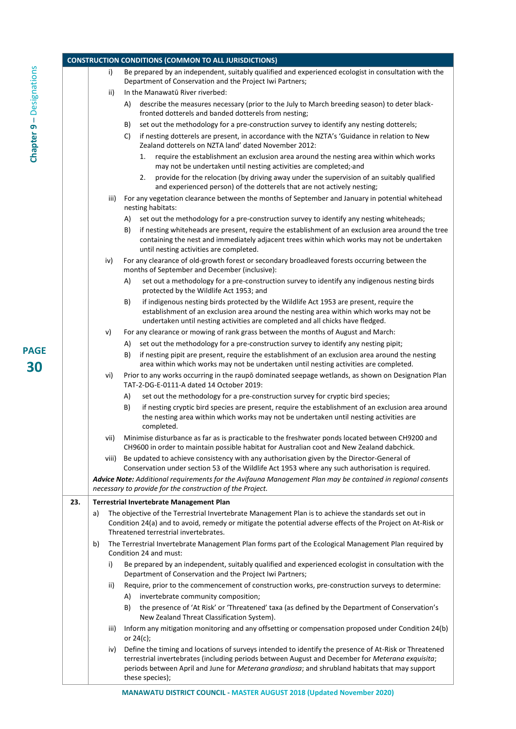|     |       | <b>CONSTRUCTION CONDITIONS (COMMON TO ALL JURISDICTIONS)</b>                                                                                                                                                                                                                                                                   |  |  |  |  |  |
|-----|-------|--------------------------------------------------------------------------------------------------------------------------------------------------------------------------------------------------------------------------------------------------------------------------------------------------------------------------------|--|--|--|--|--|
|     | i)    | Be prepared by an independent, suitably qualified and experienced ecologist in consultation with the<br>Department of Conservation and the Project Iwi Partners;                                                                                                                                                               |  |  |  |  |  |
|     | ii)   | In the Manawatū River riverbed:                                                                                                                                                                                                                                                                                                |  |  |  |  |  |
|     |       | describe the measures necessary (prior to the July to March breeding season) to deter black-<br>A)<br>fronted dotterels and banded dotterels from nesting;                                                                                                                                                                     |  |  |  |  |  |
|     |       | set out the methodology for a pre-construction survey to identify any nesting dotterels;<br>B)                                                                                                                                                                                                                                 |  |  |  |  |  |
|     |       | if nesting dotterels are present, in accordance with the NZTA's 'Guidance in relation to New<br>C)<br>Zealand dotterels on NZTA land' dated November 2012:                                                                                                                                                                     |  |  |  |  |  |
|     |       | require the establishment an exclusion area around the nesting area within which works<br>1.<br>may not be undertaken until nesting activities are completed; and                                                                                                                                                              |  |  |  |  |  |
|     |       | provide for the relocation (by driving away under the supervision of an suitably qualified<br>2.<br>and experienced person) of the dotterels that are not actively nesting;                                                                                                                                                    |  |  |  |  |  |
|     | iii)  | For any vegetation clearance between the months of September and January in potential whitehead<br>nesting habitats:                                                                                                                                                                                                           |  |  |  |  |  |
|     |       | set out the methodology for a pre-construction survey to identify any nesting whiteheads;<br>A)                                                                                                                                                                                                                                |  |  |  |  |  |
|     |       | if nesting whiteheads are present, require the establishment of an exclusion area around the tree<br>B)<br>containing the nest and immediately adjacent trees within which works may not be undertaken<br>until nesting activities are completed.                                                                              |  |  |  |  |  |
|     | iv)   | For any clearance of old-growth forest or secondary broadleaved forests occurring between the<br>months of September and December (inclusive):                                                                                                                                                                                 |  |  |  |  |  |
|     |       | set out a methodology for a pre-construction survey to identify any indigenous nesting birds<br>A)<br>protected by the Wildlife Act 1953; and                                                                                                                                                                                  |  |  |  |  |  |
|     |       | if indigenous nesting birds protected by the Wildlife Act 1953 are present, require the<br>B)<br>establishment of an exclusion area around the nesting area within which works may not be<br>undertaken until nesting activities are completed and all chicks have fledged.                                                    |  |  |  |  |  |
|     | v)    | For any clearance or mowing of rank grass between the months of August and March:                                                                                                                                                                                                                                              |  |  |  |  |  |
|     |       | set out the methodology for a pre-construction survey to identify any nesting pipit;<br>A)                                                                                                                                                                                                                                     |  |  |  |  |  |
|     |       | if nesting pipit are present, require the establishment of an exclusion area around the nesting<br>B)<br>area within which works may not be undertaken until nesting activities are completed.                                                                                                                                 |  |  |  |  |  |
|     | vi)   | Prior to any works occurring in the raupo dominated seepage wetlands, as shown on Designation Plan<br>TAT-2-DG-E-0111-A dated 14 October 2019:                                                                                                                                                                                 |  |  |  |  |  |
|     |       | set out the methodology for a pre-construction survey for cryptic bird species;<br>A)                                                                                                                                                                                                                                          |  |  |  |  |  |
|     |       | if nesting cryptic bird species are present, require the establishment of an exclusion area around<br>B)<br>the nesting area within which works may not be undertaken until nesting activities are<br>completed.                                                                                                               |  |  |  |  |  |
|     | vii)  | Minimise disturbance as far as is practicable to the freshwater ponds located between CH9200 and<br>CH9600 in order to maintain possible habitat for Australian coot and New Zealand dabchick.                                                                                                                                 |  |  |  |  |  |
|     | viii) | Be updated to achieve consistency with any authorisation given by the Director-General of<br>Conservation under section 53 of the Wildlife Act 1953 where any such authorisation is required.                                                                                                                                  |  |  |  |  |  |
|     |       | Advice Note: Additional requirements for the Avifauna Management Plan may be contained in regional consents<br>necessary to provide for the construction of the Project.                                                                                                                                                       |  |  |  |  |  |
| 23. |       | Terrestrial Invertebrate Management Plan                                                                                                                                                                                                                                                                                       |  |  |  |  |  |
|     | a)    | The objective of the Terrestrial Invertebrate Management Plan is to achieve the standards set out in<br>Condition 24(a) and to avoid, remedy or mitigate the potential adverse effects of the Project on At-Risk or<br>Threatened terrestrial invertebrates.                                                                   |  |  |  |  |  |
|     | b)    | The Terrestrial Invertebrate Management Plan forms part of the Ecological Management Plan required by<br>Condition 24 and must:                                                                                                                                                                                                |  |  |  |  |  |
|     | i)    | Be prepared by an independent, suitably qualified and experienced ecologist in consultation with the<br>Department of Conservation and the Project Iwi Partners;                                                                                                                                                               |  |  |  |  |  |
|     | ii)   | Require, prior to the commencement of construction works, pre-construction surveys to determine:                                                                                                                                                                                                                               |  |  |  |  |  |
|     |       | invertebrate community composition;<br>A)                                                                                                                                                                                                                                                                                      |  |  |  |  |  |
|     |       | the presence of 'At Risk' or 'Threatened' taxa (as defined by the Department of Conservation's<br>B)<br>New Zealand Threat Classification System).                                                                                                                                                                             |  |  |  |  |  |
|     | iii)  | Inform any mitigation monitoring and any offsetting or compensation proposed under Condition 24(b)<br>or 24(c);                                                                                                                                                                                                                |  |  |  |  |  |
|     | iv)   | Define the timing and locations of surveys intended to identify the presence of At-Risk or Threatened<br>terrestrial invertebrates (including periods between August and December for Meterana exquisita;<br>periods between April and June for Meterana grandiosa; and shrubland habitats that may support<br>these species); |  |  |  |  |  |
|     |       |                                                                                                                                                                                                                                                                                                                                |  |  |  |  |  |

**Chapter 9–** Designations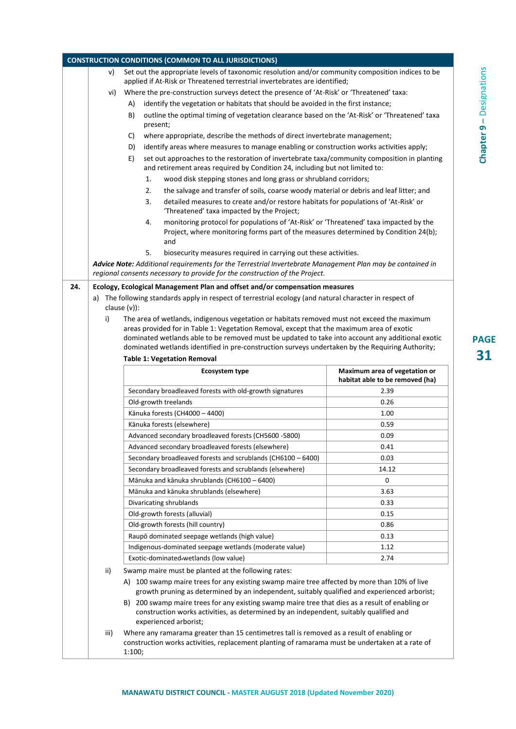|      | <b>CONSTRUCTION CONDITIONS (COMMON TO ALL JURISDICTIONS)</b>                                                                                                                                                       |                                                                  |
|------|--------------------------------------------------------------------------------------------------------------------------------------------------------------------------------------------------------------------|------------------------------------------------------------------|
| v)   | Set out the appropriate levels of taxonomic resolution and/or community composition indices to be<br>applied if At-Risk or Threatened terrestrial invertebrates are identified;                                    |                                                                  |
| vi)  | Where the pre-construction surveys detect the presence of 'At-Risk' or 'Threatened' taxa:                                                                                                                          |                                                                  |
|      | identify the vegetation or habitats that should be avoided in the first instance;<br>A)                                                                                                                            |                                                                  |
|      | B)<br>outline the optimal timing of vegetation clearance based on the 'At-Risk' or 'Threatened' taxa<br>present;                                                                                                   |                                                                  |
|      | where appropriate, describe the methods of direct invertebrate management;<br>C)                                                                                                                                   |                                                                  |
|      | D)<br>identify areas where measures to manage enabling or construction works activities apply;                                                                                                                     |                                                                  |
|      | set out approaches to the restoration of invertebrate taxa/community composition in planting<br>E)<br>and retirement areas required by Condition 24, including but not limited to:                                 |                                                                  |
|      | wood disk stepping stones and long grass or shrubland corridors;<br>1.                                                                                                                                             |                                                                  |
|      | the salvage and transfer of soils, coarse woody material or debris and leaf litter; and<br>2.                                                                                                                      |                                                                  |
|      | detailed measures to create and/or restore habitats for populations of 'At-Risk' or<br>3.                                                                                                                          |                                                                  |
|      | 'Threatened' taxa impacted by the Project;                                                                                                                                                                         |                                                                  |
|      | monitoring protocol for populations of 'At-Risk' or 'Threatened' taxa impacted by the<br>4.                                                                                                                        |                                                                  |
|      | Project, where monitoring forms part of the measures determined by Condition 24(b);<br>and                                                                                                                         |                                                                  |
|      | 5.<br>biosecurity measures required in carrying out these activities.                                                                                                                                              |                                                                  |
|      | Advice Note: Additional requirements for the Terrestrial Invertebrate Management Plan may be contained in<br>regional consents necessary to provide for the construction of the Project.                           |                                                                  |
|      | Ecology, Ecological Management Plan and offset and/or compensation measures                                                                                                                                        |                                                                  |
|      | a) The following standards apply in respect of terrestrial ecology (and natural character in respect of<br>clause $(v)$ :                                                                                          |                                                                  |
| i)   | The area of wetlands, indigenous vegetation or habitats removed must not exceed the maximum                                                                                                                        |                                                                  |
|      | areas provided for in Table 1: Vegetation Removal, except that the maximum area of exotic                                                                                                                          |                                                                  |
|      | dominated wetlands able to be removed must be updated to take into account any additional exotic                                                                                                                   |                                                                  |
|      | dominated wetlands identified in pre-construction surveys undertaken by the Requiring Authority;                                                                                                                   |                                                                  |
|      | <b>Table 1: Vegetation Removal</b>                                                                                                                                                                                 |                                                                  |
|      | <b>Ecosystem type</b>                                                                                                                                                                                              | Maximum area of vegetation or<br>habitat able to be removed (ha) |
|      | Secondary broadleaved forests with old-growth signatures                                                                                                                                                           | 2.39                                                             |
|      | Old-growth treelands                                                                                                                                                                                               | 0.26                                                             |
|      | Kānuka forests (CH4000 - 4400)                                                                                                                                                                                     | 1.00                                                             |
|      | Kānuka forests (elsewhere)                                                                                                                                                                                         | 0.59                                                             |
|      | Advanced secondary broadleaved forests (CH5600 -5800)                                                                                                                                                              | 0.09                                                             |
|      | Advanced secondary broadleaved forests (elsewhere)                                                                                                                                                                 | 0.41                                                             |
|      | Secondary broadleaved forests and scrublands (CH6100 - 6400)                                                                                                                                                       | 0.03                                                             |
|      | Secondary broadleaved forests and scrublands (elsewhere)                                                                                                                                                           | 14.12                                                            |
|      | Mānuka and kānuka shrublands (CH6100 - 6400)                                                                                                                                                                       | 0                                                                |
|      | Mānuka and kānuka shrublands (elsewhere)                                                                                                                                                                           | 3.63                                                             |
|      | Divaricating shrublands                                                                                                                                                                                            | 0.33                                                             |
|      | Old-growth forests (alluvial)                                                                                                                                                                                      | 0.15                                                             |
|      | Old-growth forests (hill country)                                                                                                                                                                                  | 0.86                                                             |
|      | Raupō dominated seepage wetlands (high value)                                                                                                                                                                      | 0.13                                                             |
|      | Indigenous-dominated seepage wetlands (moderate value)                                                                                                                                                             | 1.12                                                             |
|      | Exotic-dominated-wetlands (low value)                                                                                                                                                                              | 2.74                                                             |
| ii)  | Swamp maire must be planted at the following rates:                                                                                                                                                                |                                                                  |
|      | A) 100 swamp maire trees for any existing swamp maire tree affected by more than 10% of live                                                                                                                       |                                                                  |
|      | growth pruning as determined by an independent, suitably qualified and experienced arborist;                                                                                                                       |                                                                  |
|      | B) 200 swamp maire trees for any existing swamp maire tree that dies as a result of enabling or<br>construction works activities, as determined by an independent, suitably qualified and<br>experienced arborist; |                                                                  |
| iii) | Where any ramarama greater than 15 centimetres tall is removed as a result of enabling or<br>construction works activities, replacement planting of ramarama must be undertaken at a rate of<br>1:100;             |                                                                  |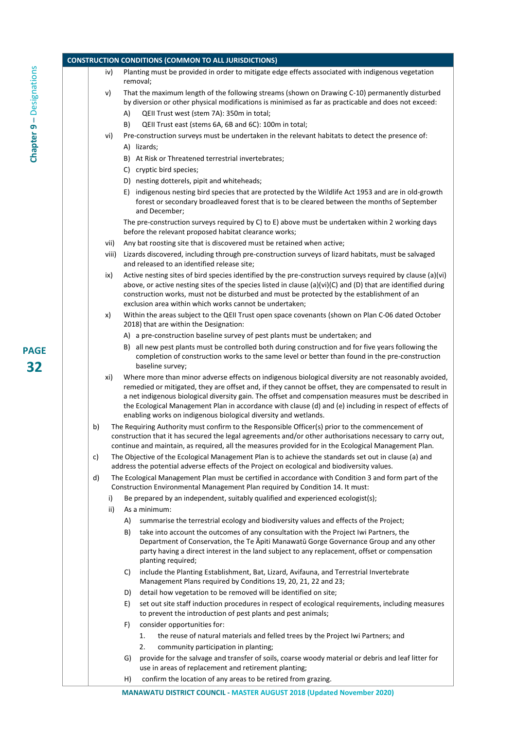|    |       | <b>CONSTRUCTION CONDITIONS (COMMON TO ALL JURISDICTIONS)</b>                                                                                                                                                                                                                                                                                                                                                                                                                                           |
|----|-------|--------------------------------------------------------------------------------------------------------------------------------------------------------------------------------------------------------------------------------------------------------------------------------------------------------------------------------------------------------------------------------------------------------------------------------------------------------------------------------------------------------|
|    | iv)   | Planting must be provided in order to mitigate edge effects associated with indigenous vegetation<br>removal;                                                                                                                                                                                                                                                                                                                                                                                          |
|    | v)    | That the maximum length of the following streams (shown on Drawing C-10) permanently disturbed<br>by diversion or other physical modifications is minimised as far as practicable and does not exceed:                                                                                                                                                                                                                                                                                                 |
|    |       | QEII Trust west (stem 7A): 350m in total;<br>A)                                                                                                                                                                                                                                                                                                                                                                                                                                                        |
|    |       | QEII Trust east (stems 6A, 6B and 6C): 100m in total;<br>B)                                                                                                                                                                                                                                                                                                                                                                                                                                            |
|    | vi)   | Pre-construction surveys must be undertaken in the relevant habitats to detect the presence of:                                                                                                                                                                                                                                                                                                                                                                                                        |
|    |       | A) lizards;                                                                                                                                                                                                                                                                                                                                                                                                                                                                                            |
|    |       | B) At Risk or Threatened terrestrial invertebrates;                                                                                                                                                                                                                                                                                                                                                                                                                                                    |
|    |       | C) cryptic bird species;                                                                                                                                                                                                                                                                                                                                                                                                                                                                               |
|    |       | D) nesting dotterels, pipit and whiteheads;                                                                                                                                                                                                                                                                                                                                                                                                                                                            |
|    |       | E) indigenous nesting bird species that are protected by the Wildlife Act 1953 and are in old-growth<br>forest or secondary broadleaved forest that is to be cleared between the months of September<br>and December;                                                                                                                                                                                                                                                                                  |
|    |       | The pre-construction surveys required by C) to E) above must be undertaken within 2 working days<br>before the relevant proposed habitat clearance works;                                                                                                                                                                                                                                                                                                                                              |
|    | vii)  | Any bat roosting site that is discovered must be retained when active;                                                                                                                                                                                                                                                                                                                                                                                                                                 |
|    | viii) | Lizards discovered, including through pre-construction surveys of lizard habitats, must be salvaged<br>and released to an identified release site;                                                                                                                                                                                                                                                                                                                                                     |
|    | ix)   | Active nesting sites of bird species identified by the pre-construction surveys required by clause (a)(vi)<br>above, or active nesting sites of the species listed in clause (a)(vi)(C) and (D) that are identified during<br>construction works, must not be disturbed and must be protected by the establishment of an<br>exclusion area within which works cannot be undertaken;                                                                                                                    |
|    | x)    | Within the areas subject to the QEII Trust open space covenants (shown on Plan C-06 dated October                                                                                                                                                                                                                                                                                                                                                                                                      |
|    |       | 2018) that are within the Designation:                                                                                                                                                                                                                                                                                                                                                                                                                                                                 |
|    |       | A) a pre-construction baseline survey of pest plants must be undertaken; and                                                                                                                                                                                                                                                                                                                                                                                                                           |
|    |       | B) all new pest plants must be controlled both during construction and for five years following the<br>completion of construction works to the same level or better than found in the pre-construction<br>baseline survey;                                                                                                                                                                                                                                                                             |
|    | xi)   | Where more than minor adverse effects on indigenous biological diversity are not reasonably avoided,<br>remedied or mitigated, they are offset and, if they cannot be offset, they are compensated to result in<br>a net indigenous biological diversity gain. The offset and compensation measures must be described in<br>the Ecological Management Plan in accordance with clause (d) and (e) including in respect of effects of<br>enabling works on indigenous biological diversity and wetlands. |
| b) |       | The Requiring Authority must confirm to the Responsible Officer(s) prior to the commencement of<br>construction that it has secured the legal agreements and/or other authorisations necessary to carry out,<br>continue and maintain, as required, all the measures provided for in the Ecological Management Plan.                                                                                                                                                                                   |
| C) |       | The Objective of the Ecological Management Plan is to achieve the standards set out in clause (a) and<br>address the potential adverse effects of the Project on ecological and biodiversity values.                                                                                                                                                                                                                                                                                                   |
| d) |       | The Ecological Management Plan must be certified in accordance with Condition 3 and form part of the<br>Construction Environmental Management Plan required by Condition 14. It must:                                                                                                                                                                                                                                                                                                                  |
|    | i)    | Be prepared by an independent, suitably qualified and experienced ecologist(s);                                                                                                                                                                                                                                                                                                                                                                                                                        |
|    | ii)   | As a minimum:                                                                                                                                                                                                                                                                                                                                                                                                                                                                                          |
|    |       | summarise the terrestrial ecology and biodiversity values and effects of the Project;<br>A)                                                                                                                                                                                                                                                                                                                                                                                                            |
|    |       | take into account the outcomes of any consultation with the Project Iwi Partners, the<br>B)<br>Department of Conservation, the Te Apiti Manawatū Gorge Governance Group and any other<br>party having a direct interest in the land subject to any replacement, offset or compensation<br>planting required;                                                                                                                                                                                           |
|    |       | include the Planting Establishment, Bat, Lizard, Avifauna, and Terrestrial Invertebrate<br>C)<br>Management Plans required by Conditions 19, 20, 21, 22 and 23;                                                                                                                                                                                                                                                                                                                                        |
|    |       | detail how vegetation to be removed will be identified on site;<br>D)                                                                                                                                                                                                                                                                                                                                                                                                                                  |
|    |       | set out site staff induction procedures in respect of ecological requirements, including measures<br>E)<br>to prevent the introduction of pest plants and pest animals;                                                                                                                                                                                                                                                                                                                                |
|    |       | consider opportunities for:<br>F)                                                                                                                                                                                                                                                                                                                                                                                                                                                                      |
|    |       | 1.<br>the reuse of natural materials and felled trees by the Project Iwi Partners; and                                                                                                                                                                                                                                                                                                                                                                                                                 |
|    |       | 2.<br>community participation in planting;                                                                                                                                                                                                                                                                                                                                                                                                                                                             |
|    |       | provide for the salvage and transfer of soils, coarse woody material or debris and leaf litter for<br>G)<br>use in areas of replacement and retirement planting;                                                                                                                                                                                                                                                                                                                                       |
|    |       | confirm the location of any areas to be retired from grazing.<br>H)                                                                                                                                                                                                                                                                                                                                                                                                                                    |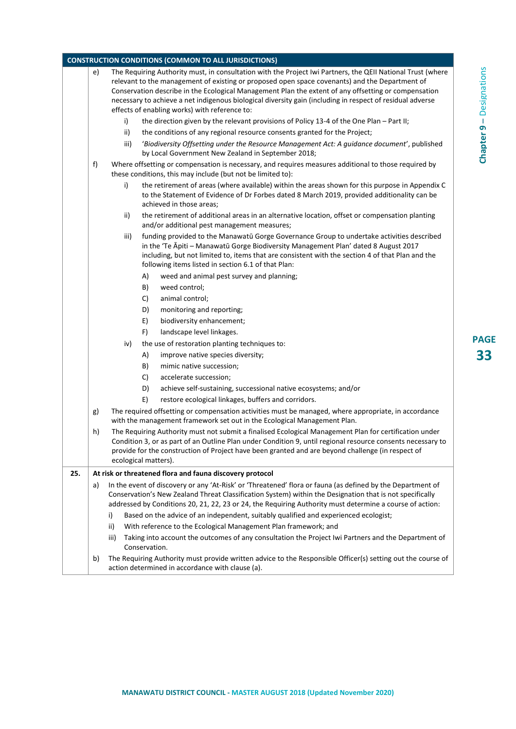|     | e) |                      |                                                                                                | The Requiring Authority must, in consultation with the Project Iwi Partners, the QEII National Trust (where                                                                                                       |
|-----|----|----------------------|------------------------------------------------------------------------------------------------|-------------------------------------------------------------------------------------------------------------------------------------------------------------------------------------------------------------------|
|     |    |                      | relevant to the management of existing or proposed open space covenants) and the Department of |                                                                                                                                                                                                                   |
|     |    |                      |                                                                                                | Conservation describe in the Ecological Management Plan the extent of any offsetting or compensation<br>necessary to achieve a net indigenous biological diversity gain (including in respect of residual adverse |
|     |    |                      |                                                                                                | effects of enabling works) with reference to:                                                                                                                                                                     |
|     |    | i)                   |                                                                                                | the direction given by the relevant provisions of Policy 13-4 of the One Plan - Part II;                                                                                                                          |
|     |    | ii)                  |                                                                                                | the conditions of any regional resource consents granted for the Project;                                                                                                                                         |
|     |    | iii)                 |                                                                                                | 'Biodiversity Offsetting under the Resource Management Act: A guidance document', published                                                                                                                       |
|     |    |                      |                                                                                                | by Local Government New Zealand in September 2018;                                                                                                                                                                |
|     | f) |                      |                                                                                                | Where offsetting or compensation is necessary, and requires measures additional to those required by<br>these conditions, this may include (but not be limited to):                                               |
|     |    | i)                   |                                                                                                | the retirement of areas (where available) within the areas shown for this purpose in Appendix C                                                                                                                   |
|     |    |                      |                                                                                                | to the Statement of Evidence of Dr Forbes dated 8 March 2019, provided additionality can be<br>achieved in those areas;                                                                                           |
|     |    | ii)                  |                                                                                                | the retirement of additional areas in an alternative location, offset or compensation planting                                                                                                                    |
|     |    |                      |                                                                                                | and/or additional pest management measures;                                                                                                                                                                       |
|     |    | iii)                 |                                                                                                | funding provided to the Manawatū Gorge Governance Group to undertake activities described                                                                                                                         |
|     |    |                      |                                                                                                | in the 'Te Apiti - Manawatū Gorge Biodiversity Management Plan' dated 8 August 2017<br>including, but not limited to, items that are consistent with the section 4 of that Plan and the                           |
|     |    |                      |                                                                                                | following items listed in section 6.1 of that Plan:                                                                                                                                                               |
|     |    |                      | A)                                                                                             | weed and animal pest survey and planning;                                                                                                                                                                         |
|     |    |                      | B)                                                                                             | weed control;                                                                                                                                                                                                     |
|     |    |                      | C)                                                                                             | animal control;                                                                                                                                                                                                   |
|     |    |                      | D)                                                                                             | monitoring and reporting;                                                                                                                                                                                         |
|     |    |                      | E)                                                                                             | biodiversity enhancement;                                                                                                                                                                                         |
|     |    |                      | F)                                                                                             | landscape level linkages.                                                                                                                                                                                         |
|     |    | iv)                  |                                                                                                | the use of restoration planting techniques to:                                                                                                                                                                    |
|     |    |                      | A)                                                                                             | improve native species diversity;                                                                                                                                                                                 |
|     |    |                      | B)                                                                                             | mimic native succession;                                                                                                                                                                                          |
|     |    |                      | C)                                                                                             | accelerate succession;                                                                                                                                                                                            |
|     |    |                      | D)                                                                                             | achieve self-sustaining, successional native ecosystems; and/or                                                                                                                                                   |
|     |    |                      | E)                                                                                             | restore ecological linkages, buffers and corridors.                                                                                                                                                               |
|     | g) |                      |                                                                                                | The required offsetting or compensation activities must be managed, where appropriate, in accordance<br>with the management framework set out in the Ecological Management Plan.                                  |
|     | h) |                      |                                                                                                | The Requiring Authority must not submit a finalised Ecological Management Plan for certification under                                                                                                            |
|     |    |                      |                                                                                                | Condition 3, or as part of an Outline Plan under Condition 9, until regional resource consents necessary to                                                                                                       |
|     |    | ecological matters). |                                                                                                | provide for the construction of Project have been granted and are beyond challenge (in respect of                                                                                                                 |
| 25. |    |                      |                                                                                                | At risk or threatened flora and fauna discovery protocol                                                                                                                                                          |
|     | a) |                      |                                                                                                | In the event of discovery or any 'At-Risk' or 'Threatened' flora or fauna (as defined by the Department of                                                                                                        |
|     |    |                      |                                                                                                | Conservation's New Zealand Threat Classification System) within the Designation that is not specifically                                                                                                          |
|     |    |                      |                                                                                                | addressed by Conditions 20, 21, 22, 23 or 24, the Requiring Authority must determine a course of action:                                                                                                          |
|     |    | i)                   |                                                                                                | Based on the advice of an independent, suitably qualified and experienced ecologist;                                                                                                                              |
|     |    | ii)                  |                                                                                                | With reference to the Ecological Management Plan framework; and                                                                                                                                                   |
|     |    | iii)                 | Conservation.                                                                                  | Taking into account the outcomes of any consultation the Project Iwi Partners and the Department of                                                                                                               |
|     | b) |                      |                                                                                                | The Requiring Authority must provide written advice to the Responsible Officer(s) setting out the course of<br>action determined in accordance with clause (a).                                                   |

**CONSTRUCTION CONDITIONS (COMMON TO ALL JURISDICTIONS)**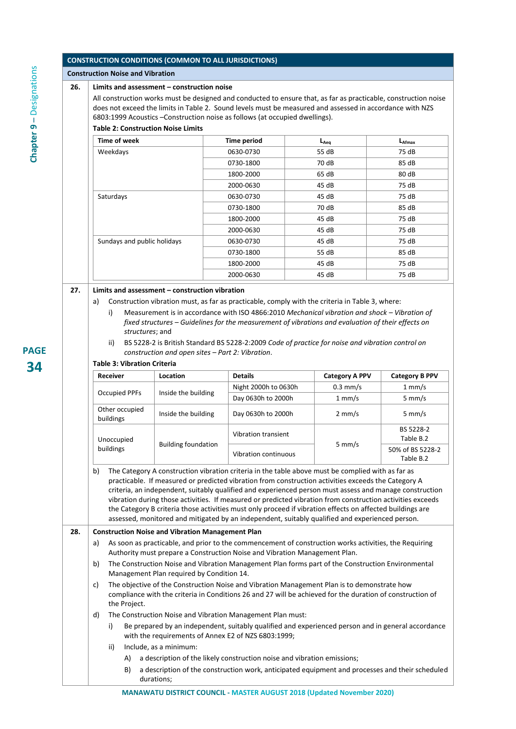#### **CONSTRUCTION CONDITIONS (COMMON TO ALL JURISDICTIONS)**

## **Construction Noise and Vibration**

#### **26. Limits and assessment – construction noise**

All construction works must be designed and conducted to ensure that, as far as practicable, construction noise does not exceed the limits in Table 2. Sound levels must be measured and assessed in accordance with NZS 6803:1999 Acoustics –Construction noise as follows (at occupied dwellings).

**Table 2: Construction Noise Limits**

| Time of week                | Time period | $L_{Aeq}$ | $L_{A}$ <i>fmax</i> |
|-----------------------------|-------------|-----------|---------------------|
| Weekdays                    | 0630-0730   | 55 dB     | 75 dB               |
|                             | 0730-1800   | 70 dB     | 85 dB               |
|                             | 1800-2000   | 65 dB     | 80 dB               |
|                             | 2000-0630   | 45 dB     | 75 dB               |
| Saturdays                   | 0630-0730   | 45 dB     | 75 dB               |
|                             | 0730-1800   | 70 dB     | 85 dB               |
|                             | 1800-2000   | 45 dB     | 75 dB               |
|                             | 2000-0630   | 45 dB     | 75 dB               |
| Sundays and public holidays | 0630-0730   | 45 dB     | 75 dB               |
|                             | 0730-1800   | 55 dB     | 85 dB               |
|                             | 1800-2000   | 45 dB     | 75 dB               |
|                             | 2000-0630   | 45 dB     | 75 dB               |

#### **27. Limits and assessment – construction vibration**

a) Construction vibration must, as far as practicable, comply with the criteria in Table 3, where:

- i) Measurement is in accordance with ISO 4866:2010 *Mechanical vibration and shock – Vibration of fixed structures – Guidelines for the measurement of vibrations and evaluation of their effects on structures*; and
- ii) BS 5228-2 is British Standard BS 5228-2:2009 *Code of practice for noise and vibration control on construction and open sites – Part 2: Vibration*.

|  | Table 3: Vibration Criteria |  |
|--|-----------------------------|--|
|  |                             |  |

|                                                                                                                                                                 | <b>Receiver</b>             |              | Location                                                | <b>Details</b>                                                                                                                                                                                           | <b>Category A PPV</b>                                                                                                                                                                                                                                                                                                                                                                                                                 | <b>Category B PPV</b>         |  |
|-----------------------------------------------------------------------------------------------------------------------------------------------------------------|-----------------------------|--------------|---------------------------------------------------------|----------------------------------------------------------------------------------------------------------------------------------------------------------------------------------------------------------|---------------------------------------------------------------------------------------------------------------------------------------------------------------------------------------------------------------------------------------------------------------------------------------------------------------------------------------------------------------------------------------------------------------------------------------|-------------------------------|--|
|                                                                                                                                                                 |                             |              |                                                         | Night 2000h to 0630h                                                                                                                                                                                     | $0.3$ mm/s                                                                                                                                                                                                                                                                                                                                                                                                                            | $1$ mm/s                      |  |
| <b>Occupied PPFs</b>                                                                                                                                            |                             |              | Inside the building                                     | Day 0630h to 2000h                                                                                                                                                                                       | $1$ mm/s                                                                                                                                                                                                                                                                                                                                                                                                                              | $5 \text{ mm/s}$              |  |
|                                                                                                                                                                 | Other occupied<br>buildings |              | Inside the building                                     | Day 0630h to 2000h<br>$2 \text{ mm/s}$                                                                                                                                                                   |                                                                                                                                                                                                                                                                                                                                                                                                                                       | $5 \text{ mm/s}$              |  |
|                                                                                                                                                                 | Unoccupied                  |              |                                                         | <b>Vibration transient</b>                                                                                                                                                                               |                                                                                                                                                                                                                                                                                                                                                                                                                                       | BS 5228-2<br>Table B.2        |  |
|                                                                                                                                                                 | buildings                   |              | <b>Building foundation</b>                              | <b>Vibration continuous</b>                                                                                                                                                                              | $5 \, \text{mm/s}$                                                                                                                                                                                                                                                                                                                                                                                                                    | 50% of BS 5228-2<br>Table B.2 |  |
|                                                                                                                                                                 |                             |              |                                                         |                                                                                                                                                                                                          | criteria, an independent, suitably qualified and experienced person must assess and manage construction<br>vibration during those activities. If measured or predicted vibration from construction activities exceeds<br>the Category B criteria those activities must only proceed if vibration effects on affected buildings are<br>assessed, monitored and mitigated by an independent, suitably qualified and experienced person. |                               |  |
|                                                                                                                                                                 |                             |              | <b>Construction Noise and Vibration Management Plan</b> |                                                                                                                                                                                                          |                                                                                                                                                                                                                                                                                                                                                                                                                                       |                               |  |
| a)                                                                                                                                                              |                             |              |                                                         | As soon as practicable, and prior to the commencement of construction works activities, the Requiring<br>Authority must prepare a Construction Noise and Vibration Management Plan.                      |                                                                                                                                                                                                                                                                                                                                                                                                                                       |                               |  |
| b)                                                                                                                                                              |                             |              | Management Plan required by Condition 14.               | The Construction Noise and Vibration Management Plan forms part of the Construction Environmental                                                                                                        |                                                                                                                                                                                                                                                                                                                                                                                                                                       |                               |  |
| c)                                                                                                                                                              |                             | the Project. |                                                         | The objective of the Construction Noise and Vibration Management Plan is to demonstrate how<br>compliance with the criteria in Conditions 26 and 27 will be achieved for the duration of construction of |                                                                                                                                                                                                                                                                                                                                                                                                                                       |                               |  |
| d)                                                                                                                                                              |                             |              |                                                         | The Construction Noise and Vibration Management Plan must:                                                                                                                                               |                                                                                                                                                                                                                                                                                                                                                                                                                                       |                               |  |
| Be prepared by an independent, suitably qualified and experienced person and in general accordance<br>i)<br>with the requirements of Annex E2 of NZS 6803:1999; |                             |              |                                                         |                                                                                                                                                                                                          |                                                                                                                                                                                                                                                                                                                                                                                                                                       |                               |  |
|                                                                                                                                                                 | ii)                         |              | Include, as a minimum:                                  |                                                                                                                                                                                                          |                                                                                                                                                                                                                                                                                                                                                                                                                                       |                               |  |
|                                                                                                                                                                 |                             | A)           |                                                         | a description of the likely construction noise and vibration emissions;                                                                                                                                  |                                                                                                                                                                                                                                                                                                                                                                                                                                       |                               |  |
|                                                                                                                                                                 |                             | B)           | durations;                                              | a description of the construction work, anticipated equipment and processes and their scheduled                                                                                                          |                                                                                                                                                                                                                                                                                                                                                                                                                                       |                               |  |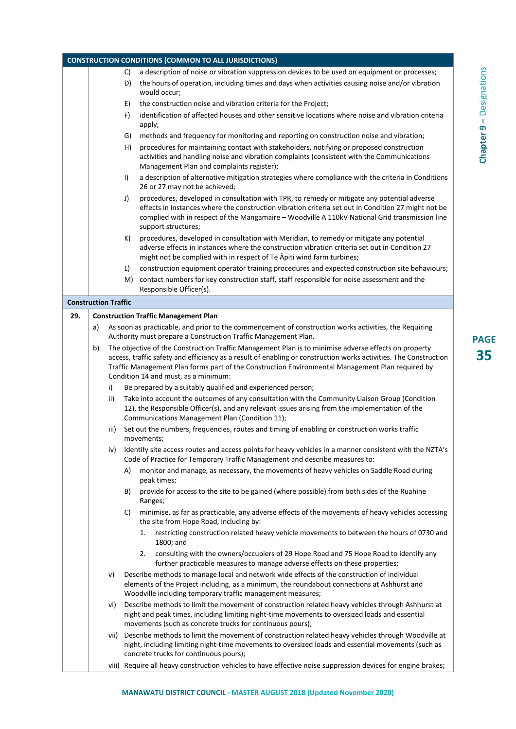|     |    |                             |          | <b>CONSTRUCTION CONDITIONS (COMMON TO ALL JURISDICTIONS)</b>                                                                                                                                                                                                                                                                                                         |
|-----|----|-----------------------------|----------|----------------------------------------------------------------------------------------------------------------------------------------------------------------------------------------------------------------------------------------------------------------------------------------------------------------------------------------------------------------------|
|     |    |                             | C)       | a description of noise or vibration suppression devices to be used on equipment or processes;                                                                                                                                                                                                                                                                        |
|     |    |                             | D)       | the hours of operation, including times and days when activities causing noise and/or vibration<br>would occur;                                                                                                                                                                                                                                                      |
|     |    |                             | E)       | the construction noise and vibration criteria for the Project;                                                                                                                                                                                                                                                                                                       |
|     |    |                             | F)       | identification of affected houses and other sensitive locations where noise and vibration criteria<br>apply;                                                                                                                                                                                                                                                         |
|     |    |                             | G)       | methods and frequency for monitoring and reporting on construction noise and vibration;                                                                                                                                                                                                                                                                              |
|     |    |                             | H)       | procedures for maintaining contact with stakeholders, notifying or proposed construction<br>activities and handling noise and vibration complaints (consistent with the Communications<br>Management Plan and complaints register);                                                                                                                                  |
|     |    |                             | I)       | a description of alternative mitigation strategies where compliance with the criteria in Conditions<br>26 or 27 may not be achieved;                                                                                                                                                                                                                                 |
|     |    |                             | J)       | procedures, developed in consultation with TPR, to-remedy or mitigate any potential adverse<br>effects in instances where the construction vibration criteria set out in Condition 27 might not be<br>complied with in respect of the Mangamaire - Woodville A 110kV National Grid transmission line<br>support structures;                                          |
|     |    |                             | K)       | procedures, developed in consultation with Meridian, to remedy or mitigate any potential<br>adverse effects in instances where the construction vibration criteria set out in Condition 27<br>might not be complied with in respect of Te Apiti wind farm turbines;                                                                                                  |
|     |    |                             | L)<br>M) | construction equipment operator training procedures and expected construction site behaviours;<br>contact numbers for key construction staff, staff responsible for noise assessment and the<br>Responsible Officer(s).                                                                                                                                              |
|     |    | <b>Construction Traffic</b> |          |                                                                                                                                                                                                                                                                                                                                                                      |
| 29. |    |                             |          | <b>Construction Traffic Management Plan</b>                                                                                                                                                                                                                                                                                                                          |
|     | a) |                             |          | As soon as practicable, and prior to the commencement of construction works activities, the Requiring<br>Authority must prepare a Construction Traffic Management Plan.                                                                                                                                                                                              |
|     | b) |                             |          | The objective of the Construction Traffic Management Plan is to minimise adverse effects on property<br>access, traffic safety and efficiency as a result of enabling or construction works activities. The Construction<br>Traffic Management Plan forms part of the Construction Environmental Management Plan required by<br>Condition 14 and must, as a minimum: |
|     |    | i)                          |          | Be prepared by a suitably qualified and experienced person;                                                                                                                                                                                                                                                                                                          |
|     |    | ii)                         |          | Take into account the outcomes of any consultation with the Community Liaison Group (Condition<br>12), the Responsible Officer(s), and any relevant issues arising from the implementation of the<br>Communications Management Plan (Condition 11);                                                                                                                  |
|     |    | iii)                        |          | Set out the numbers, frequencies, routes and timing of enabling or construction works traffic<br>movements;                                                                                                                                                                                                                                                          |
|     |    | iv)                         |          | Identify site access routes and access points for heavy vehicles in a manner consistent with the NZTA's<br>Code of Practice for Temporary Traffic Management and describe measures to:                                                                                                                                                                               |
|     |    |                             | A)       | monitor and manage, as necessary, the movements of heavy vehicles on Saddle Road during<br>peak times;                                                                                                                                                                                                                                                               |
|     |    |                             | B)       | provide for access to the site to be gained (where possible) from both sides of the Ruahine<br>Ranges;                                                                                                                                                                                                                                                               |
|     |    |                             | C)       | minimise, as far as practicable, any adverse effects of the movements of heavy vehicles accessing<br>the site from Hope Road, including by:                                                                                                                                                                                                                          |
|     |    |                             |          | restricting construction related heavy vehicle movements to between the hours of 0730 and<br>1.<br>1800; and                                                                                                                                                                                                                                                         |
|     |    |                             |          | consulting with the owners/occupiers of 29 Hope Road and 75 Hope Road to identify any<br>2.<br>further practicable measures to manage adverse effects on these properties;                                                                                                                                                                                           |
|     |    | v)                          |          | Describe methods to manage local and network wide effects of the construction of individual<br>elements of the Project including, as a minimum, the roundabout connections at Ashhurst and<br>Woodville including temporary traffic management measures;                                                                                                             |
|     |    | vi)                         |          | Describe methods to limit the movement of construction related heavy vehicles through Ashhurst at<br>night and peak times, including limiting night-time movements to oversized loads and essential<br>movements (such as concrete trucks for continuous pours);                                                                                                     |
|     |    | vii)                        |          | Describe methods to limit the movement of construction related heavy vehicles through Woodville at<br>night, including limiting night-time movements to oversized loads and essential movements (such as<br>concrete trucks for continuous pours);                                                                                                                   |
|     |    |                             |          | viii) Require all heavy construction vehicles to have effective noise suppression devices for engine brakes;                                                                                                                                                                                                                                                         |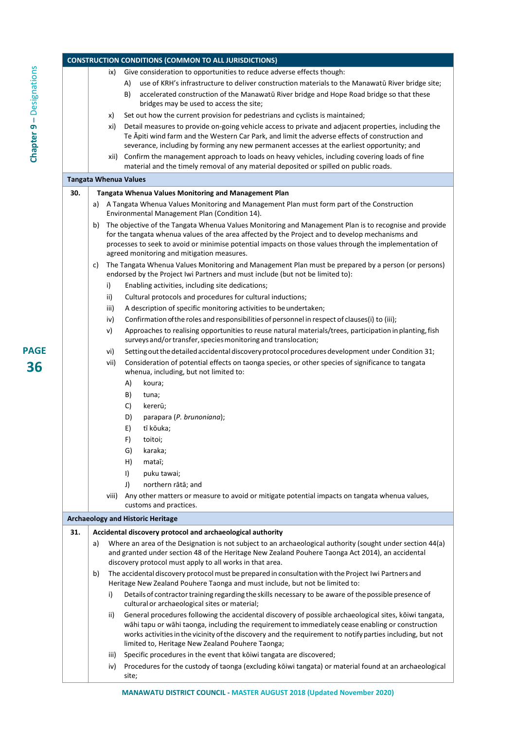|     |    |       | <b>CONSTRUCTION CONDITIONS (COMMON TO ALL JURISDICTIONS)</b>                                                                                                                                                                                                                                                                                                                  |
|-----|----|-------|-------------------------------------------------------------------------------------------------------------------------------------------------------------------------------------------------------------------------------------------------------------------------------------------------------------------------------------------------------------------------------|
|     |    | ix)   | Give consideration to opportunities to reduce adverse effects though:                                                                                                                                                                                                                                                                                                         |
|     |    |       | use of KRH's infrastructure to deliver construction materials to the Manawatū River bridge site;<br>A)                                                                                                                                                                                                                                                                        |
|     |    |       | accelerated construction of the Manawatū River bridge and Hope Road bridge so that these<br>B)<br>bridges may be used to access the site;                                                                                                                                                                                                                                     |
|     |    | x)    | Set out how the current provision for pedestrians and cyclists is maintained;                                                                                                                                                                                                                                                                                                 |
|     |    | xi)   | Detail measures to provide on-going vehicle access to private and adjacent properties, including the<br>Te Apiti wind farm and the Western Car Park, and limit the adverse effects of construction and<br>severance, including by forming any new permanent accesses at the earliest opportunity; and                                                                         |
|     |    | xii)  | Confirm the management approach to loads on heavy vehicles, including covering loads of fine<br>material and the timely removal of any material deposited or spilled on public roads.                                                                                                                                                                                         |
|     |    |       | <b>Tangata Whenua Values</b>                                                                                                                                                                                                                                                                                                                                                  |
| 30. |    |       | Tangata Whenua Values Monitoring and Management Plan                                                                                                                                                                                                                                                                                                                          |
|     | a) |       | A Tangata Whenua Values Monitoring and Management Plan must form part of the Construction                                                                                                                                                                                                                                                                                     |
|     |    |       | Environmental Management Plan (Condition 14).                                                                                                                                                                                                                                                                                                                                 |
|     | b) |       | The objective of the Tangata Whenua Values Monitoring and Management Plan is to recognise and provide<br>for the tangata whenua values of the area affected by the Project and to develop mechanisms and<br>processes to seek to avoid or minimise potential impacts on those values through the implementation of<br>agreed monitoring and mitigation measures.              |
|     | C) |       | The Tangata Whenua Values Monitoring and Management Plan must be prepared by a person (or persons)<br>endorsed by the Project Iwi Partners and must include (but not be limited to):                                                                                                                                                                                          |
|     |    | i)    | Enabling activities, including site dedications;                                                                                                                                                                                                                                                                                                                              |
|     |    | ii)   | Cultural protocols and procedures for cultural inductions;                                                                                                                                                                                                                                                                                                                    |
|     |    | iii)  | A description of specific monitoring activities to be undertaken;                                                                                                                                                                                                                                                                                                             |
|     |    | iv)   | Confirmation of the roles and responsibilities of personnel in respect of clauses(i) to (iii);                                                                                                                                                                                                                                                                                |
|     |    | v)    | Approaches to realising opportunities to reuse natural materials/trees, participation in planting, fish<br>surveys and/or transfer, species monitoring and translocation;                                                                                                                                                                                                     |
|     |    | vi)   | Setting out the detailed accidental discovery protocol procedures development under Condition 31;                                                                                                                                                                                                                                                                             |
|     |    | vii)  | Consideration of potential effects on taonga species, or other species of significance to tangata<br>whenua, including, but not limited to:                                                                                                                                                                                                                                   |
|     |    |       | A)<br>koura;                                                                                                                                                                                                                                                                                                                                                                  |
|     |    |       | B)<br>tuna;                                                                                                                                                                                                                                                                                                                                                                   |
|     |    |       | C)<br>kererū;                                                                                                                                                                                                                                                                                                                                                                 |
|     |    |       | D)<br>parapara (P. brunoniana);                                                                                                                                                                                                                                                                                                                                               |
|     |    |       | E)<br>tī kōuka;                                                                                                                                                                                                                                                                                                                                                               |
|     |    |       | F)<br>toitoi;                                                                                                                                                                                                                                                                                                                                                                 |
|     |    |       | G)<br>karaka;                                                                                                                                                                                                                                                                                                                                                                 |
|     |    |       | H)<br>mataī;                                                                                                                                                                                                                                                                                                                                                                  |
|     |    |       | puku tawai;<br>I)                                                                                                                                                                                                                                                                                                                                                             |
|     |    |       | northern rātā; and<br>J)                                                                                                                                                                                                                                                                                                                                                      |
|     |    | viii) | Any other matters or measure to avoid or mitigate potential impacts on tangata whenua values,<br>customs and practices.                                                                                                                                                                                                                                                       |
|     |    |       | <b>Archaeology and Historic Heritage</b>                                                                                                                                                                                                                                                                                                                                      |
| 31. |    |       | Accidental discovery protocol and archaeological authority                                                                                                                                                                                                                                                                                                                    |
|     | a) |       | Where an area of the Designation is not subject to an archaeological authority (sought under section 44(a)                                                                                                                                                                                                                                                                    |
|     |    |       | and granted under section 48 of the Heritage New Zealand Pouhere Taonga Act 2014), an accidental<br>discovery protocol must apply to all works in that area.                                                                                                                                                                                                                  |
|     | b) |       | The accidental discovery protocol must be prepared in consultation with the Project Iwi Partners and<br>Heritage New Zealand Pouhere Taonga and must include, but not be limited to:                                                                                                                                                                                          |
|     |    | i)    | Details of contractor training regarding the skills necessary to be aware of the possible presence of<br>cultural or archaeological sites or material;                                                                                                                                                                                                                        |
|     |    | ii)   | General procedures following the accidental discovery of possible archaeological sites, kōiwi tangata,<br>wāhi tapu or wāhi taonga, including the requirement to immediately cease enabling or construction<br>works activities in the vicinity of the discovery and the requirement to notify parties including, but not<br>limited to, Heritage New Zealand Pouhere Taonga; |
|     |    | iii)  | Specific procedures in the event that koiwi tangata are discovered;                                                                                                                                                                                                                                                                                                           |
|     |    | iv)   | Procedures for the custody of taonga (excluding koiwi tangata) or material found at an archaeological<br>site;                                                                                                                                                                                                                                                                |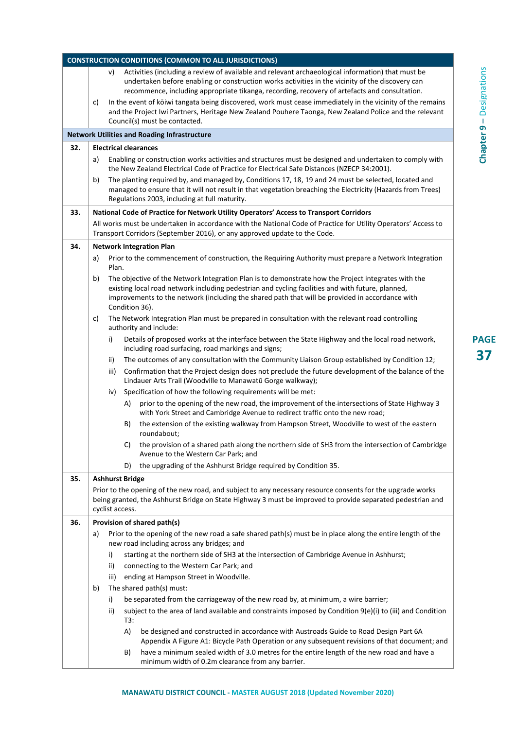|     |    |                                           | <b>CONSTRUCTION CONDITIONS (COMMON TO ALL JURISDICTIONS)</b>                                                                                                                                                                                                                                                |
|-----|----|-------------------------------------------|-------------------------------------------------------------------------------------------------------------------------------------------------------------------------------------------------------------------------------------------------------------------------------------------------------------|
|     |    | v)                                        | Activities (including a review of available and relevant archaeological information) that must be<br>undertaken before enabling or construction works activities in the vicinity of the discovery can<br>recommence, including appropriate tikanga, recording, recovery of artefacts and consultation.      |
|     | c) |                                           | In the event of koiwi tangata being discovered, work must cease immediately in the vicinity of the remains<br>and the Project Iwi Partners, Heritage New Zealand Pouhere Taonga, New Zealand Police and the relevant<br>Council(s) must be contacted.                                                       |
|     |    |                                           | <b>Network Utilities and Roading Infrastructure</b>                                                                                                                                                                                                                                                         |
| 32. |    | <b>Electrical clearances</b>              |                                                                                                                                                                                                                                                                                                             |
|     | a) |                                           | Enabling or construction works activities and structures must be designed and undertaken to comply with<br>the New Zealand Electrical Code of Practice for Electrical Safe Distances (NZECP 34:2001).                                                                                                       |
|     | b) |                                           | The planting required by, and managed by, Conditions 17, 18, 19 and 24 must be selected, located and<br>managed to ensure that it will not result in that vegetation breaching the Electricity (Hazards from Trees)<br>Regulations 2003, including at full maturity.                                        |
| 33. |    |                                           | National Code of Practice for Network Utility Operators' Access to Transport Corridors                                                                                                                                                                                                                      |
|     |    |                                           | All works must be undertaken in accordance with the National Code of Practice for Utility Operators' Access to<br>Transport Corridors (September 2016), or any approved update to the Code.                                                                                                                 |
| 34. |    |                                           | <b>Network Integration Plan</b>                                                                                                                                                                                                                                                                             |
|     | a) | Plan.                                     | Prior to the commencement of construction, the Requiring Authority must prepare a Network Integration                                                                                                                                                                                                       |
|     | b) | Condition 36).                            | The objective of the Network Integration Plan is to demonstrate how the Project integrates with the<br>existing local road network including pedestrian and cycling facilities and with future, planned,<br>improvements to the network (including the shared path that will be provided in accordance with |
|     | c) |                                           | The Network Integration Plan must be prepared in consultation with the relevant road controlling<br>authority and include:                                                                                                                                                                                  |
|     |    | i)                                        | Details of proposed works at the interface between the State Highway and the local road network,<br>including road surfacing, road markings and signs;                                                                                                                                                      |
|     |    | ii)                                       | The outcomes of any consultation with the Community Liaison Group established by Condition 12;                                                                                                                                                                                                              |
|     |    | iii)                                      | Confirmation that the Project design does not preclude the future development of the balance of the<br>Lindauer Arts Trail (Woodville to Manawatū Gorge walkway);                                                                                                                                           |
|     |    | iv)                                       | Specification of how the following requirements will be met:                                                                                                                                                                                                                                                |
|     |    | A)                                        | prior to the opening of the new road, the improvement of the intersections of State Highway 3<br>with York Street and Cambridge Avenue to redirect traffic onto the new road;                                                                                                                               |
|     |    | B)                                        | the extension of the existing walkway from Hampson Street, Woodville to west of the eastern<br>roundabout;                                                                                                                                                                                                  |
|     |    | C)                                        | the provision of a shared path along the northern side of SH3 from the intersection of Cambridge<br>Avenue to the Western Car Park; and                                                                                                                                                                     |
|     |    | D)                                        | the upgrading of the Ashhurst Bridge required by Condition 35.                                                                                                                                                                                                                                              |
| 35. |    | <b>Ashhurst Bridge</b><br>cyclist access. | Prior to the opening of the new road, and subject to any necessary resource consents for the upgrade works<br>being granted, the Ashhurst Bridge on State Highway 3 must be improved to provide separated pedestrian and                                                                                    |
| 36. |    |                                           | Provision of shared path(s)                                                                                                                                                                                                                                                                                 |
|     | a) |                                           | Prior to the opening of the new road a safe shared path(s) must be in place along the entire length of the<br>new road including across any bridges; and                                                                                                                                                    |
|     |    | i)                                        | starting at the northern side of SH3 at the intersection of Cambridge Avenue in Ashhurst;                                                                                                                                                                                                                   |
|     |    | ii)                                       | connecting to the Western Car Park; and                                                                                                                                                                                                                                                                     |
|     |    | iii)                                      | ending at Hampson Street in Woodville.                                                                                                                                                                                                                                                                      |
|     | b) |                                           | The shared path(s) must:                                                                                                                                                                                                                                                                                    |
|     |    | i)<br>ii)                                 | be separated from the carriageway of the new road by, at minimum, a wire barrier;<br>subject to the area of land available and constraints imposed by Condition 9(e)(i) to (iii) and Condition                                                                                                              |
|     |    | T3:                                       |                                                                                                                                                                                                                                                                                                             |
|     |    | A)                                        | be designed and constructed in accordance with Austroads Guide to Road Design Part 6A<br>Appendix A Figure A1: Bicycle Path Operation or any subsequent revisions of that document; and                                                                                                                     |
|     |    | B)                                        | have a minimum sealed width of 3.0 metres for the entire length of the new road and have a<br>minimum width of 0.2m clearance from any barrier.                                                                                                                                                             |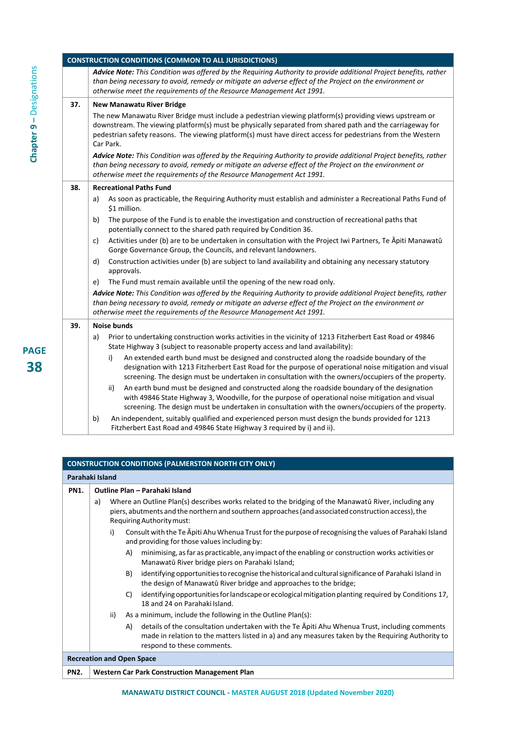|     |                                                                                                                                                                                                                                                                                                                                                  | <b>CONSTRUCTION CONDITIONS (COMMON TO ALL JURISDICTIONS)</b>                                                                                                                                                                                                                                                      |  |  |
|-----|--------------------------------------------------------------------------------------------------------------------------------------------------------------------------------------------------------------------------------------------------------------------------------------------------------------------------------------------------|-------------------------------------------------------------------------------------------------------------------------------------------------------------------------------------------------------------------------------------------------------------------------------------------------------------------|--|--|
|     |                                                                                                                                                                                                                                                                                                                                                  | Advice Note: This Condition was offered by the Requiring Authority to provide additional Project benefits, rather<br>than being necessary to avoid, remedy or mitigate an adverse effect of the Project on the environment or<br>otherwise meet the requirements of the Resource Management Act 1991.             |  |  |
| 37. | <b>New Manawatu River Bridge</b>                                                                                                                                                                                                                                                                                                                 |                                                                                                                                                                                                                                                                                                                   |  |  |
|     | The new Manawatu River Bridge must include a pedestrian viewing platform(s) providing views upstream or<br>downstream. The viewing platform(s) must be physically separated from shared path and the carriageway for<br>pedestrian safety reasons. The viewing platform(s) must have direct access for pedestrians from the Western<br>Car Park. |                                                                                                                                                                                                                                                                                                                   |  |  |
|     |                                                                                                                                                                                                                                                                                                                                                  | Advice Note: This Condition was offered by the Requiring Authority to provide additional Project benefits, rather<br>than being necessary to avoid, remedy or mitigate an adverse effect of the Project on the environment or<br>otherwise meet the requirements of the Resource Management Act 1991.             |  |  |
| 38. |                                                                                                                                                                                                                                                                                                                                                  | <b>Recreational Paths Fund</b>                                                                                                                                                                                                                                                                                    |  |  |
|     | a)                                                                                                                                                                                                                                                                                                                                               | As soon as practicable, the Requiring Authority must establish and administer a Recreational Paths Fund of<br>\$1 million.                                                                                                                                                                                        |  |  |
|     | b)                                                                                                                                                                                                                                                                                                                                               | The purpose of the Fund is to enable the investigation and construction of recreational paths that<br>potentially connect to the shared path required by Condition 36.                                                                                                                                            |  |  |
|     | c)                                                                                                                                                                                                                                                                                                                                               | Activities under (b) are to be undertaken in consultation with the Project Iwi Partners, Te Apiti Manawatū<br>Gorge Governance Group, the Councils, and relevant landowners.                                                                                                                                      |  |  |
|     | d)                                                                                                                                                                                                                                                                                                                                               | Construction activities under (b) are subject to land availability and obtaining any necessary statutory<br>approvals.                                                                                                                                                                                            |  |  |
|     | e)                                                                                                                                                                                                                                                                                                                                               | The Fund must remain available until the opening of the new road only.                                                                                                                                                                                                                                            |  |  |
|     |                                                                                                                                                                                                                                                                                                                                                  | Advice Note: This Condition was offered by the Requiring Authority to provide additional Project benefits, rather<br>than being necessary to avoid, remedy or mitigate an adverse effect of the Project on the environment or<br>otherwise meet the requirements of the Resource Management Act 1991.             |  |  |
| 39. |                                                                                                                                                                                                                                                                                                                                                  | <b>Noise bunds</b>                                                                                                                                                                                                                                                                                                |  |  |
|     | a)                                                                                                                                                                                                                                                                                                                                               | Prior to undertaking construction works activities in the vicinity of 1213 Fitzherbert East Road or 49846<br>State Highway 3 (subject to reasonable property access and land availability):                                                                                                                       |  |  |
|     |                                                                                                                                                                                                                                                                                                                                                  | An extended earth bund must be designed and constructed along the roadside boundary of the<br>i)<br>designation with 1213 Fitzherbert East Road for the purpose of operational noise mitigation and visual<br>screening. The design must be undertaken in consultation with the owners/occupiers of the property. |  |  |
|     |                                                                                                                                                                                                                                                                                                                                                  | An earth bund must be designed and constructed along the roadside boundary of the designation<br>ii)<br>with 49846 State Highway 3, Woodville, for the purpose of operational noise mitigation and visual<br>screening. The design must be undertaken in consultation with the owners/occupiers of the property.  |  |  |
|     | b)                                                                                                                                                                                                                                                                                                                                               | An independent, suitably qualified and experienced person must design the bunds provided for 1213<br>Fitzherbert East Road and 49846 State Highway 3 required by i) and ii).                                                                                                                                      |  |  |

|             | <b>CONSTRUCTION CONDITIONS (PALMERSTON NORTH CITY ONLY)</b> |                                                                                                                                                                                                                                           |  |  |  |
|-------------|-------------------------------------------------------------|-------------------------------------------------------------------------------------------------------------------------------------------------------------------------------------------------------------------------------------------|--|--|--|
|             | Parahaki Island                                             |                                                                                                                                                                                                                                           |  |  |  |
| <b>PN1.</b> |                                                             | Outline Plan - Parahaki Island                                                                                                                                                                                                            |  |  |  |
|             | a)                                                          | Where an Outline Plan(s) describes works related to the bridging of the Manawatū River, including any<br>piers, abutments and the northern and southern approaches (and associated construction access), the<br>Requiring Authority must: |  |  |  |
|             | i)                                                          | Consult with the Te Apiti Ahu Whenua Trust for the purpose of recognising the values of Parahaki Island<br>and providing for those values including by:                                                                                   |  |  |  |
|             |                                                             | minimising, as far as practicable, any impact of the enabling or construction works activities or<br>A)<br>Manawatū River bridge piers on Parahaki Island;                                                                                |  |  |  |
|             |                                                             | identifying opportunities to recognise the historical and cultural significance of Parahaki Island in<br>B)<br>the design of Manawatū River bridge and approaches to the bridge;                                                          |  |  |  |
|             |                                                             | identifying opportunities for landscape or ecological mitigation planting required by Conditions 17,<br>C)<br>18 and 24 on Parahaki Island.                                                                                               |  |  |  |
|             | ii)                                                         | As a minimum, include the following in the Outline Plan(s):                                                                                                                                                                               |  |  |  |
|             |                                                             | details of the consultation undertaken with the Te Apiti Ahu Whenua Trust, including comments<br>A)<br>made in relation to the matters listed in a) and any measures taken by the Requiring Authority to<br>respond to these comments.    |  |  |  |
|             |                                                             | <b>Recreation and Open Space</b>                                                                                                                                                                                                          |  |  |  |
| <b>PN2.</b> |                                                             | <b>Western Car Park Construction Management Plan</b>                                                                                                                                                                                      |  |  |  |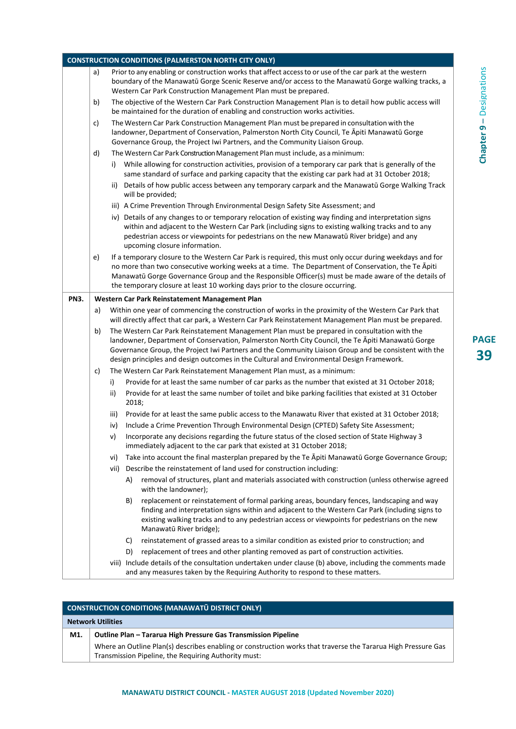|             |    | <b>CONSTRUCTION CONDITIONS (PALMERSTON NORTH CITY ONLY)</b>            |                                                                                                                                                                                                                                                                                                                                                                                                         |
|-------------|----|------------------------------------------------------------------------|---------------------------------------------------------------------------------------------------------------------------------------------------------------------------------------------------------------------------------------------------------------------------------------------------------------------------------------------------------------------------------------------------------|
|             | a) |                                                                        | Prior to any enabling or construction works that affect access to or use of the car park at the western                                                                                                                                                                                                                                                                                                 |
|             |    |                                                                        | boundary of the Manawatū Gorge Scenic Reserve and/or access to the Manawatū Gorge walking tracks, a<br>Western Car Park Construction Management Plan must be prepared.                                                                                                                                                                                                                                  |
|             | b) |                                                                        | The objective of the Western Car Park Construction Management Plan is to detail how public access will<br>be maintained for the duration of enabling and construction works activities.                                                                                                                                                                                                                 |
|             | c) |                                                                        | The Western Car Park Construction Management Plan must be prepared in consultation with the<br>landowner, Department of Conservation, Palmerston North City Council, Te Apiti Manawatū Gorge<br>Governance Group, the Project Iwi Partners, and the Community Liaison Group.                                                                                                                            |
|             | d) |                                                                        | The Western Car Park Construction Management Plan must include, as a minimum:                                                                                                                                                                                                                                                                                                                           |
|             |    | i)                                                                     | While allowing for construction activities, provision of a temporary car park that is generally of the<br>same standard of surface and parking capacity that the existing car park had at 31 October 2018;                                                                                                                                                                                              |
|             |    | ii)<br>will be provided;                                               | Details of how public access between any temporary carpark and the Manawatū Gorge Walking Track                                                                                                                                                                                                                                                                                                         |
|             |    |                                                                        | iii) A Crime Prevention Through Environmental Design Safety Site Assessment; and                                                                                                                                                                                                                                                                                                                        |
|             |    | upcoming closure information.                                          | iv) Details of any changes to or temporary relocation of existing way finding and interpretation signs<br>within and adjacent to the Western Car Park (including signs to existing walking tracks and to any<br>pedestrian access or viewpoints for pedestrians on the new Manawatū River bridge) and any                                                                                               |
|             | e) |                                                                        | If a temporary closure to the Western Car Park is required, this must only occur during weekdays and for<br>no more than two consecutive working weeks at a time. The Department of Conservation, the Te Apiti<br>Manawatū Gorge Governance Group and the Responsible Officer(s) must be made aware of the details of<br>the temporary closure at least 10 working days prior to the closure occurring. |
| <b>PN3.</b> |    | Western Car Park Reinstatement Management Plan                         |                                                                                                                                                                                                                                                                                                                                                                                                         |
|             | a) |                                                                        | Within one year of commencing the construction of works in the proximity of the Western Car Park that<br>will directly affect that car park, a Western Car Park Reinstatement Management Plan must be prepared.                                                                                                                                                                                         |
|             | b) |                                                                        | The Western Car Park Reinstatement Management Plan must be prepared in consultation with the<br>landowner, Department of Conservation, Palmerston North City Council, the Te Apiti Manawatū Gorge<br>Governance Group, the Project Iwi Partners and the Community Liaison Group and be consistent with the<br>design principles and design outcomes in the Cultural and Environmental Design Framework. |
|             | c) | The Western Car Park Reinstatement Management Plan must, as a minimum: |                                                                                                                                                                                                                                                                                                                                                                                                         |
|             |    | i)                                                                     | Provide for at least the same number of car parks as the number that existed at 31 October 2018;                                                                                                                                                                                                                                                                                                        |
|             |    | ii)<br>2018;                                                           | Provide for at least the same number of toilet and bike parking facilities that existed at 31 October                                                                                                                                                                                                                                                                                                   |
|             |    | iii)                                                                   | Provide for at least the same public access to the Manawatu River that existed at 31 October 2018;                                                                                                                                                                                                                                                                                                      |
|             |    | iv)                                                                    | Include a Crime Prevention Through Environmental Design (CPTED) Safety Site Assessment;                                                                                                                                                                                                                                                                                                                 |
|             |    | v)                                                                     | Incorporate any decisions regarding the future status of the closed section of State Highway 3<br>immediately adjacent to the car park that existed at 31 October 2018;                                                                                                                                                                                                                                 |
|             |    | vi)                                                                    | Take into account the final masterplan prepared by the Te Apiti Manawatū Gorge Governance Group;                                                                                                                                                                                                                                                                                                        |
|             |    | vii)                                                                   | Describe the reinstatement of land used for construction including:                                                                                                                                                                                                                                                                                                                                     |
|             |    | A)<br>with the landowner);                                             | removal of structures, plant and materials associated with construction (unless otherwise agreed                                                                                                                                                                                                                                                                                                        |
|             |    | B)<br>Manawatū River bridge);                                          | replacement or reinstatement of formal parking areas, boundary fences, landscaping and way<br>finding and interpretation signs within and adjacent to the Western Car Park (including signs to<br>existing walking tracks and to any pedestrian access or viewpoints for pedestrians on the new                                                                                                         |
|             |    | C)                                                                     | reinstatement of grassed areas to a similar condition as existed prior to construction; and                                                                                                                                                                                                                                                                                                             |
|             |    | D)                                                                     | replacement of trees and other planting removed as part of construction activities.                                                                                                                                                                                                                                                                                                                     |
|             |    |                                                                        | viii) Include details of the consultation undertaken under clause (b) above, including the comments made<br>and any measures taken by the Requiring Authority to respond to these matters.                                                                                                                                                                                                              |

|     | CONSTRUCTION CONDITIONS (MANAWATŪ DISTRICT ONLY)                                                              |  |  |
|-----|---------------------------------------------------------------------------------------------------------------|--|--|
|     | <b>Network Utilities</b>                                                                                      |  |  |
| M1. | Outline Plan - Tararua High Pressure Gas Transmission Pipeline                                                |  |  |
|     | Where an Outline Plan(s) describes enabling or construction works that traverse the Tararua High Pressure Gas |  |  |
|     | Transmission Pipeline, the Requiring Authority must:                                                          |  |  |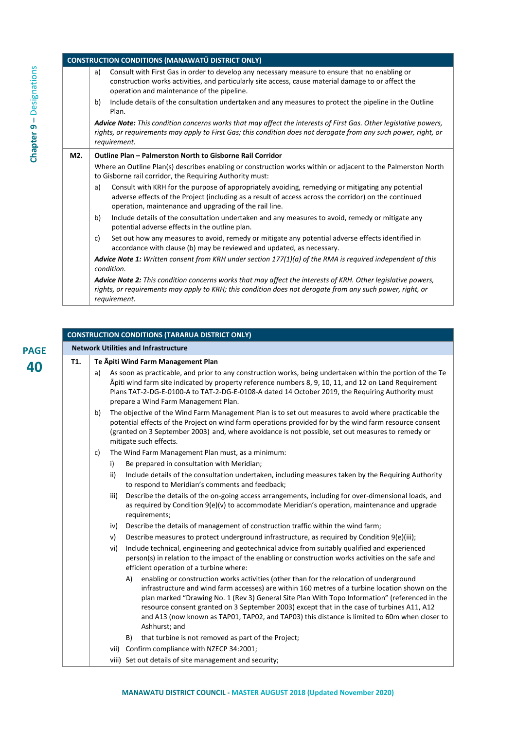|     |                                                                                                                                                                          | <b>CONSTRUCTION CONDITIONS (MANAWATŪ DISTRICT ONLY)</b>                                                                                                                                                                                                              |  |  |
|-----|--------------------------------------------------------------------------------------------------------------------------------------------------------------------------|----------------------------------------------------------------------------------------------------------------------------------------------------------------------------------------------------------------------------------------------------------------------|--|--|
|     | a)                                                                                                                                                                       | Consult with First Gas in order to develop any necessary measure to ensure that no enabling or<br>construction works activities, and particularly site access, cause material damage to or affect the<br>operation and maintenance of the pipeline.                  |  |  |
|     | b)                                                                                                                                                                       | Include details of the consultation undertaken and any measures to protect the pipeline in the Outline<br>Plan.                                                                                                                                                      |  |  |
|     |                                                                                                                                                                          | Advice Note: This condition concerns works that may affect the interests of First Gas. Other legislative powers,<br>rights, or requirements may apply to First Gas; this condition does not derogate from any such power, right, or<br>requirement.                  |  |  |
| M2. |                                                                                                                                                                          | Outline Plan - Palmerston North to Gisborne Rail Corridor                                                                                                                                                                                                            |  |  |
|     | Where an Outline Plan(s) describes enabling or construction works within or adjacent to the Palmerston North<br>to Gisborne rail corridor, the Requiring Authority must: |                                                                                                                                                                                                                                                                      |  |  |
|     | a)                                                                                                                                                                       | Consult with KRH for the purpose of appropriately avoiding, remedying or mitigating any potential<br>adverse effects of the Project (including as a result of access across the corridor) on the continued<br>operation, maintenance and upgrading of the rail line. |  |  |
|     | b)                                                                                                                                                                       | Include details of the consultation undertaken and any measures to avoid, remedy or mitigate any<br>potential adverse effects in the outline plan.                                                                                                                   |  |  |
|     | c)                                                                                                                                                                       | Set out how any measures to avoid, remedy or mitigate any potential adverse effects identified in<br>accordance with clause (b) may be reviewed and updated, as necessary.                                                                                           |  |  |
|     |                                                                                                                                                                          | <b>Advice Note 1:</b> Written consent from KRH under section $177(1)(a)$ of the RMA is required independent of this<br>condition.                                                                                                                                    |  |  |
|     |                                                                                                                                                                          | Advice Note 2: This condition concerns works that may affect the interests of KRH. Other legislative powers,<br>rights, or requirements may apply to KRH; this condition does not derogate from any such power, right, or<br>requirement.                            |  |  |

**Chapter 9**

**–** Designations

|     | <b>CONSTRUCTION CONDITIONS (TARARUA DISTRICT ONLY)</b> |                                                                                                                                                                                                                                                                                                                                                                 |                                                                                                                                                                                                                                                                                                                                                                                                                                                                                                                    |  |
|-----|--------------------------------------------------------|-----------------------------------------------------------------------------------------------------------------------------------------------------------------------------------------------------------------------------------------------------------------------------------------------------------------------------------------------------------------|--------------------------------------------------------------------------------------------------------------------------------------------------------------------------------------------------------------------------------------------------------------------------------------------------------------------------------------------------------------------------------------------------------------------------------------------------------------------------------------------------------------------|--|
|     |                                                        |                                                                                                                                                                                                                                                                                                                                                                 | <b>Network Utilities and Infrastructure</b>                                                                                                                                                                                                                                                                                                                                                                                                                                                                        |  |
| T1. |                                                        | Te Apiti Wind Farm Management Plan                                                                                                                                                                                                                                                                                                                              |                                                                                                                                                                                                                                                                                                                                                                                                                                                                                                                    |  |
|     | a)                                                     | As soon as practicable, and prior to any construction works, being undertaken within the portion of the Te<br>Apiti wind farm site indicated by property reference numbers 8, 9, 10, 11, and 12 on Land Requirement<br>Plans TAT-2-DG-E-0100-A to TAT-2-DG-E-0108-A dated 14 October 2019, the Requiring Authority must<br>prepare a Wind Farm Management Plan. |                                                                                                                                                                                                                                                                                                                                                                                                                                                                                                                    |  |
|     | b)                                                     |                                                                                                                                                                                                                                                                                                                                                                 | The objective of the Wind Farm Management Plan is to set out measures to avoid where practicable the<br>potential effects of the Project on wind farm operations provided for by the wind farm resource consent<br>(granted on 3 September 2003) and, where avoidance is not possible, set out measures to remedy or<br>mitigate such effects.                                                                                                                                                                     |  |
|     | c)                                                     |                                                                                                                                                                                                                                                                                                                                                                 | The Wind Farm Management Plan must, as a minimum:                                                                                                                                                                                                                                                                                                                                                                                                                                                                  |  |
|     |                                                        | i)                                                                                                                                                                                                                                                                                                                                                              | Be prepared in consultation with Meridian;                                                                                                                                                                                                                                                                                                                                                                                                                                                                         |  |
|     |                                                        | ii)                                                                                                                                                                                                                                                                                                                                                             | Include details of the consultation undertaken, including measures taken by the Requiring Authority<br>to respond to Meridian's comments and feedback;                                                                                                                                                                                                                                                                                                                                                             |  |
|     |                                                        | iii)                                                                                                                                                                                                                                                                                                                                                            | Describe the details of the on-going access arrangements, including for over-dimensional loads, and<br>as required by Condition 9(e)(v) to accommodate Meridian's operation, maintenance and upgrade<br>requirements;                                                                                                                                                                                                                                                                                              |  |
|     |                                                        | iv)                                                                                                                                                                                                                                                                                                                                                             | Describe the details of management of construction traffic within the wind farm;                                                                                                                                                                                                                                                                                                                                                                                                                                   |  |
|     |                                                        | v)                                                                                                                                                                                                                                                                                                                                                              | Describe measures to protect underground infrastructure, as required by Condition 9(e)(iii);                                                                                                                                                                                                                                                                                                                                                                                                                       |  |
|     |                                                        | vi)                                                                                                                                                                                                                                                                                                                                                             | Include technical, engineering and geotechnical advice from suitably qualified and experienced<br>person(s) in relation to the impact of the enabling or construction works activities on the safe and<br>efficient operation of a turbine where:                                                                                                                                                                                                                                                                  |  |
|     |                                                        |                                                                                                                                                                                                                                                                                                                                                                 | A)<br>enabling or construction works activities (other than for the relocation of underground<br>infrastructure and wind farm accesses) are within 160 metres of a turbine location shown on the<br>plan marked "Drawing No. 1 (Rev 3) General Site Plan With Topo Information" (referenced in the<br>resource consent granted on 3 September 2003) except that in the case of turbines A11, A12<br>and A13 (now known as TAP01, TAP02, and TAP03) this distance is limited to 60m when closer to<br>Ashhurst; and |  |
|     |                                                        |                                                                                                                                                                                                                                                                                                                                                                 | that turbine is not removed as part of the Project;<br>B)                                                                                                                                                                                                                                                                                                                                                                                                                                                          |  |
|     |                                                        |                                                                                                                                                                                                                                                                                                                                                                 | vii) Confirm compliance with NZECP 34:2001;                                                                                                                                                                                                                                                                                                                                                                                                                                                                        |  |
|     |                                                        |                                                                                                                                                                                                                                                                                                                                                                 | viii) Set out details of site management and security;                                                                                                                                                                                                                                                                                                                                                                                                                                                             |  |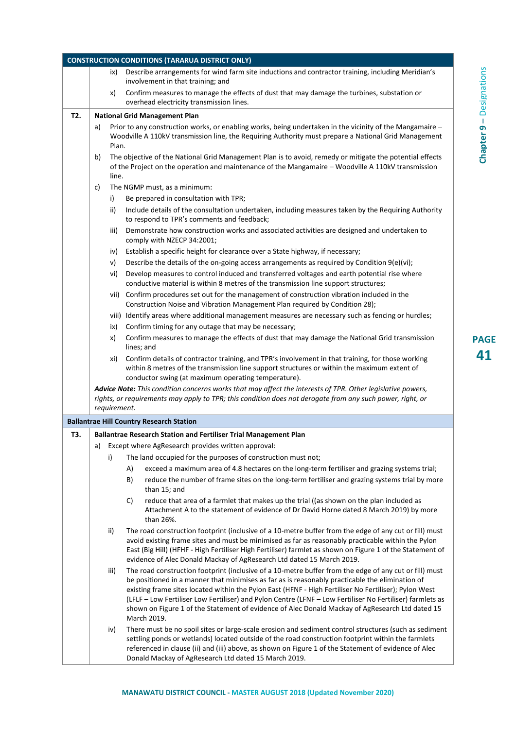|     | <b>CONSTRUCTION CONDITIONS (TARARUA DISTRICT ONLY)</b>                                                                                                                                                                                                                                                                                                                                                                                                                                                                                                    |
|-----|-----------------------------------------------------------------------------------------------------------------------------------------------------------------------------------------------------------------------------------------------------------------------------------------------------------------------------------------------------------------------------------------------------------------------------------------------------------------------------------------------------------------------------------------------------------|
|     | Describe arrangements for wind farm site inductions and contractor training, including Meridian's<br>ix)<br>involvement in that training; and                                                                                                                                                                                                                                                                                                                                                                                                             |
|     | Confirm measures to manage the effects of dust that may damage the turbines, substation or<br>x)<br>overhead electricity transmission lines.                                                                                                                                                                                                                                                                                                                                                                                                              |
| T2. | <b>National Grid Management Plan</b>                                                                                                                                                                                                                                                                                                                                                                                                                                                                                                                      |
|     | Prior to any construction works, or enabling works, being undertaken in the vicinity of the Mangamaire -<br>a)<br>Woodville A 110kV transmission line, the Requiring Authority must prepare a National Grid Management<br>Plan.                                                                                                                                                                                                                                                                                                                           |
|     | The objective of the National Grid Management Plan is to avoid, remedy or mitigate the potential effects<br>b)<br>of the Project on the operation and maintenance of the Mangamaire - Woodville A 110kV transmission<br>line.                                                                                                                                                                                                                                                                                                                             |
|     | The NGMP must, as a minimum:<br>c)                                                                                                                                                                                                                                                                                                                                                                                                                                                                                                                        |
|     | Be prepared in consultation with TPR;<br>i)                                                                                                                                                                                                                                                                                                                                                                                                                                                                                                               |
|     | ii)<br>Include details of the consultation undertaken, including measures taken by the Requiring Authority<br>to respond to TPR's comments and feedback;                                                                                                                                                                                                                                                                                                                                                                                                  |
|     | Demonstrate how construction works and associated activities are designed and undertaken to<br>iii)<br>comply with NZECP 34:2001;                                                                                                                                                                                                                                                                                                                                                                                                                         |
|     | Establish a specific height for clearance over a State highway, if necessary;<br>iv)                                                                                                                                                                                                                                                                                                                                                                                                                                                                      |
|     | Describe the details of the on-going access arrangements as required by Condition $9(e)(vi)$ ;<br>v)                                                                                                                                                                                                                                                                                                                                                                                                                                                      |
|     | Develop measures to control induced and transferred voltages and earth potential rise where<br>vi)<br>conductive material is within 8 metres of the transmission line support structures;                                                                                                                                                                                                                                                                                                                                                                 |
|     | vii) Confirm procedures set out for the management of construction vibration included in the<br>Construction Noise and Vibration Management Plan required by Condition 28);                                                                                                                                                                                                                                                                                                                                                                               |
|     | viii) Identify areas where additional management measures are necessary such as fencing or hurdles;                                                                                                                                                                                                                                                                                                                                                                                                                                                       |
|     | Confirm timing for any outage that may be necessary;<br>ix)                                                                                                                                                                                                                                                                                                                                                                                                                                                                                               |
|     | Confirm measures to manage the effects of dust that may damage the National Grid transmission<br>x)<br>lines; and                                                                                                                                                                                                                                                                                                                                                                                                                                         |
|     | Confirm details of contractor training, and TPR's involvement in that training, for those working<br>xi)<br>within 8 metres of the transmission line support structures or within the maximum extent of<br>conductor swing (at maximum operating temperature).                                                                                                                                                                                                                                                                                            |
|     | Advice Note: This condition concerns works that may affect the interests of TPR. Other legislative powers,<br>rights, or requirements may apply to TPR; this condition does not derogate from any such power, right, or<br>requirement.                                                                                                                                                                                                                                                                                                                   |
|     | <b>Ballantrae Hill Country Research Station</b>                                                                                                                                                                                                                                                                                                                                                                                                                                                                                                           |
| Т3. | Ballantrae Research Station and Fertiliser Trial Management Plan                                                                                                                                                                                                                                                                                                                                                                                                                                                                                          |
|     | Except where AgResearch provides written approval:<br>a)                                                                                                                                                                                                                                                                                                                                                                                                                                                                                                  |
|     | The land occupied for the purposes of construction must not;<br>i)                                                                                                                                                                                                                                                                                                                                                                                                                                                                                        |
|     | exceed a maximum area of 4.8 hectares on the long-term fertiliser and grazing systems trial;<br>A)                                                                                                                                                                                                                                                                                                                                                                                                                                                        |
|     | reduce the number of frame sites on the long-term fertiliser and grazing systems trial by more<br>B)<br>than 15; and                                                                                                                                                                                                                                                                                                                                                                                                                                      |
|     | C)<br>reduce that area of a farmlet that makes up the trial ((as shown on the plan included as<br>Attachment A to the statement of evidence of Dr David Horne dated 8 March 2019) by more<br>than 26%.                                                                                                                                                                                                                                                                                                                                                    |
|     | The road construction footprint (inclusive of a 10-metre buffer from the edge of any cut or fill) must<br>ii)<br>avoid existing frame sites and must be minimised as far as reasonably practicable within the Pylon<br>East (Big Hill) (HFHF - High Fertiliser High Fertiliser) farmlet as shown on Figure 1 of the Statement of<br>evidence of Alec Donald Mackay of AgResearch Ltd dated 15 March 2019.                                                                                                                                                 |
|     | The road construction footprint (inclusive of a 10-metre buffer from the edge of any cut or fill) must<br>iii)<br>be positioned in a manner that minimises as far as is reasonably practicable the elimination of<br>existing frame sites located within the Pylon East (HFNF - High Fertiliser No Fertiliser); Pylon West<br>(LFLF - Low Fertiliser Low Fertiliser) and Pylon Centre (LFNF - Low Fertiliser No Fertiliser) farmlets as<br>shown on Figure 1 of the Statement of evidence of Alec Donald Mackay of AgResearch Ltd dated 15<br>March 2019. |
|     | There must be no spoil sites or large-scale erosion and sediment control structures (such as sediment<br>iv)<br>settling ponds or wetlands) located outside of the road construction footprint within the farmlets<br>referenced in clause (ii) and (iii) above, as shown on Figure 1 of the Statement of evidence of Alec<br>Donald Mackay of AgResearch Ltd dated 15 March 2019.                                                                                                                                                                        |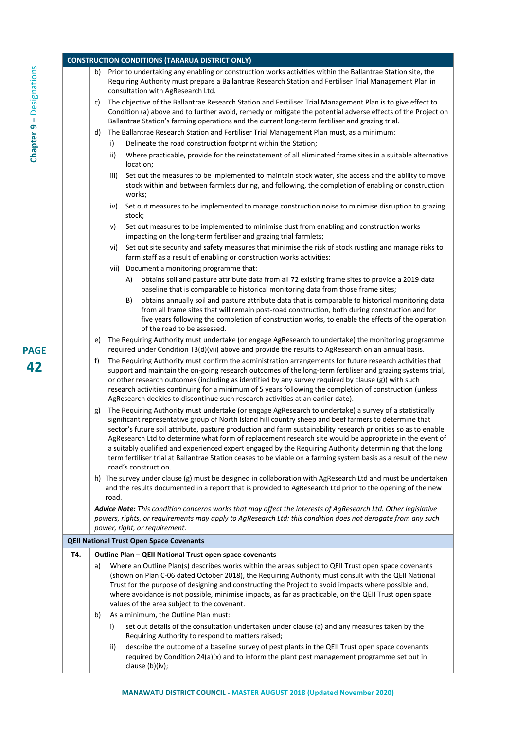|     |    | <b>CONSTRUCTION CONDITIONS (TARARUA DISTRICT ONLY)</b>                                                                                                                                                                                                                                                                                                                                                                                                                                                                                                                                                                                                                                                |
|-----|----|-------------------------------------------------------------------------------------------------------------------------------------------------------------------------------------------------------------------------------------------------------------------------------------------------------------------------------------------------------------------------------------------------------------------------------------------------------------------------------------------------------------------------------------------------------------------------------------------------------------------------------------------------------------------------------------------------------|
|     | b) | Prior to undertaking any enabling or construction works activities within the Ballantrae Station site, the<br>Requiring Authority must prepare a Ballantrae Research Station and Fertiliser Trial Management Plan in<br>consultation with AgResearch Ltd.                                                                                                                                                                                                                                                                                                                                                                                                                                             |
|     | C) | The objective of the Ballantrae Research Station and Fertiliser Trial Management Plan is to give effect to<br>Condition (a) above and to further avoid, remedy or mitigate the potential adverse effects of the Project on<br>Ballantrae Station's farming operations and the current long-term fertiliser and grazing trial.                                                                                                                                                                                                                                                                                                                                                                         |
|     | d) | The Ballantrae Research Station and Fertiliser Trial Management Plan must, as a minimum:                                                                                                                                                                                                                                                                                                                                                                                                                                                                                                                                                                                                              |
|     |    | i)<br>Delineate the road construction footprint within the Station;                                                                                                                                                                                                                                                                                                                                                                                                                                                                                                                                                                                                                                   |
|     |    | Where practicable, provide for the reinstatement of all eliminated frame sites in a suitable alternative<br>ii)<br>location;                                                                                                                                                                                                                                                                                                                                                                                                                                                                                                                                                                          |
|     |    | Set out the measures to be implemented to maintain stock water, site access and the ability to move<br>iii)<br>stock within and between farmlets during, and following, the completion of enabling or construction<br>works;                                                                                                                                                                                                                                                                                                                                                                                                                                                                          |
|     |    | Set out measures to be implemented to manage construction noise to minimise disruption to grazing<br>iv)<br>stock;                                                                                                                                                                                                                                                                                                                                                                                                                                                                                                                                                                                    |
|     |    | Set out measures to be implemented to minimise dust from enabling and construction works<br>v)<br>impacting on the long-term fertiliser and grazing trial farmlets;                                                                                                                                                                                                                                                                                                                                                                                                                                                                                                                                   |
|     |    | Set out site security and safety measures that minimise the risk of stock rustling and manage risks to<br>vi)<br>farm staff as a result of enabling or construction works activities;                                                                                                                                                                                                                                                                                                                                                                                                                                                                                                                 |
|     |    | Document a monitoring programme that:<br>vii)                                                                                                                                                                                                                                                                                                                                                                                                                                                                                                                                                                                                                                                         |
|     |    | obtains soil and pasture attribute data from all 72 existing frame sites to provide a 2019 data<br>A)<br>baseline that is comparable to historical monitoring data from those frame sites;                                                                                                                                                                                                                                                                                                                                                                                                                                                                                                            |
|     |    | obtains annually soil and pasture attribute data that is comparable to historical monitoring data<br>B)<br>from all frame sites that will remain post-road construction, both during construction and for<br>five years following the completion of construction works, to enable the effects of the operation                                                                                                                                                                                                                                                                                                                                                                                        |
|     |    | of the road to be assessed.                                                                                                                                                                                                                                                                                                                                                                                                                                                                                                                                                                                                                                                                           |
|     | e) | The Requiring Authority must undertake (or engage AgResearch to undertake) the monitoring programme<br>required under Condition T3(d)(vii) above and provide the results to AgResearch on an annual basis.                                                                                                                                                                                                                                                                                                                                                                                                                                                                                            |
|     | f) | The Requiring Authority must confirm the administration arrangements for future research activities that<br>support and maintain the on-going research outcomes of the long-term fertiliser and grazing systems trial,<br>or other research outcomes (including as identified by any survey required by clause (g)) with such<br>research activities continuing for a minimum of 5 years following the completion of construction (unless<br>AgResearch decides to discontinue such research activities at an earlier date).                                                                                                                                                                          |
|     | g) | The Requiring Authority must undertake (or engage AgResearch to undertake) a survey of a statistically<br>significant representative group of North Island hill country sheep and beef farmers to determine that<br>sector's future soil attribute, pasture production and farm sustainability research priorities so as to enable<br>AgResearch Ltd to determine what form of replacement research site would be appropriate in the event of<br>a suitably qualified and experienced expert engaged by the Requiring Authority determining that the long<br>term fertiliser trial at Ballantrae Station ceases to be viable on a farming system basis as a result of the new<br>road's construction. |
|     |    | h) The survey under clause (g) must be designed in collaboration with AgResearch Ltd and must be undertaken<br>and the results documented in a report that is provided to AgResearch Ltd prior to the opening of the new<br>road.                                                                                                                                                                                                                                                                                                                                                                                                                                                                     |
|     |    | Advice Note: This condition concerns works that may affect the interests of AgResearch Ltd. Other legislative<br>powers, rights, or requirements may apply to AgResearch Ltd; this condition does not derogate from any such<br>power, right, or requirement.                                                                                                                                                                                                                                                                                                                                                                                                                                         |
|     |    | <b>QEII National Trust Open Space Covenants</b>                                                                                                                                                                                                                                                                                                                                                                                                                                                                                                                                                                                                                                                       |
| T4. |    | Outline Plan - QEII National Trust open space covenants                                                                                                                                                                                                                                                                                                                                                                                                                                                                                                                                                                                                                                               |
|     | a) | Where an Outline Plan(s) describes works within the areas subject to QEII Trust open space covenants                                                                                                                                                                                                                                                                                                                                                                                                                                                                                                                                                                                                  |
|     |    | (shown on Plan C-06 dated October 2018), the Requiring Authority must consult with the QEII National<br>Trust for the purpose of designing and constructing the Project to avoid impacts where possible and,<br>where avoidance is not possible, minimise impacts, as far as practicable, on the QEII Trust open space<br>values of the area subject to the covenant.                                                                                                                                                                                                                                                                                                                                 |
|     | b) | As a minimum, the Outline Plan must:                                                                                                                                                                                                                                                                                                                                                                                                                                                                                                                                                                                                                                                                  |
|     |    | set out details of the consultation undertaken under clause (a) and any measures taken by the<br>i)<br>Requiring Authority to respond to matters raised;                                                                                                                                                                                                                                                                                                                                                                                                                                                                                                                                              |
|     |    | describe the outcome of a baseline survey of pest plants in the QEII Trust open space covenants<br>ii)<br>required by Condition 24(a)(x) and to inform the plant pest management programme set out in<br>clause (b)(iv);                                                                                                                                                                                                                                                                                                                                                                                                                                                                              |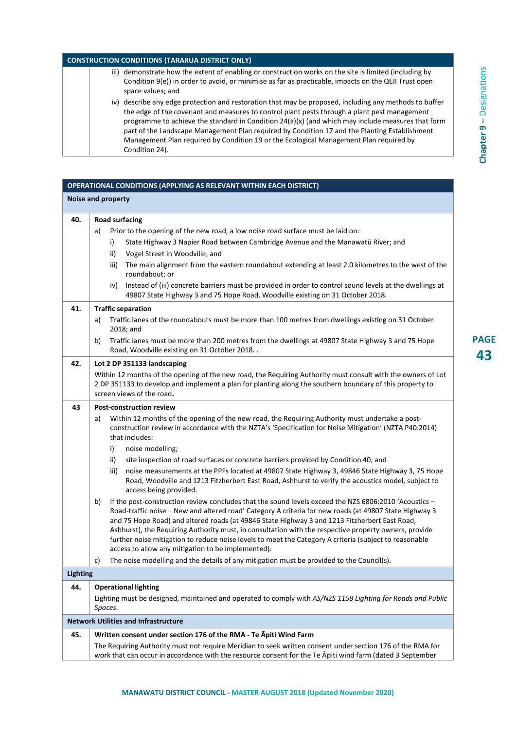| <b>CONSTRUCTION CONDITIONS (TARARUA DISTRICT ONLY)</b> |                                                                                                                                                                                                                                                                                                                                                                                                                                                                                                                          |  |
|--------------------------------------------------------|--------------------------------------------------------------------------------------------------------------------------------------------------------------------------------------------------------------------------------------------------------------------------------------------------------------------------------------------------------------------------------------------------------------------------------------------------------------------------------------------------------------------------|--|
|                                                        | iii) demonstrate how the extent of enabling or construction works on the site is limited (including by<br>Condition 9(e)) in order to avoid, or minimise as far as practicable, impacts on the QEII Trust open<br>space values; and                                                                                                                                                                                                                                                                                      |  |
|                                                        | iv) describe any edge protection and restoration that may be proposed, including any methods to buffer<br>the edge of the covenant and measures to control plant pests through a plant pest management<br>programme to achieve the standard in Condition 24(a)(x) (and which may include measures that form<br>part of the Landscape Management Plan required by Condition 17 and the Planting Establishment<br>Management Plan required by Condition 19 or the Ecological Management Plan required by<br>Condition 24). |  |

|                    | <b>OPERATIONAL CONDITIONS (APPLYING AS RELEVANT WITHIN EACH DISTRICT)</b>                                                                                                                                                                                                                                                                                                                                                                                                                                                                                                                       |  |
|--------------------|-------------------------------------------------------------------------------------------------------------------------------------------------------------------------------------------------------------------------------------------------------------------------------------------------------------------------------------------------------------------------------------------------------------------------------------------------------------------------------------------------------------------------------------------------------------------------------------------------|--|
| Noise and property |                                                                                                                                                                                                                                                                                                                                                                                                                                                                                                                                                                                                 |  |
| 40.                | <b>Road surfacing</b>                                                                                                                                                                                                                                                                                                                                                                                                                                                                                                                                                                           |  |
|                    | Prior to the opening of the new road, a low noise road surface must be laid on:<br>a)                                                                                                                                                                                                                                                                                                                                                                                                                                                                                                           |  |
|                    | State Highway 3 Napier Road between Cambridge Avenue and the Manawatū River; and<br>i)                                                                                                                                                                                                                                                                                                                                                                                                                                                                                                          |  |
|                    | ii)<br>Vogel Street in Woodville; and                                                                                                                                                                                                                                                                                                                                                                                                                                                                                                                                                           |  |
|                    | The main alignment from the eastern roundabout extending at least 2.0 kilometres to the west of the<br>iii)<br>roundabout; or                                                                                                                                                                                                                                                                                                                                                                                                                                                                   |  |
|                    | Instead of (iii) concrete barriers must be provided in order to control sound levels at the dwellings at<br>iv)<br>49807 State Highway 3 and 75 Hope Road, Woodville existing on 31 October 2018.                                                                                                                                                                                                                                                                                                                                                                                               |  |
| 41.                | <b>Traffic separation</b>                                                                                                                                                                                                                                                                                                                                                                                                                                                                                                                                                                       |  |
|                    | Traffic lanes of the roundabouts must be more than 100 metres from dwellings existing on 31 October<br>a)<br>2018; and                                                                                                                                                                                                                                                                                                                                                                                                                                                                          |  |
|                    | Traffic lanes must be more than 200 metres from the dwellings at 49807 State Highway 3 and 75 Hope<br>b)<br>Road, Woodville existing on 31 October 2018. .                                                                                                                                                                                                                                                                                                                                                                                                                                      |  |
| 42.                | Lot 2 DP 351133 landscaping                                                                                                                                                                                                                                                                                                                                                                                                                                                                                                                                                                     |  |
|                    | Within 12 months of the opening of the new road, the Requiring Authority must consult with the owners of Lot<br>2 DP 351133 to develop and implement a plan for planting along the southern boundary of this property to<br>screen views of the road.                                                                                                                                                                                                                                                                                                                                           |  |
| 43                 | <b>Post-construction review</b>                                                                                                                                                                                                                                                                                                                                                                                                                                                                                                                                                                 |  |
|                    | Within 12 months of the opening of the new road, the Requiring Authority must undertake a post-<br>a)<br>construction review in accordance with the NZTA's 'Specification for Noise Mitigation' (NZTA P40:2014)<br>that includes:                                                                                                                                                                                                                                                                                                                                                               |  |
|                    | noise modelling;<br>i)                                                                                                                                                                                                                                                                                                                                                                                                                                                                                                                                                                          |  |
|                    | site inspection of road surfaces or concrete barriers provided by Condition 40; and<br>ii)                                                                                                                                                                                                                                                                                                                                                                                                                                                                                                      |  |
|                    | noise measurements at the PPFs located at 49807 State Highway 3, 49846 State Highway 3, 75 Hope<br>iii)<br>Road, Woodville and 1213 Fitzherbert East Road, Ashhurst to verify the acoustics model, subject to<br>access being provided.                                                                                                                                                                                                                                                                                                                                                         |  |
|                    | If the post-construction review concludes that the sound levels exceed the NZS 6806:2010 'Acoustics -<br>b)<br>Road-traffic noise - New and altered road' Category A criteria for new roads (at 49807 State Highway 3<br>and 75 Hope Road) and altered roads (at 49846 State Highway 3 and 1213 Fitzherbert East Road,<br>Ashhurst), the Requiring Authority must, in consultation with the respective property owners, provide<br>further noise mitigation to reduce noise levels to meet the Category A criteria (subject to reasonable<br>access to allow any mitigation to be implemented). |  |
|                    | The noise modelling and the details of any mitigation must be provided to the Council(s).<br>C)                                                                                                                                                                                                                                                                                                                                                                                                                                                                                                 |  |
| <b>Lighting</b>    |                                                                                                                                                                                                                                                                                                                                                                                                                                                                                                                                                                                                 |  |
| 44.                | <b>Operational lighting</b><br>Lighting must be designed, maintained and operated to comply with AS/NZS 1158 Lighting for Roads and Public<br>Spaces.                                                                                                                                                                                                                                                                                                                                                                                                                                           |  |
|                    | <b>Network Utilities and Infrastructure</b>                                                                                                                                                                                                                                                                                                                                                                                                                                                                                                                                                     |  |
| 45.                | Written consent under section 176 of the RMA - Te Apiti Wind Farm                                                                                                                                                                                                                                                                                                                                                                                                                                                                                                                               |  |
|                    | The Requiring Authority must not require Meridian to seek written consent under section 176 of the RMA for<br>work that can occur in accordance with the resource consent for the Te Apiti wind farm (dated 3 September                                                                                                                                                                                                                                                                                                                                                                         |  |